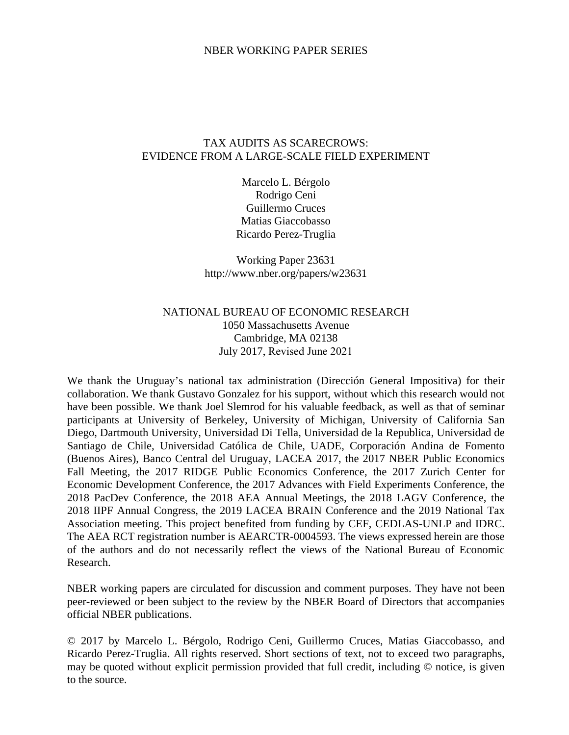### TAX AUDITS AS SCARECROWS: EVIDENCE FROM A LARGE-SCALE FIELD EXPERIMENT

Marcelo L. Bérgolo Rodrigo Ceni Guillermo Cruces Matias Giaccobasso Ricardo Perez-Truglia

Working Paper 23631 http://www.nber.org/papers/w23631

### NATIONAL BUREAU OF ECONOMIC RESEARCH 1050 Massachusetts Avenue Cambridge, MA 02138 July 2017, Revised June 2021

We thank the Uruguay's national tax administration (Dirección General Impositiva) for their collaboration. We thank Gustavo Gonzalez for his support, without which this research would not have been possible. We thank Joel Slemrod for his valuable feedback, as well as that of seminar participants at University of Berkeley, University of Michigan, University of California San Diego, Dartmouth University, Universidad Di Tella, Universidad de la Republica, Universidad de Santiago de Chile, Universidad Católica de Chile, UADE, Corporación Andina de Fomento (Buenos Aires), Banco Central del Uruguay, LACEA 2017, the 2017 NBER Public Economics Fall Meeting, the 2017 RIDGE Public Economics Conference, the 2017 Zurich Center for Economic Development Conference, the 2017 Advances with Field Experiments Conference, the 2018 PacDev Conference, the 2018 AEA Annual Meetings, the 2018 LAGV Conference, the 2018 IIPF Annual Congress, the 2019 LACEA BRAIN Conference and the 2019 National Tax Association meeting. This project benefited from funding by CEF, CEDLAS-UNLP and IDRC. The AEA RCT registration number is AEARCTR-0004593. The views expressed herein are those of the authors and do not necessarily reflect the views of the National Bureau of Economic Research.

NBER working papers are circulated for discussion and comment purposes. They have not been peer-reviewed or been subject to the review by the NBER Board of Directors that accompanies official NBER publications.

© 2017 by Marcelo L. Bérgolo, Rodrigo Ceni, Guillermo Cruces, Matias Giaccobasso, and Ricardo Perez-Truglia. All rights reserved. Short sections of text, not to exceed two paragraphs, may be quoted without explicit permission provided that full credit, including © notice, is given to the source.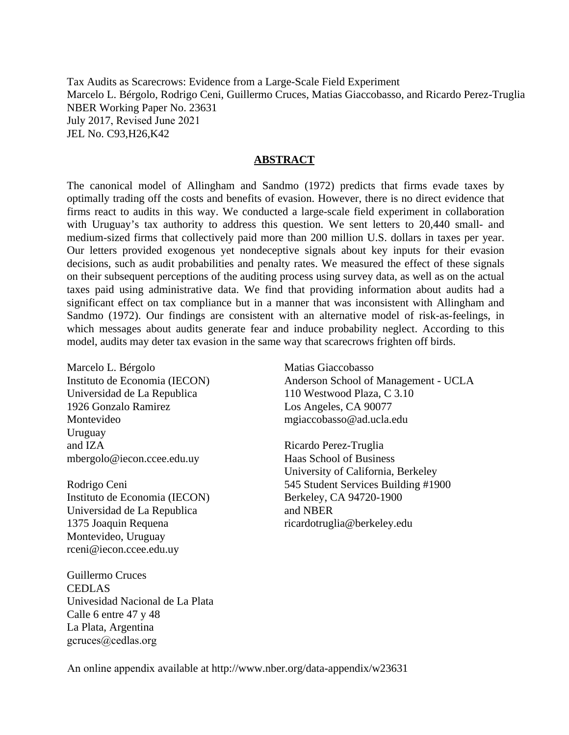Tax Audits as Scarecrows: Evidence from a Large-Scale Field Experiment Marcelo L. Bérgolo, Rodrigo Ceni, Guillermo Cruces, Matias Giaccobasso, and Ricardo Perez-Truglia NBER Working Paper No. 23631 July 2017, Revised June 2021 JEL No. C93,H26,K42

#### **ABSTRACT**

The canonical model of Allingham and Sandmo (1972) predicts that firms evade taxes by optimally trading off the costs and benefits of evasion. However, there is no direct evidence that firms react to audits in this way. We conducted a large-scale field experiment in collaboration with Uruguay's tax authority to address this question. We sent letters to 20,440 small- and medium-sized firms that collectively paid more than 200 million U.S. dollars in taxes per year. Our letters provided exogenous yet nondeceptive signals about key inputs for their evasion decisions, such as audit probabilities and penalty rates. We measured the effect of these signals on their subsequent perceptions of the auditing process using survey data, as well as on the actual taxes paid using administrative data. We find that providing information about audits had a significant effect on tax compliance but in a manner that was inconsistent with Allingham and Sandmo (1972). Our findings are consistent with an alternative model of risk-as-feelings, in which messages about audits generate fear and induce probability neglect. According to this model, audits may deter tax evasion in the same way that scarecrows frighten off birds.

Marcelo L. Bérgolo Instituto de Economia (IECON) Universidad de La Republica 1926 Gonzalo Ramirez Montevideo Uruguay and IZA mbergolo@iecon.ccee.edu.uy

Rodrigo Ceni Instituto de Economia (IECON) Universidad de La Republica 1375 Joaquin Requena Montevideo, Uruguay rceni@iecon.ccee.edu.uy

Guillermo Cruces CEDLAS Univesidad Nacional de La Plata Calle 6 entre 47 y 48 La Plata, Argentina gcruces@cedlas.org

Matias Giaccobasso Anderson School of Management - UCLA 110 Westwood Plaza, C 3.10 Los Angeles, CA 90077 mgiaccobasso@ad.ucla.edu

Ricardo Perez-Truglia Haas School of Business University of California, Berkeley 545 Student Services Building #1900 Berkeley, CA 94720-1900 and NBER ricardotruglia@berkeley.edu

An online appendix available at http://www.nber.org/data-appendix/w23631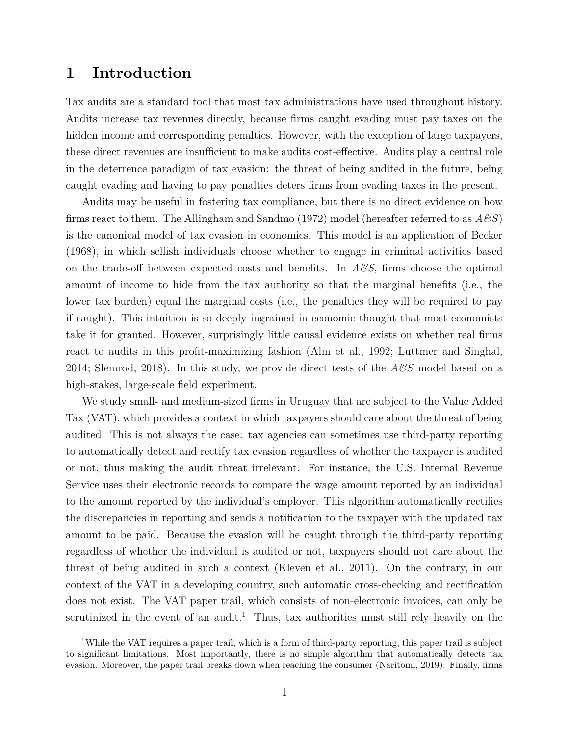# **1 Introduction**

Tax audits are a standard tool that most tax administrations have used throughout history. Audits increase tax revenues directly, because firms caught evading must pay taxes on the hidden income and corresponding penalties. However, with the exception of large taxpayers, these direct revenues are insufficient to make audits cost-effective. Audits play a central role in the deterrence paradigm of tax evasion: the threat of being audited in the future, being caught evading and having to pay penalties deters firms from evading taxes in the present.

Audits may be useful in fostering tax compliance, but there is no direct evidence on how firms react to them. The [Allingham and Sandmo](#page-40-0) [\(1972\)](#page-40-0) model (hereafter referred to as *A&S*) is the canonical model of tax evasion in economics. This model is an application of [Becker](#page-40-1) [\(1968\)](#page-40-1), in which selfish individuals choose whether to engage in criminal activities based on the trade-off between expected costs and benefits. In *A&S*, firms choose the optimal amount of income to hide from the tax authority so that the marginal benefits (i.e., the lower tax burden) equal the marginal costs (i.e., the penalties they will be required to pay if caught). This intuition is so deeply ingrained in economic thought that most economists take it for granted. However, surprisingly little causal evidence exists on whether real firms react to audits in this profit-maximizing fashion [\(Alm et al., 1992;](#page-40-2) [Luttmer and Singhal,](#page-42-0) [2014;](#page-42-0) [Slemrod, 2018\)](#page-43-0). In this study, we provide direct tests of the *A&S* model based on a high-stakes, large-scale field experiment.

We study small- and medium-sized firms in Uruguay that are subject to the Value Added Tax (VAT), which provides a context in which taxpayers should care about the threat of being audited. This is not always the case: tax agencies can sometimes use third-party reporting to automatically detect and rectify tax evasion regardless of whether the taxpayer is audited or not, thus making the audit threat irrelevant. For instance, the U.S. Internal Revenue Service uses their electronic records to compare the wage amount reported by an individual to the amount reported by the individual's employer. This algorithm automatically rectifies the discrepancies in reporting and sends a notification to the taxpayer with the updated tax amount to be paid. Because the evasion will be caught through the third-party reporting regardless of whether the individual is audited or not, taxpayers should not care about the threat of being audited in such a context [\(Kleven et al., 2011\)](#page-42-1). On the contrary, in our context of the VAT in a developing country, such automatic cross-checking and rectification does not exist. The VAT paper trail, which consists of non-electronic invoices, can only be scrutinized in the event of an audit.<sup>[1](#page--1-0)</sup> Thus, tax authorities must still rely heavily on the

<sup>&</sup>lt;sup>1</sup>While the VAT requires a paper trail, which is a form of third-party reporting, this paper trail is subject to significant limitations. Most importantly, there is no simple algorithm that automatically detects tax evasion. Moreover, the paper trail breaks down when reaching the consumer [\(Naritomi, 2019\)](#page-42-2). Finally, firms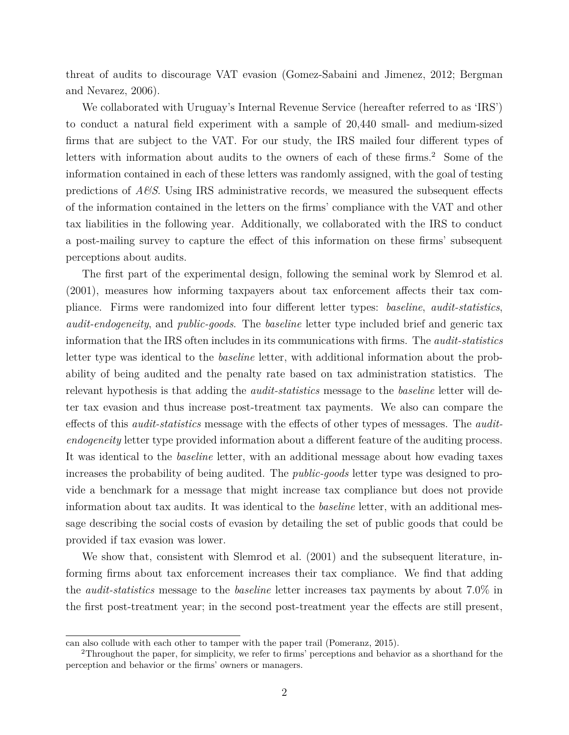threat of audits to discourage VAT evasion [\(Gomez-Sabaini and Jimenez, 2012;](#page-41-0) [Bergman](#page-40-3) [and Nevarez, 2006\)](#page-40-3).

We collaborated with Uruguay's Internal Revenue Service (hereafter referred to as 'IRS') to conduct a natural field experiment with a sample of 20,440 small- and medium-sized firms that are subject to the VAT. For our study, the IRS mailed four different types of letters with information about audits to the owners of each of these firms.<sup>[2](#page--1-0)</sup> Some of the information contained in each of these letters was randomly assigned, with the goal of testing predictions of *A&S*. Using IRS administrative records, we measured the subsequent effects of the information contained in the letters on the firms' compliance with the VAT and other tax liabilities in the following year. Additionally, we collaborated with the IRS to conduct a post-mailing survey to capture the effect of this information on these firms' subsequent perceptions about audits.

The first part of the experimental design, following the seminal work by [Slemrod et al.](#page-43-1) [\(2001\)](#page-43-1), measures how informing taxpayers about tax enforcement affects their tax compliance. Firms were randomized into four different letter types: *baseline*, *audit-statistics*, *audit-endogeneity*, and *public-goods*. The *baseline* letter type included brief and generic tax information that the IRS often includes in its communications with firms. The *audit-statistics* letter type was identical to the *baseline* letter, with additional information about the probability of being audited and the penalty rate based on tax administration statistics. The relevant hypothesis is that adding the *audit-statistics* message to the *baseline* letter will deter tax evasion and thus increase post-treatment tax payments. We also can compare the effects of this *audit-statistics* message with the effects of other types of messages. The *auditendogeneity* letter type provided information about a different feature of the auditing process. It was identical to the *baseline* letter, with an additional message about how evading taxes increases the probability of being audited. The *public-goods* letter type was designed to provide a benchmark for a message that might increase tax compliance but does not provide information about tax audits. It was identical to the *baseline* letter, with an additional message describing the social costs of evasion by detailing the set of public goods that could be provided if tax evasion was lower.

We show that, consistent with [Slemrod et al.](#page-43-1) [\(2001\)](#page-43-1) and the subsequent literature, informing firms about tax enforcement increases their tax compliance. We find that adding the *audit-statistics* message to the *baseline* letter increases tax payments by about 7.0% in the first post-treatment year; in the second post-treatment year the effects are still present,

can also collude with each other to tamper with the paper trail [\(Pomeranz, 2015\)](#page-42-3).

<sup>2</sup>Throughout the paper, for simplicity, we refer to firms' perceptions and behavior as a shorthand for the perception and behavior or the firms' owners or managers.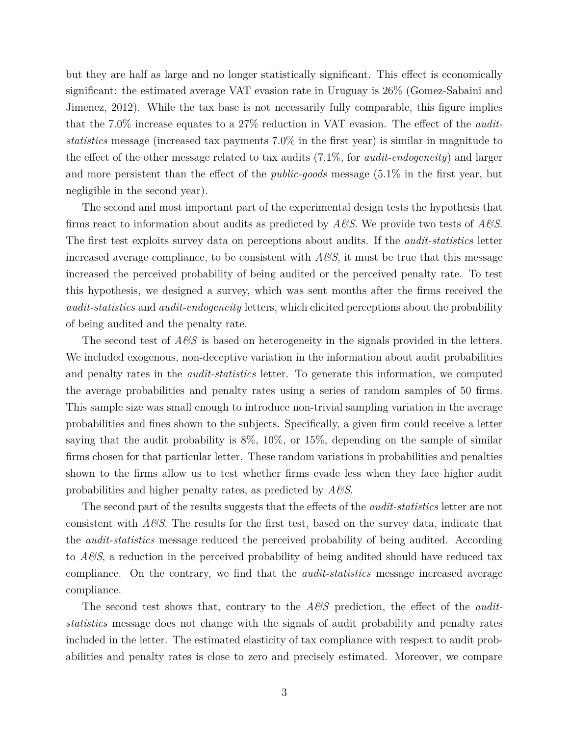but they are half as large and no longer statistically significant. This effect is economically significant: the estimated average VAT evasion rate in Uruguay is 26% [\(Gomez-Sabaini and](#page-41-0) [Jimenez, 2012\)](#page-41-0). While the tax base is not necessarily fully comparable, this figure implies that the 7.0% increase equates to a 27% reduction in VAT evasion. The effect of the *auditstatistics* message (increased tax payments 7.0% in the first year) is similar in magnitude to the effect of the other message related to tax audits (7.1%, for *audit-endogeneity*) and larger and more persistent than the effect of the *public-goods* message (5.1% in the first year, but negligible in the second year).

The second and most important part of the experimental design tests the hypothesis that firms react to information about audits as predicted by *A&S*. We provide two tests of *A&S*. The first test exploits survey data on perceptions about audits. If the *audit-statistics* letter increased average compliance, to be consistent with  $A\mathscr{CS}$ , it must be true that this message increased the perceived probability of being audited or the perceived penalty rate. To test this hypothesis, we designed a survey, which was sent months after the firms received the *audit-statistics* and *audit-endogeneity* letters, which elicited perceptions about the probability of being audited and the penalty rate.

The second test of *A&S* is based on heterogeneity in the signals provided in the letters. We included exogenous, non-deceptive variation in the information about audit probabilities and penalty rates in the *audit-statistics* letter. To generate this information, we computed the average probabilities and penalty rates using a series of random samples of 50 firms. This sample size was small enough to introduce non-trivial sampling variation in the average probabilities and fines shown to the subjects. Specifically, a given firm could receive a letter saying that the audit probability is  $8\%$ ,  $10\%$ , or  $15\%$ , depending on the sample of similar firms chosen for that particular letter. These random variations in probabilities and penalties shown to the firms allow us to test whether firms evade less when they face higher audit probabilities and higher penalty rates, as predicted by *A&S*.

The second part of the results suggests that the effects of the *audit-statistics* letter are not consistent with *A&S*. The results for the first test, based on the survey data, indicate that the *audit-statistics* message reduced the perceived probability of being audited. According to *A&S*, a reduction in the perceived probability of being audited should have reduced tax compliance. On the contrary, we find that the *audit-statistics* message increased average compliance.

The second test shows that, contrary to the  $A\mathscr{C}S$  prediction, the effect of the *auditstatistics* message does not change with the signals of audit probability and penalty rates included in the letter. The estimated elasticity of tax compliance with respect to audit probabilities and penalty rates is close to zero and precisely estimated. Moreover, we compare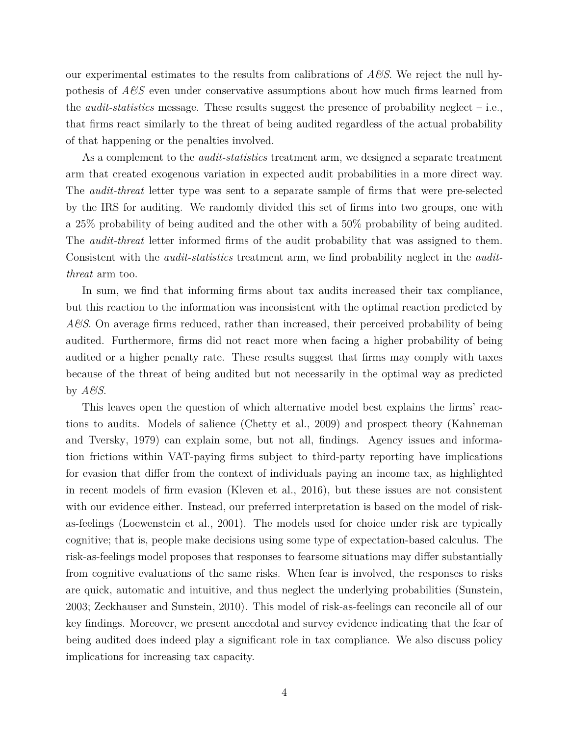our experimental estimates to the results from calibrations of *A&S*. We reject the null hypothesis of *A&S* even under conservative assumptions about how much firms learned from the *audit-statistics* message. These results suggest the presence of probability neglect – i.e., that firms react similarly to the threat of being audited regardless of the actual probability of that happening or the penalties involved.

As a complement to the *audit-statistics* treatment arm, we designed a separate treatment arm that created exogenous variation in expected audit probabilities in a more direct way. The *audit-threat* letter type was sent to a separate sample of firms that were pre-selected by the IRS for auditing. We randomly divided this set of firms into two groups, one with a 25% probability of being audited and the other with a 50% probability of being audited. The *audit-threat* letter informed firms of the audit probability that was assigned to them. Consistent with the *audit-statistics* treatment arm, we find probability neglect in the *auditthreat* arm too.

In sum, we find that informing firms about tax audits increased their tax compliance, but this reaction to the information was inconsistent with the optimal reaction predicted by *A&S*. On average firms reduced, rather than increased, their perceived probability of being audited. Furthermore, firms did not react more when facing a higher probability of being audited or a higher penalty rate. These results suggest that firms may comply with taxes because of the threat of being audited but not necessarily in the optimal way as predicted by *A&S*.

This leaves open the question of which alternative model best explains the firms' reactions to audits. Models of salience [\(Chetty et al., 2009\)](#page-41-1) and prospect theory [\(Kahneman](#page-42-4) [and Tversky, 1979\)](#page-42-4) can explain some, but not all, findings. Agency issues and information frictions within VAT-paying firms subject to third-party reporting have implications for evasion that differ from the context of individuals paying an income tax, as highlighted in recent models of firm evasion [\(Kleven et al., 2016\)](#page-42-5), but these issues are not consistent with our evidence either. Instead, our preferred interpretation is based on the model of riskas-feelings [\(Loewenstein et al., 2001\)](#page-42-6). The models used for choice under risk are typically cognitive; that is, people make decisions using some type of expectation-based calculus. The risk-as-feelings model proposes that responses to fearsome situations may differ substantially from cognitive evaluations of the same risks. When fear is involved, the responses to risks are quick, automatic and intuitive, and thus neglect the underlying probabilities [\(Sunstein,](#page-43-2) [2003;](#page-43-2) [Zeckhauser and Sunstein, 2010\)](#page-43-3). This model of risk-as-feelings can reconcile all of our key findings. Moreover, we present anecdotal and survey evidence indicating that the fear of being audited does indeed play a significant role in tax compliance. We also discuss policy implications for increasing tax capacity.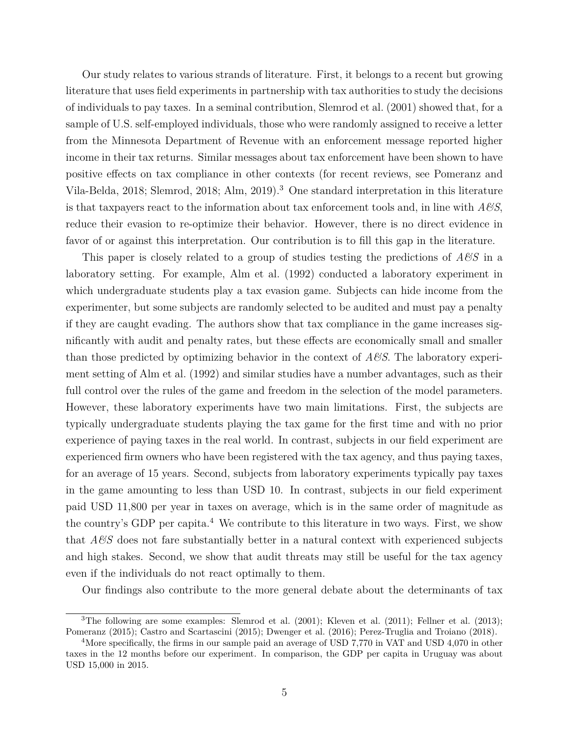Our study relates to various strands of literature. First, it belongs to a recent but growing literature that uses field experiments in partnership with tax authorities to study the decisions of individuals to pay taxes. In a seminal contribution, [Slemrod et al.](#page-43-1) [\(2001\)](#page-43-1) showed that, for a sample of U.S. self-employed individuals, those who were randomly assigned to receive a letter from the Minnesota Department of Revenue with an enforcement message reported higher income in their tax returns. Similar messages about tax enforcement have been shown to have positive effects on tax compliance in other contexts (for recent reviews, see [Pomeranz and](#page-42-7) [Vila-Belda, 2018;](#page-42-7) [Slemrod, 2018;](#page-43-0) [Alm, 2019\)](#page-40-4).[3](#page--1-0) One standard interpretation in this literature is that taxpayers react to the information about tax enforcement tools and, in line with  $A\mathscr{G}S$ , reduce their evasion to re-optimize their behavior. However, there is no direct evidence in favor of or against this interpretation. Our contribution is to fill this gap in the literature.

This paper is closely related to a group of studies testing the predictions of *A&S* in a laboratory setting. For example, [Alm et al.](#page-40-2) [\(1992\)](#page-40-2) conducted a laboratory experiment in which undergraduate students play a tax evasion game. Subjects can hide income from the experimenter, but some subjects are randomly selected to be audited and must pay a penalty if they are caught evading. The authors show that tax compliance in the game increases significantly with audit and penalty rates, but these effects are economically small and smaller than those predicted by optimizing behavior in the context of *A&S*. The laboratory experiment setting of [Alm et al.](#page-40-2) [\(1992\)](#page-40-2) and similar studies have a number advantages, such as their full control over the rules of the game and freedom in the selection of the model parameters. However, these laboratory experiments have two main limitations. First, the subjects are typically undergraduate students playing the tax game for the first time and with no prior experience of paying taxes in the real world. In contrast, subjects in our field experiment are experienced firm owners who have been registered with the tax agency, and thus paying taxes, for an average of 15 years. Second, subjects from laboratory experiments typically pay taxes in the game amounting to less than USD 10. In contrast, subjects in our field experiment paid USD 11,800 per year in taxes on average, which is in the same order of magnitude as the country's GDP per capita.<sup>[4](#page--1-0)</sup> We contribute to this literature in two ways. First, we show that  $A\mathscr{B}S$  does not fare substantially better in a natural context with experienced subjects and high stakes. Second, we show that audit threats may still be useful for the tax agency even if the individuals do not react optimally to them.

Our findings also contribute to the more general debate about the determinants of tax

<sup>&</sup>lt;sup>3</sup>The following are some examples: [Slemrod et al.](#page-43-1) [\(2001\)](#page-43-1); [Kleven et al.](#page-42-1) [\(2011\)](#page-42-1); [Fellner et al.](#page-41-2) [\(2013\)](#page-41-2); [Pomeranz](#page-42-3) [\(2015\)](#page-42-3); [Castro and Scartascini](#page-41-3) [\(2015\)](#page-41-3); [Dwenger et al.](#page-41-4) [\(2016\)](#page-41-4); [Perez-Truglia and Troiano](#page-42-8) [\(2018\)](#page-42-8).

<sup>&</sup>lt;sup>4</sup>More specifically, the firms in our sample paid an average of USD 7,770 in VAT and USD 4,070 in other taxes in the 12 months before our experiment. In comparison, the GDP per capita in Uruguay was about USD 15,000 in 2015.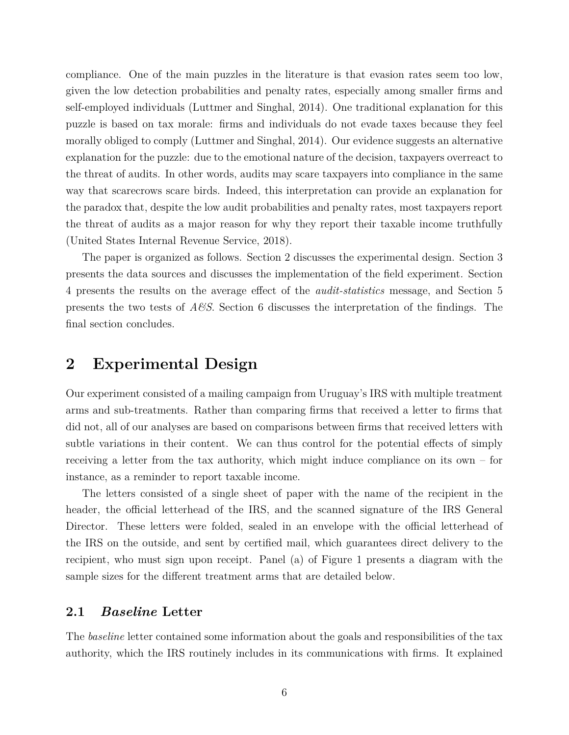compliance. One of the main puzzles in the literature is that evasion rates seem too low, given the low detection probabilities and penalty rates, especially among smaller firms and self-employed individuals [\(Luttmer and Singhal, 2014\)](#page-42-0). One traditional explanation for this puzzle is based on tax morale: firms and individuals do not evade taxes because they feel morally obliged to comply [\(Luttmer and Singhal, 2014\)](#page-42-0). Our evidence suggests an alternative explanation for the puzzle: due to the emotional nature of the decision, taxpayers overreact to the threat of audits. In other words, audits may scare taxpayers into compliance in the same way that scarecrows scare birds. Indeed, this interpretation can provide an explanation for the paradox that, despite the low audit probabilities and penalty rates, most taxpayers report the threat of audits as a major reason for why they report their taxable income truthfully [\(United States Internal Revenue Service, 2018\)](#page-43-4).

The paper is organized as follows. Section [2](#page-7-0) discusses the experimental design. Section [3](#page-13-0) presents the data sources and discusses the implementation of the field experiment. Section [4](#page-18-0) presents the results on the average effect of the *audit-statistics* message, and Section [5](#page-23-0) presents the two tests of *A&S*. Section [6](#page-35-0) discusses the interpretation of the findings. The final section concludes.

# <span id="page-7-0"></span>**2 Experimental Design**

Our experiment consisted of a mailing campaign from Uruguay's IRS with multiple treatment arms and sub-treatments. Rather than comparing firms that received a letter to firms that did not, all of our analyses are based on comparisons between firms that received letters with subtle variations in their content. We can thus control for the potential effects of simply receiving a letter from the tax authority, which might induce compliance on its own – for instance, as a reminder to report taxable income.

The letters consisted of a single sheet of paper with the name of the recipient in the header, the official letterhead of the IRS, and the scanned signature of the IRS General Director. These letters were folded, sealed in an envelope with the official letterhead of the IRS on the outside, and sent by certified mail, which guarantees direct delivery to the recipient, who must sign upon receipt. Panel (a) of Figure [1](#page-44-0) presents a diagram with the sample sizes for the different treatment arms that are detailed below.

#### **2.1** *Baseline* **Letter**

The *baseline* letter contained some information about the goals and responsibilities of the tax authority, which the IRS routinely includes in its communications with firms. It explained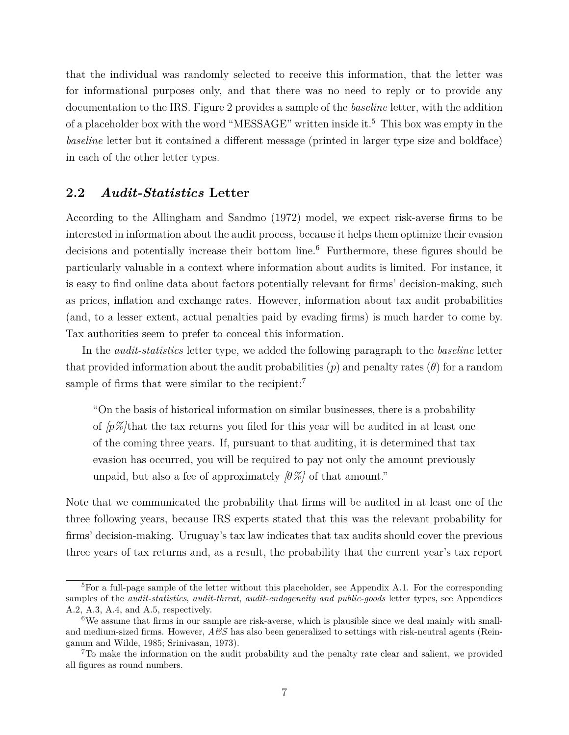that the individual was randomly selected to receive this information, that the letter was for informational purposes only, and that there was no need to reply or to provide any documentation to the IRS. Figure [2](#page-45-0) provides a sample of the *baseline* letter, with the addition of a placeholder box with the word "MESSAGE" written inside it.<sup>[5](#page--1-0)</sup> This box was empty in the *baseline* letter but it contained a different message (printed in larger type size and boldface) in each of the other letter types.

### **2.2** *Audit-Statistics* **Letter**

According to the [Allingham and Sandmo](#page-40-0) [\(1972\)](#page-40-0) model, we expect risk-averse firms to be interested in information about the audit process, because it helps them optimize their evasion decisions and potentially increase their bottom line.<sup>[6](#page--1-0)</sup> Furthermore, these figures should be particularly valuable in a context where information about audits is limited. For instance, it is easy to find online data about factors potentially relevant for firms' decision-making, such as prices, inflation and exchange rates. However, information about tax audit probabilities (and, to a lesser extent, actual penalties paid by evading firms) is much harder to come by. Tax authorities seem to prefer to conceal this information.

In the *audit-statistics* letter type, we added the following paragraph to the *baseline* letter that provided information about the audit probabilities  $(p)$  and penalty rates  $(\theta)$  for a random sample of firms that were similar to the recipient:<sup>[7](#page--1-0)</sup>

"On the basis of historical information on similar businesses, there is a probability of *[p%]*that the tax returns you filed for this year will be audited in at least one of the coming three years. If, pursuant to that auditing, it is determined that tax evasion has occurred, you will be required to pay not only the amount previously unpaid, but also a fee of approximately  $\beta\%$  of that amount."

Note that we communicated the probability that firms will be audited in at least one of the three following years, because IRS experts stated that this was the relevant probability for firms' decision-making. Uruguay's tax law indicates that tax audits should cover the previous three years of tax returns and, as a result, the probability that the current year's tax report

 ${}^{5}$ For a full-page sample of the letter without this placeholder, see Appendix A.1. For the corresponding samples of the *audit-statistics*, *audit-threat*, *audit-endogeneity and public-goods* letter types, see Appendices A.2, A.3, A.4, and A.5, respectively.

<sup>&</sup>lt;sup>6</sup>We assume that firms in our sample are risk-averse, which is plausible since we deal mainly with smalland medium-sized firms. However, *A&S* has also been generalized to settings with risk-neutral agents [\(Rein](#page-42-9)[ganum and Wilde, 1985;](#page-42-9) [Srinivasan, 1973\)](#page-43-5).

<sup>7</sup>To make the information on the audit probability and the penalty rate clear and salient, we provided all figures as round numbers.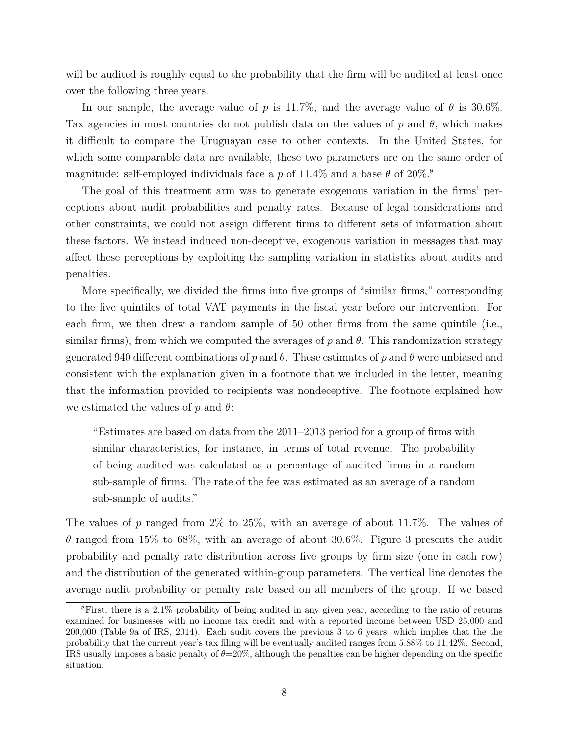will be audited is roughly equal to the probability that the firm will be audited at least once over the following three years.

In our sample, the average value of *p* is 11.7%, and the average value of  $\theta$  is 30.6%. Tax agencies in most countries do not publish data on the values of *p* and *θ*, which makes it difficult to compare the Uruguayan case to other contexts. In the United States, for which some comparable data are available, these two parameters are on the same order of magnitude: self-employed individuals face a *p* of 11.4% and a base  $\theta$  of 20%.<sup>[8](#page--1-0)</sup>

The goal of this treatment arm was to generate exogenous variation in the firms' perceptions about audit probabilities and penalty rates. Because of legal considerations and other constraints, we could not assign different firms to different sets of information about these factors. We instead induced non-deceptive, exogenous variation in messages that may affect these perceptions by exploiting the sampling variation in statistics about audits and penalties.

More specifically, we divided the firms into five groups of "similar firms," corresponding to the five quintiles of total VAT payments in the fiscal year before our intervention. For each firm, we then drew a random sample of 50 other firms from the same quintile (i.e., similar firms), from which we computed the averages of  $p$  and  $\theta$ . This randomization strategy generated 940 different combinations of  $p$  and  $\theta$ . These estimates of  $p$  and  $\theta$  were unbiased and consistent with the explanation given in a footnote that we included in the letter, meaning that the information provided to recipients was nondeceptive. The footnote explained how we estimated the values of *p* and *θ*:

"Estimates are based on data from the 2011–2013 period for a group of firms with similar characteristics, for instance, in terms of total revenue. The probability of being audited was calculated as a percentage of audited firms in a random sub-sample of firms. The rate of the fee was estimated as an average of a random sub-sample of audits."

The values of *p* ranged from 2% to 25%, with an average of about 11.7%. The values of *θ* ranged from 15% to 68%, with an average of about 30.6%. Figure [3](#page-46-0) presents the audit probability and penalty rate distribution across five groups by firm size (one in each row) and the distribution of the generated within-group parameters. The vertical line denotes the average audit probability or penalty rate based on all members of the group. If we based

<sup>8</sup>First, there is a 2.1% probability of being audited in any given year, according to the ratio of returns examined for businesses with no income tax credit and with a reported income between USD 25,000 and 200,000 (Table 9a of IRS, 2014). Each audit covers the previous 3 to 6 years, which implies that the the probability that the current year's tax filing will be eventually audited ranges from 5.88% to 11.42%. Second, IRS usually imposes a basic penalty of  $\theta = 20\%$ , although the penalties can be higher depending on the specific situation.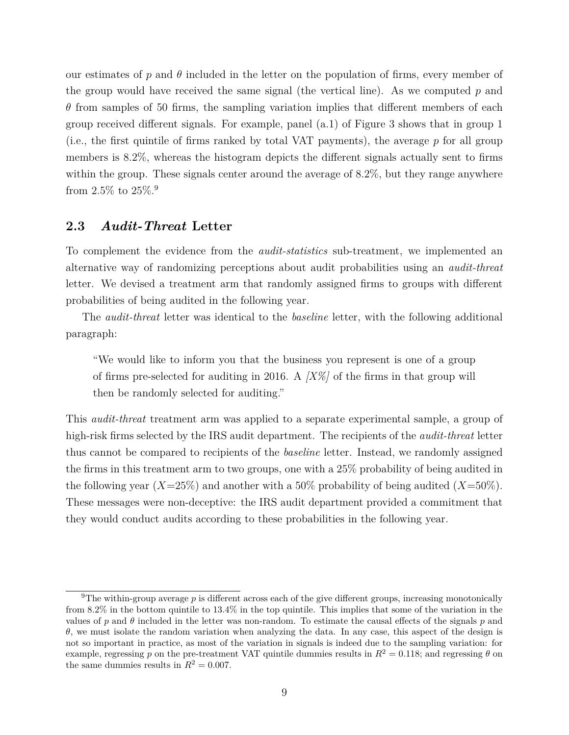our estimates of  $p$  and  $\theta$  included in the letter on the population of firms, every member of the group would have received the same signal (the vertical line). As we computed *p* and *θ* from samples of 50 firms, the sampling variation implies that different members of each group received different signals. For example, panel (a.1) of Figure [3](#page-46-0) shows that in group 1 (i.e., the first quintile of firms ranked by total VAT payments), the average *p* for all group members is 8.2%, whereas the histogram depicts the different signals actually sent to firms within the group. These signals center around the average of 8.2%, but they range anywhere from 2.5% to  $25\%$ .<sup>[9](#page--1-0)</sup>

## **2.3** *Audit-Threat* **Letter**

To complement the evidence from the *audit-statistics* sub-treatment, we implemented an alternative way of randomizing perceptions about audit probabilities using an *audit-threat* letter. We devised a treatment arm that randomly assigned firms to groups with different probabilities of being audited in the following year.

The *audit-threat* letter was identical to the *baseline* letter, with the following additional paragraph:

"We would like to inform you that the business you represent is one of a group of firms pre-selected for auditing in 2016. A *[X%]* of the firms in that group will then be randomly selected for auditing."

This *audit-threat* treatment arm was applied to a separate experimental sample, a group of high-risk firms selected by the IRS audit department. The recipients of the *audit-threat* letter thus cannot be compared to recipients of the *baseline* letter. Instead, we randomly assigned the firms in this treatment arm to two groups, one with a 25% probability of being audited in the following year  $(X=25\%)$  and another with a 50% probability of being audited  $(X=50\%)$ . These messages were non-deceptive: the IRS audit department provided a commitment that they would conduct audits according to these probabilities in the following year.

<sup>9</sup>The within-group average *p* is different across each of the give different groups, increasing monotonically from 8.2% in the bottom quintile to 13.4% in the top quintile. This implies that some of the variation in the values of *p* and *θ* included in the letter was non-random. To estimate the causal effects of the signals *p* and *θ*, we must isolate the random variation when analyzing the data. In any case, this aspect of the design is not so important in practice, as most of the variation in signals is indeed due to the sampling variation: for example, regressing *p* on the pre-treatment VAT quintile dummies results in  $R^2 = 0.118$ ; and regressing  $\theta$  on the same dummies results in  $R^2 = 0.007$ .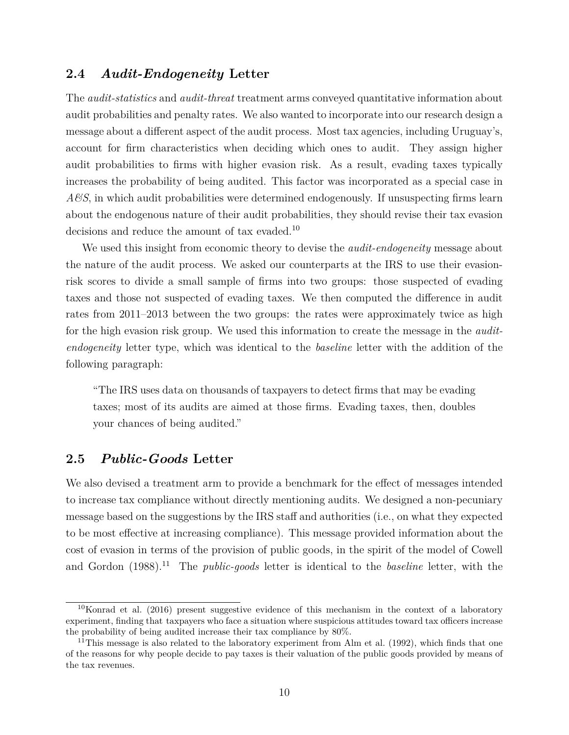### **2.4** *Audit-Endogeneity* **Letter**

The *audit-statistics* and *audit-threat* treatment arms conveyed quantitative information about audit probabilities and penalty rates. We also wanted to incorporate into our research design a message about a different aspect of the audit process. Most tax agencies, including Uruguay's, account for firm characteristics when deciding which ones to audit. They assign higher audit probabilities to firms with higher evasion risk. As a result, evading taxes typically increases the probability of being audited. This factor was incorporated as a special case in *A&S*, in which audit probabilities were determined endogenously. If unsuspecting firms learn about the endogenous nature of their audit probabilities, they should revise their tax evasion decisions and reduce the amount of tax evaded.<sup>[10](#page--1-0)</sup>

We used this insight from economic theory to devise the *audit-endogeneity* message about the nature of the audit process. We asked our counterparts at the IRS to use their evasionrisk scores to divide a small sample of firms into two groups: those suspected of evading taxes and those not suspected of evading taxes. We then computed the difference in audit rates from 2011–2013 between the two groups: the rates were approximately twice as high for the high evasion risk group. We used this information to create the message in the *auditendogeneity* letter type, which was identical to the *baseline* letter with the addition of the following paragraph:

"The IRS uses data on thousands of taxpayers to detect firms that may be evading taxes; most of its audits are aimed at those firms. Evading taxes, then, doubles your chances of being audited."

## **2.5** *Public-Goods* **Letter**

We also devised a treatment arm to provide a benchmark for the effect of messages intended to increase tax compliance without directly mentioning audits. We designed a non-pecuniary message based on the suggestions by the IRS staff and authorities (i.e., on what they expected to be most effective at increasing compliance). This message provided information about the cost of evasion in terms of the provision of public goods, in the spirit of the model of [Cowell](#page-41-5) [and Gordon](#page-41-5) [\(1988\)](#page-41-5).<sup>[11](#page--1-0)</sup> The *public-goods* letter is identical to the *baseline* letter, with the

 $10$ [Konrad et al.](#page-42-10) [\(2016\)](#page-42-10) present suggestive evidence of this mechanism in the context of a laboratory experiment, finding that taxpayers who face a situation where suspicious attitudes toward tax officers increase the probability of being audited increase their tax compliance by 80%.

 $11$ This message is also related to the laboratory experiment from [Alm et al.](#page-40-5) [\(1992\)](#page-40-5), which finds that one of the reasons for why people decide to pay taxes is their valuation of the public goods provided by means of the tax revenues.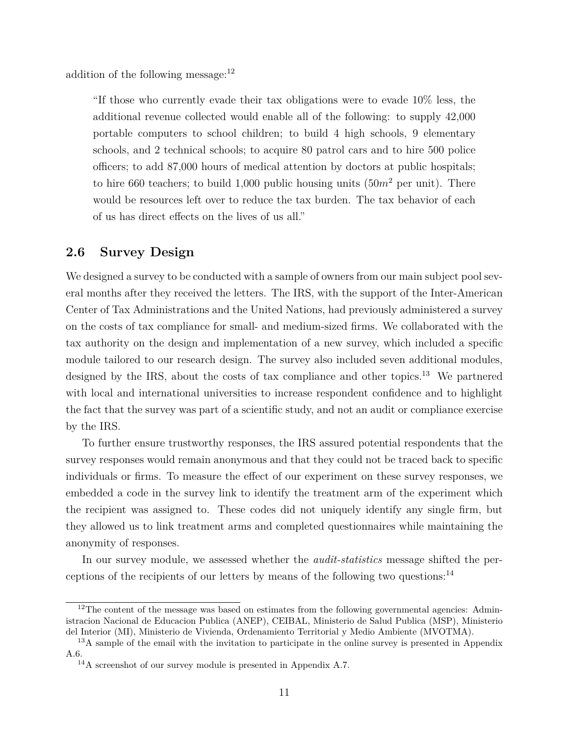addition of the following message:<sup>[12](#page--1-0)</sup>

"If those who currently evade their tax obligations were to evade 10% less, the additional revenue collected would enable all of the following: to supply 42,000 portable computers to school children; to build 4 high schools, 9 elementary schools, and 2 technical schools; to acquire 80 patrol cars and to hire 500 police officers; to add 87,000 hours of medical attention by doctors at public hospitals; to hire 660 teachers; to build 1,000 public housing units  $(50m^2$  per unit). There would be resources left over to reduce the tax burden. The tax behavior of each of us has direct effects on the lives of us all."

#### **2.6 Survey Design**

We designed a survey to be conducted with a sample of owners from our main subject pool several months after they received the letters. The IRS, with the support of the Inter-American Center of Tax Administrations and the United Nations, had previously administered a survey on the costs of tax compliance for small- and medium-sized firms. We collaborated with the tax authority on the design and implementation of a new survey, which included a specific module tailored to our research design. The survey also included seven additional modules, designed by the IRS, about the costs of tax compliance and other topics.<sup>[13](#page--1-0)</sup> We partnered with local and international universities to increase respondent confidence and to highlight the fact that the survey was part of a scientific study, and not an audit or compliance exercise by the IRS.

To further ensure trustworthy responses, the IRS assured potential respondents that the survey responses would remain anonymous and that they could not be traced back to specific individuals or firms. To measure the effect of our experiment on these survey responses, we embedded a code in the survey link to identify the treatment arm of the experiment which the recipient was assigned to. These codes did not uniquely identify any single firm, but they allowed us to link treatment arms and completed questionnaires while maintaining the anonymity of responses.

In our survey module, we assessed whether the *audit-statistics* message shifted the perceptions of the recipients of our letters by means of the following two questions:[14](#page--1-0)

 $12$ The content of the message was based on estimates from the following governmental agencies: Administracion Nacional de Educacion Publica (ANEP), CEIBAL, Ministerio de Salud Publica (MSP), Ministerio del Interior (MI), Ministerio de Vivienda, Ordenamiento Territorial y Medio Ambiente (MVOTMA).

<sup>13</sup>A sample of the email with the invitation to participate in the online survey is presented in Appendix A.6.

<sup>14</sup>A screenshot of our survey module is presented in Appendix A.7.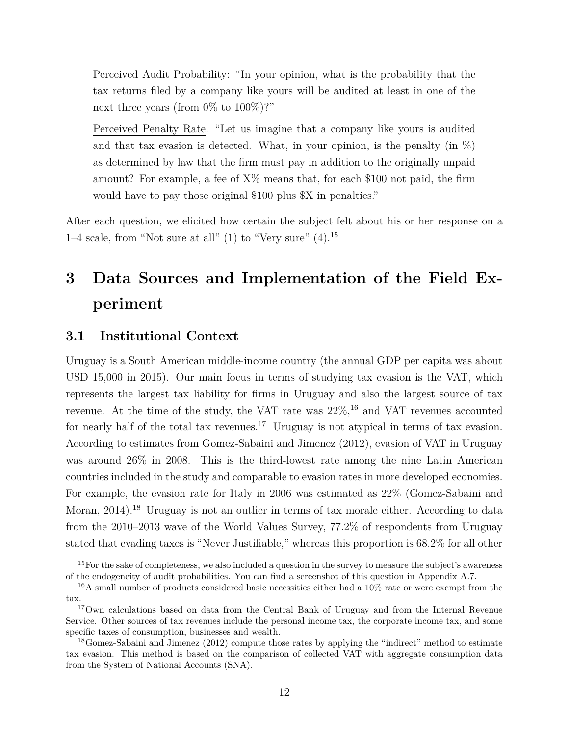Perceived Audit Probability: "In your opinion, what is the probability that the tax returns filed by a company like yours will be audited at least in one of the next three years (from  $0\%$  to  $100\%)$ ?"

Perceived Penalty Rate: "Let us imagine that a company like yours is audited and that tax evasion is detected. What, in your opinion, is the penalty (in  $\%$ ) as determined by law that the firm must pay in addition to the originally unpaid amount? For example, a fee of X% means that, for each \$100 not paid, the firm would have to pay those original \$100 plus \$X in penalties."

After each question, we elicited how certain the subject felt about his or her response on a  $1-4$  scale, from "Not sure at all" (1) to "Very sure" (4).<sup>[15](#page--1-0)</sup>

# <span id="page-13-0"></span>**3 Data Sources and Implementation of the Field Experiment**

### **3.1 Institutional Context**

Uruguay is a South American middle-income country (the annual GDP per capita was about USD 15,000 in 2015). Our main focus in terms of studying tax evasion is the VAT, which represents the largest tax liability for firms in Uruguay and also the largest source of tax revenue. At the time of the study, the VAT rate was  $22\%,^{16}$  $22\%,^{16}$  $22\%,^{16}$  and VAT revenues accounted for nearly half of the total tax revenues.<sup>[17](#page--1-0)</sup> Uruguay is not atypical in terms of tax evasion. According to estimates from [Gomez-Sabaini and Jimenez](#page-41-0) [\(2012\)](#page-41-0), evasion of VAT in Uruguay was around 26% in 2008. This is the third-lowest rate among the nine Latin American countries included in the study and comparable to evasion rates in more developed economies. For example, the evasion rate for Italy in 2006 was estimated as 22% [\(Gomez-Sabaini and](#page-41-6) [Moran, 2014\)](#page-41-6).<sup>[18](#page--1-0)</sup> Uruguay is not an outlier in terms of tax morale either. According to data from the 2010–2013 wave of the World Values Survey, 77.2% of respondents from Uruguay stated that evading taxes is "Never Justifiable," whereas this proportion is 68.2% for all other

 $15$ For the sake of completeness, we also included a question in the survey to measure the subject's awareness of the endogeneity of audit probabilities. You can find a screenshot of this question in Appendix A.7.

<sup>16</sup>A small number of products considered basic necessities either had a 10% rate or were exempt from the tax.

<sup>&</sup>lt;sup>17</sup>Own calculations based on data from the Central Bank of Uruguay and from the Internal Revenue Service. Other sources of tax revenues include the personal income tax, the corporate income tax, and some specific taxes of consumption, businesses and wealth.

<sup>&</sup>lt;sup>18</sup>[Gomez-Sabaini and Jimenez](#page-41-0) [\(2012\)](#page-41-0) compute those rates by applying the "indirect" method to estimate tax evasion. This method is based on the comparison of collected VAT with aggregate consumption data from the System of National Accounts (SNA).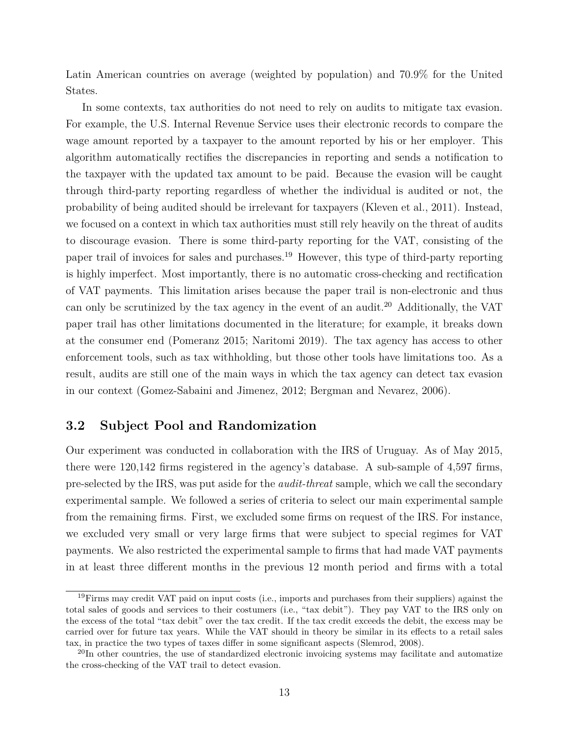<span id="page-14-0"></span>Latin American countries on average (weighted by population) and 70.9% for the United States.

In some contexts, tax authorities do not need to rely on audits to mitigate tax evasion. For example, the U.S. Internal Revenue Service uses their electronic records to compare the wage amount reported by a taxpayer to the amount reported by his or her employer. This algorithm automatically rectifies the discrepancies in reporting and sends a notification to the taxpayer with the updated tax amount to be paid. Because the evasion will be caught through third-party reporting regardless of whether the individual is audited or not, the probability of being audited should be irrelevant for taxpayers [\(Kleven et al., 2011\)](#page-42-1). Instead, we focused on a context in which tax authorities must still rely heavily on the threat of audits to discourage evasion. There is some third-party reporting for the VAT, consisting of the paper trail of invoices for sales and purchases.[19](#page--1-0) However, this type of third-party reporting is highly imperfect. Most importantly, there is no automatic cross-checking and rectification of VAT payments. This limitation arises because the paper trail is non-electronic and thus can only be scrutinized by the tax agency in the event of an audit.[20](#page--1-0) Additionally, the VAT paper trail has other limitations documented in the literature; for example, it breaks down at the consumer end [\(Pomeranz 2015;](#page-42-3) [Naritomi 2019\)](#page-42-2). The tax agency has access to other enforcement tools, such as tax withholding, but those other tools have limitations too. As a result, audits are still one of the main ways in which the tax agency can detect tax evasion in our context [\(Gomez-Sabaini and Jimenez, 2012;](#page-41-0) [Bergman and Nevarez, 2006\)](#page-40-3).

### **3.2 Subject Pool and Randomization**

Our experiment was conducted in collaboration with the IRS of Uruguay. As of May 2015, there were 120,142 firms registered in the agency's database. A sub-sample of 4,597 firms, pre-selected by the IRS, was put aside for the *audit-threat* sample, which we call the secondary experimental sample. We followed a series of criteria to select our main experimental sample from the remaining firms. First, we excluded some firms on request of the IRS. For instance, we excluded very small or very large firms that were subject to special regimes for VAT payments. We also restricted the experimental sample to firms that had made VAT payments in at least three different months in the previous 12 month period and firms with a total

 $19$ Firms may credit VAT paid on input costs (i.e., imports and purchases from their suppliers) against the total sales of goods and services to their costumers (i.e., "tax debit"). They pay VAT to the IRS only on the excess of the total "tax debit" over the tax credit. If the tax credit exceeds the debit, the excess may be carried over for future tax years. While the VAT should in theory be similar in its effects to a retail sales tax, in practice the two types of taxes differ in some significant aspects [\(Slemrod, 2008\)](#page-42-11).

 $^{20}$ In other countries, the use of standardized electronic invoicing systems may facilitate and automatize the cross-checking of the VAT trail to detect evasion.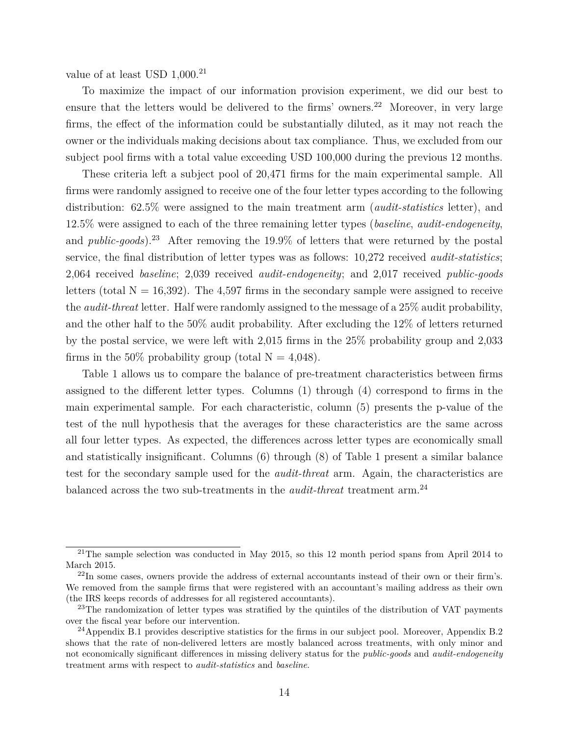value of at least USD  $1,000^{21}$  $1,000^{21}$  $1,000^{21}$ 

To maximize the impact of our information provision experiment, we did our best to ensure that the letters would be delivered to the firms' owners.<sup>[22](#page--1-0)</sup> Moreover, in very large firms, the effect of the information could be substantially diluted, as it may not reach the owner or the individuals making decisions about tax compliance. Thus, we excluded from our subject pool firms with a total value exceeding USD 100,000 during the previous 12 months.

These criteria left a subject pool of 20,471 firms for the main experimental sample. All firms were randomly assigned to receive one of the four letter types according to the following distribution: 62.5% were assigned to the main treatment arm (*audit-statistics* letter), and 12.5% were assigned to each of the three remaining letter types (*baseline*, *audit-endogeneity*, and *public-goods*).<sup>[23](#page--1-0)</sup> After removing the 19.9% of letters that were returned by the postal service, the final distribution of letter types was as follows: 10,272 received *audit-statistics*; 2,064 received *baseline*; 2,039 received *audit-endogeneity*; and 2,017 received *public-goods* letters (total  $N = 16,392$ ). The 4,597 firms in the secondary sample were assigned to receive the *audit-threat* letter. Half were randomly assigned to the message of a 25% audit probability, and the other half to the 50% audit probability. After excluding the 12% of letters returned by the postal service, we were left with 2,015 firms in the 25% probability group and 2,033 firms in the 50% probability group (total  $N = 4,048$ ).

Table [1](#page-50-0) allows us to compare the balance of pre-treatment characteristics between firms assigned to the different letter types. Columns (1) through (4) correspond to firms in the main experimental sample. For each characteristic, column (5) presents the p-value of the test of the null hypothesis that the averages for these characteristics are the same across all four letter types. As expected, the differences across letter types are economically small and statistically insignificant. Columns (6) through (8) of Table [1](#page-50-0) present a similar balance test for the secondary sample used for the *audit-threat* arm. Again, the characteristics are balanced across the two sub-treatments in the *audit-threat* treatment arm.[24](#page--1-0)

<sup>&</sup>lt;sup>21</sup>The sample selection was conducted in May 2015, so this 12 month period spans from April 2014 to March 2015.

 $^{22}$ In some cases, owners provide the address of external accountants instead of their own or their firm's. We removed from the sample firms that were registered with an accountant's mailing address as their own (the IRS keeps records of addresses for all registered accountants).

<sup>&</sup>lt;sup>23</sup>The randomization of letter types was stratified by the quintiles of the distribution of VAT payments over the fiscal year before our intervention.

 $^{24}$ Appendix B.1 provides descriptive statistics for the firms in our subject pool. Moreover, Appendix B.2 shows that the rate of non-delivered letters are mostly balanced across treatments, with only minor and not economically significant differences in missing delivery status for the *public-goods* and *audit-endogeneity* treatment arms with respect to *audit-statistics* and *baseline*.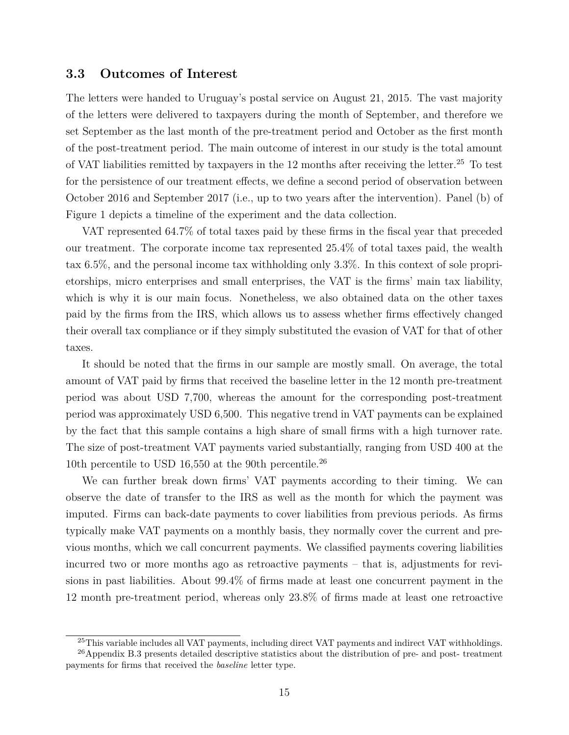#### **3.3 Outcomes of Interest**

The letters were handed to Uruguay's postal service on August 21, 2015. The vast majority of the letters were delivered to taxpayers during the month of September, and therefore we set September as the last month of the pre-treatment period and October as the first month of the post-treatment period. The main outcome of interest in our study is the total amount of VAT liabilities remitted by taxpayers in the  $12$  months after receiving the letter.<sup>[25](#page--1-0)</sup> To test for the persistence of our treatment effects, we define a second period of observation between October 2016 and September 2017 (i.e., up to two years after the intervention). Panel (b) of Figure [1](#page-44-0) depicts a timeline of the experiment and the data collection.

VAT represented 64.7% of total taxes paid by these firms in the fiscal year that preceded our treatment. The corporate income tax represented 25.4% of total taxes paid, the wealth tax 6.5%, and the personal income tax withholding only 3.3%. In this context of sole proprietorships, micro enterprises and small enterprises, the VAT is the firms' main tax liability, which is why it is our main focus. Nonetheless, we also obtained data on the other taxes paid by the firms from the IRS, which allows us to assess whether firms effectively changed their overall tax compliance or if they simply substituted the evasion of VAT for that of other taxes.

It should be noted that the firms in our sample are mostly small. On average, the total amount of VAT paid by firms that received the baseline letter in the 12 month pre-treatment period was about USD 7,700, whereas the amount for the corresponding post-treatment period was approximately USD 6,500. This negative trend in VAT payments can be explained by the fact that this sample contains a high share of small firms with a high turnover rate. The size of post-treatment VAT payments varied substantially, ranging from USD 400 at the 10th percentile to USD 16,550 at the 90th percentile.<sup>[26](#page--1-0)</sup>

We can further break down firms' VAT payments according to their timing. We can observe the date of transfer to the IRS as well as the month for which the payment was imputed. Firms can back-date payments to cover liabilities from previous periods. As firms typically make VAT payments on a monthly basis, they normally cover the current and previous months, which we call concurrent payments. We classified payments covering liabilities incurred two or more months ago as retroactive payments – that is, adjustments for revisions in past liabilities. About 99.4% of firms made at least one concurrent payment in the 12 month pre-treatment period, whereas only 23.8% of firms made at least one retroactive

<sup>&</sup>lt;sup>25</sup>This variable includes all VAT payments, including direct VAT payments and indirect VAT withholdings.

<sup>&</sup>lt;sup>26</sup>Appendix B.3 presents detailed descriptive statistics about the distribution of pre- and post- treatment payments for firms that received the *baseline* letter type.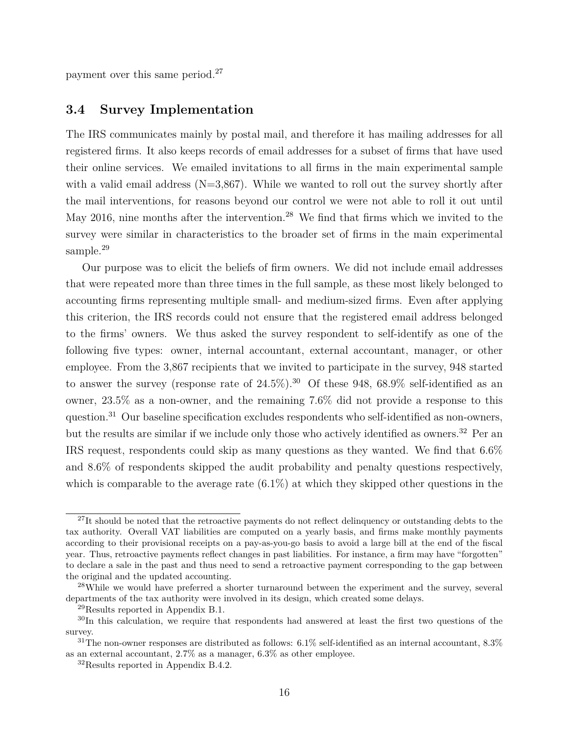payment over this same period.[27](#page--1-0)

#### **3.4 Survey Implementation**

The IRS communicates mainly by postal mail, and therefore it has mailing addresses for all registered firms. It also keeps records of email addresses for a subset of firms that have used their online services. We emailed invitations to all firms in the main experimental sample with a valid email address  $(N=3,867)$ . While we wanted to roll out the survey shortly after the mail interventions, for reasons beyond our control we were not able to roll it out until May 2016, nine months after the intervention.<sup>[28](#page--1-0)</sup> We find that firms which we invited to the survey were similar in characteristics to the broader set of firms in the main experimental sample.<sup>[29](#page--1-0)</sup>

Our purpose was to elicit the beliefs of firm owners. We did not include email addresses that were repeated more than three times in the full sample, as these most likely belonged to accounting firms representing multiple small- and medium-sized firms. Even after applying this criterion, the IRS records could not ensure that the registered email address belonged to the firms' owners. We thus asked the survey respondent to self-identify as one of the following five types: owner, internal accountant, external accountant, manager, or other employee. From the 3,867 recipients that we invited to participate in the survey, 948 started to answer the survey (response rate of  $24.5\%$ ).<sup>[30](#page--1-0)</sup> Of these 948, 68.9% self-identified as an owner, 23.5% as a non-owner, and the remaining 7.6% did not provide a response to this question.[31](#page--1-0) Our baseline specification excludes respondents who self-identified as non-owners, but the results are similar if we include only those who actively identified as owners.<sup>[32](#page--1-0)</sup> Per an IRS request, respondents could skip as many questions as they wanted. We find that 6.6% and 8.6% of respondents skipped the audit probability and penalty questions respectively, which is comparable to the average rate  $(6.1\%)$  at which they skipped other questions in the

 $27$ It should be noted that the retroactive payments do not reflect delinquency or outstanding debts to the tax authority. Overall VAT liabilities are computed on a yearly basis, and firms make monthly payments according to their provisional receipts on a pay-as-you-go basis to avoid a large bill at the end of the fiscal year. Thus, retroactive payments reflect changes in past liabilities. For instance, a firm may have "forgotten" to declare a sale in the past and thus need to send a retroactive payment corresponding to the gap between the original and the updated accounting.

<sup>&</sup>lt;sup>28</sup>While we would have preferred a shorter turnaround between the experiment and the survey, several departments of the tax authority were involved in its design, which created some delays.

<sup>29</sup>Results reported in Appendix B.1.

<sup>&</sup>lt;sup>30</sup>In this calculation, we require that respondents had answered at least the first two questions of the survey.

 $31$ The non-owner responses are distributed as follows: 6.1% self-identified as an internal accountant, 8.3% as an external accountant, 2.7% as a manager, 6.3% as other employee.

<sup>32</sup>Results reported in Appendix B.4.2.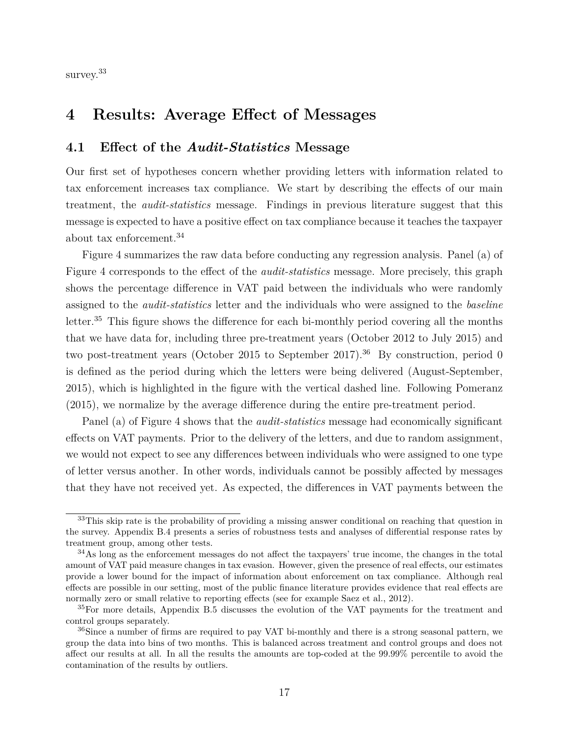survey.<sup>[33](#page--1-0)</sup>

# <span id="page-18-0"></span>**4 Results: Average Effect of Messages**

#### **4.1 Effect of the** *Audit-Statistics* **Message**

Our first set of hypotheses concern whether providing letters with information related to tax enforcement increases tax compliance. We start by describing the effects of our main treatment, the *audit-statistics* message. Findings in previous literature suggest that this message is expected to have a positive effect on tax compliance because it teaches the taxpayer about tax enforcement.<sup>[34](#page--1-0)</sup>

Figure [4](#page-47-0) summarizes the raw data before conducting any regression analysis. Panel (a) of Figure [4](#page-47-0) corresponds to the effect of the *audit-statistics* message. More precisely, this graph shows the percentage difference in VAT paid between the individuals who were randomly assigned to the *audit-statistics* letter and the individuals who were assigned to the *baseline* letter.<sup>[35](#page--1-0)</sup> This figure shows the difference for each bi-monthly period covering all the months that we have data for, including three pre-treatment years (October 2012 to July 2015) and two post-treatment years (October 2015 to September 2017).<sup>[36](#page--1-0)</sup> By construction, period 0 is defined as the period during which the letters were being delivered (August-September, 2015), which is highlighted in the figure with the vertical dashed line. Following [Pomeranz](#page-42-3) [\(2015\)](#page-42-3), we normalize by the average difference during the entire pre-treatment period.

Panel (a) of Figure [4](#page-47-0) shows that the *audit-statistics* message had economically significant effects on VAT payments. Prior to the delivery of the letters, and due to random assignment, we would not expect to see any differences between individuals who were assigned to one type of letter versus another. In other words, individuals cannot be possibly affected by messages that they have not received yet. As expected, the differences in VAT payments between the

<sup>&</sup>lt;sup>33</sup>This skip rate is the probability of providing a missing answer conditional on reaching that question in the survey. Appendix B.4 presents a series of robustness tests and analyses of differential response rates by treatment group, among other tests.

<sup>&</sup>lt;sup>34</sup>As long as the enforcement messages do not affect the taxpayers' true income, the changes in the total amount of VAT paid measure changes in tax evasion. However, given the presence of real effects, our estimates provide a lower bound for the impact of information about enforcement on tax compliance. Although real effects are possible in our setting, most of the public finance literature provides evidence that real effects are normally zero or small relative to reporting effects (see for example [Saez et al., 2012\)](#page-42-12).

<sup>&</sup>lt;sup>35</sup>For more details, Appendix B.5 discusses the evolution of the VAT payments for the treatment and control groups separately.

<sup>36</sup>Since a number of firms are required to pay VAT bi-monthly and there is a strong seasonal pattern, we group the data into bins of two months. This is balanced across treatment and control groups and does not affect our results at all. In all the results the amounts are top-coded at the 99.99% percentile to avoid the contamination of the results by outliers.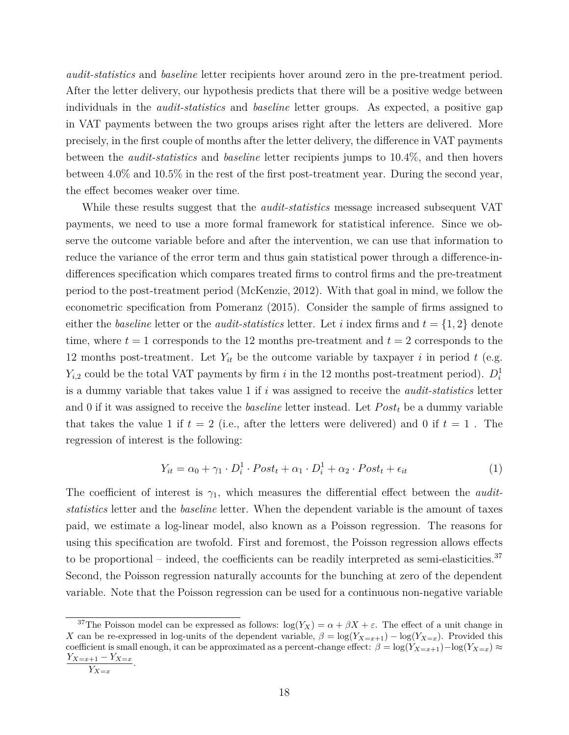*audit-statistics* and *baseline* letter recipients hover around zero in the pre-treatment period. After the letter delivery, our hypothesis predicts that there will be a positive wedge between individuals in the *audit-statistics* and *baseline* letter groups. As expected, a positive gap in VAT payments between the two groups arises right after the letters are delivered. More precisely, in the first couple of months after the letter delivery, the difference in VAT payments between the *audit-statistics* and *baseline* letter recipients jumps to 10.4%, and then hovers between 4.0% and 10.5% in the rest of the first post-treatment year. During the second year, the effect becomes weaker over time.

While these results suggest that the *audit-statistics* message increased subsequent VAT payments, we need to use a more formal framework for statistical inference. Since we observe the outcome variable before and after the intervention, we can use that information to reduce the variance of the error term and thus gain statistical power through a difference-indifferences specification which compares treated firms to control firms and the pre-treatment period to the post-treatment period [\(McKenzie, 2012\)](#page-42-13). With that goal in mind, we follow the econometric specification from [Pomeranz](#page-42-3) [\(2015\)](#page-42-3). Consider the sample of firms assigned to either the *baseline* letter or the *audit-statistics* letter. Let *i* index firms and  $t = \{1, 2\}$  denote time, where  $t = 1$  corresponds to the 12 months pre-treatment and  $t = 2$  corresponds to the 12 months post-treatment. Let  $Y_{it}$  be the outcome variable by taxpayer *i* in period *t* (e.g.  $Y_{i,2}$  could be the total VAT payments by firm *i* in the 12 months post-treatment period).  $D_i^1$ is a dummy variable that takes value 1 if *i* was assigned to receive the *audit-statistics* letter and 0 if it was assigned to receive the *baseline* letter instead. Let *P ost<sup>t</sup>* be a dummy variable that takes the value 1 if  $t = 2$  (i.e., after the letters were delivered) and 0 if  $t = 1$ . The regression of interest is the following:

<span id="page-19-0"></span>
$$
Y_{it} = \alpha_0 + \gamma_1 \cdot D_i^1 \cdot Post_t + \alpha_1 \cdot D_i^1 + \alpha_2 \cdot Post_t + \epsilon_{it}
$$
\n<sup>(1)</sup>

The coefficient of interest is  $\gamma_1$ , which measures the differential effect between the *auditstatistics* letter and the *baseline* letter. When the dependent variable is the amount of taxes paid, we estimate a log-linear model, also known as a Poisson regression. The reasons for using this specification are twofold. First and foremost, the Poisson regression allows effects to be proportional – indeed, the coefficients can be readily interpreted as semi-elasticities.<sup>[37](#page--1-0)</sup> Second, the Poisson regression naturally accounts for the bunching at zero of the dependent variable. Note that the Poisson regression can be used for a continuous non-negative variable

<sup>&</sup>lt;sup>37</sup>The Poisson model can be expressed as follows:  $log(Y_X) = \alpha + \beta X + \varepsilon$ . The effect of a unit change in *X* can be re-expressed in log-units of the dependent variable,  $\beta = \log(Y_{X=x+1}) - \log(Y_{X=x})$ . Provided this coefficient is small enough, it can be approximated as a percent-change effect:  $\beta = \log(Y_{X=x+1}) - \log(Y_{X=x}) \approx$ *Y<sup>X</sup>*=*x*+1 − *Y<sup>X</sup>*=*<sup>x</sup>*

 $\frac{y_{X=x}}{Y_{X=x}}$ .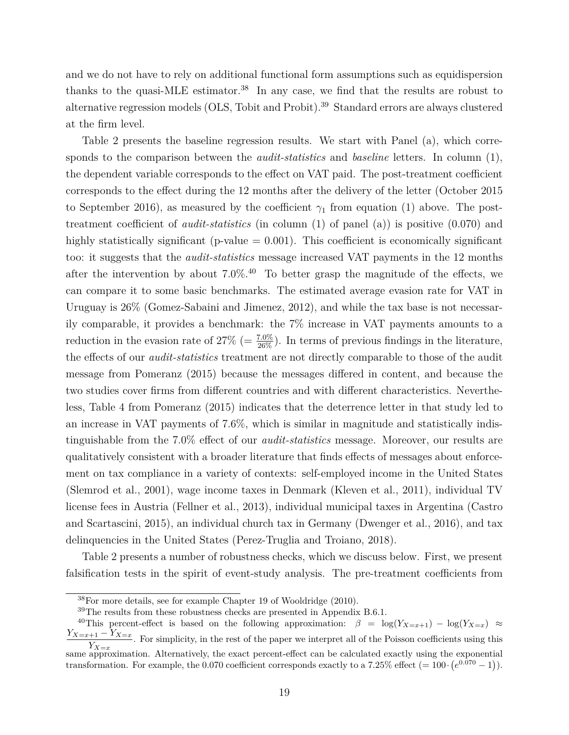and we do not have to rely on additional functional form assumptions such as equidispersion thanks to the quasi-MLE estimator.<sup>[38](#page--1-0)</sup> In any case, we find that the results are robust to alternative regression models (OLS, Tobit and Probit).[39](#page--1-0) Standard errors are always clustered at the firm level.

Table [2](#page-51-0) presents the baseline regression results. We start with Panel (a), which corresponds to the comparison between the *audit-statistics* and *baseline* letters. In column (1), the dependent variable corresponds to the effect on VAT paid. The post-treatment coefficient corresponds to the effect during the 12 months after the delivery of the letter (October 2015 to September 2016), as measured by the coefficient  $\gamma_1$  from equation [\(1\)](#page-19-0) above. The posttreatment coefficient of *audit-statistics* (in column (1) of panel (a)) is positive (0.070) and highly statistically significant (p-value  $= 0.001$ ). This coefficient is economically significant too: it suggests that the *audit-statistics* message increased VAT payments in the 12 months after the intervention by about  $7.0\%$ .<sup>[40](#page--1-0)</sup> To better grasp the magnitude of the effects, we can compare it to some basic benchmarks. The estimated average evasion rate for VAT in Uruguay is 26% [\(Gomez-Sabaini and Jimenez, 2012\)](#page-41-0), and while the tax base is not necessarily comparable, it provides a benchmark: the 7% increase in VAT payments amounts to a reduction in the evasion rate of  $27\%$  (=  $\frac{7.0\%}{26\%}$ ). In terms of previous findings in the literature, the effects of our *audit-statistics* treatment are not directly comparable to those of the audit message from [Pomeranz](#page-42-3) [\(2015\)](#page-42-3) because the messages differed in content, and because the two studies cover firms from different countries and with different characteristics. Nevertheless, Table 4 from [Pomeranz](#page-42-3) [\(2015\)](#page-42-3) indicates that the deterrence letter in that study led to an increase in VAT payments of 7.6%, which is similar in magnitude and statistically indistinguishable from the 7.0% effect of our *audit-statistics* message. Moreover, our results are qualitatively consistent with a broader literature that finds effects of messages about enforcement on tax compliance in a variety of contexts: self-employed income in the United States [\(Slemrod et al., 2001\)](#page-43-1), wage income taxes in Denmark [\(Kleven et al., 2011\)](#page-42-1), individual TV license fees in Austria [\(Fellner et al., 2013\)](#page-41-2), individual municipal taxes in Argentina [\(Castro](#page-41-3) [and Scartascini, 2015\)](#page-41-3), an individual church tax in Germany [\(Dwenger et al., 2016\)](#page-41-4), and tax delinquencies in the United States [\(Perez-Truglia and Troiano, 2018\)](#page-42-8).

Table [2](#page-51-0) presents a number of robustness checks, which we discuss below. First, we present falsification tests in the spirit of event-study analysis. The pre-treatment coefficients from

<sup>38</sup>For more details, see for example Chapter 19 of [Wooldridge](#page-43-6) [\(2010\)](#page-43-6).

 $39$ The results from these robustness checks are presented in Appendix B.6.1.

<sup>&</sup>lt;sup>40</sup>This percent-effect is based on the following approximation:  $\beta = \log(Y_{X=x+1}) - \log(Y_{X=x}) \approx$ *Y<sup>X</sup>*=*x*+1 − *Y<sup>X</sup>*=*<sup>x</sup>*  $\frac{y}{Y_{X=x}}$ . For simplicity, in the rest of the paper we interpret all of the Poisson coefficients using this same approximation. Alternatively, the exact percent-effect can be calculated exactly using the exponential transformation. For example, the 0.070 coefficient corresponds exactly to a 7.25% effect  $(= 100 \cdot (e^{0.070} - 1))$ .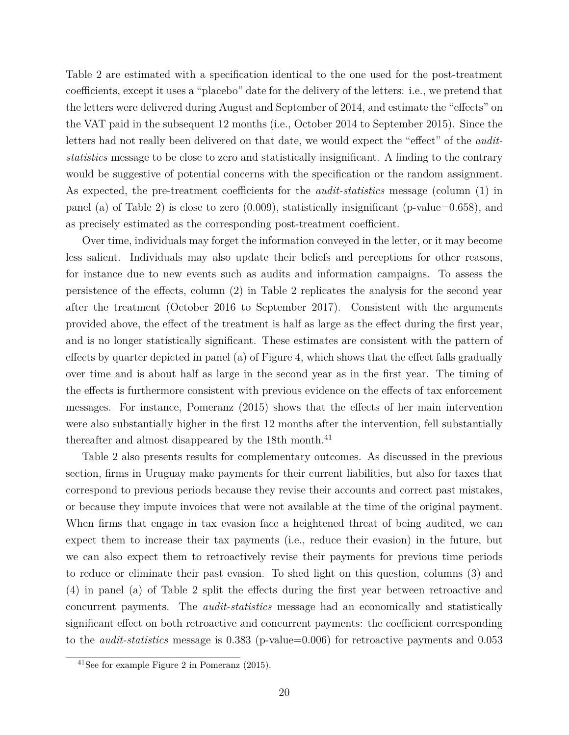Table [2](#page-51-0) are estimated with a specification identical to the one used for the post-treatment coefficients, except it uses a "placebo" date for the delivery of the letters: i.e., we pretend that the letters were delivered during August and September of 2014, and estimate the "effects" on the VAT paid in the subsequent 12 months (i.e., October 2014 to September 2015). Since the letters had not really been delivered on that date, we would expect the "effect" of the *auditstatistics* message to be close to zero and statistically insignificant. A finding to the contrary would be suggestive of potential concerns with the specification or the random assignment. As expected, the pre-treatment coefficients for the *audit-statistics* message (column (1) in panel (a) of Table [2\)](#page-51-0) is close to zero (0.009), statistically insignificant (p-value=0.658), and as precisely estimated as the corresponding post-treatment coefficient.

Over time, individuals may forget the information conveyed in the letter, or it may become less salient. Individuals may also update their beliefs and perceptions for other reasons, for instance due to new events such as audits and information campaigns. To assess the persistence of the effects, column (2) in Table [2](#page-51-0) replicates the analysis for the second year after the treatment (October 2016 to September 2017). Consistent with the arguments provided above, the effect of the treatment is half as large as the effect during the first year, and is no longer statistically significant. These estimates are consistent with the pattern of effects by quarter depicted in panel (a) of Figure [4,](#page-47-0) which shows that the effect falls gradually over time and is about half as large in the second year as in the first year. The timing of the effects is furthermore consistent with previous evidence on the effects of tax enforcement messages. For instance, [Pomeranz](#page-42-3) [\(2015\)](#page-42-3) shows that the effects of her main intervention were also substantially higher in the first 12 months after the intervention, fell substantially thereafter and almost disappeared by the 18th month.<sup>[41](#page--1-0)</sup>

Table [2](#page-51-0) also presents results for complementary outcomes. As discussed in the previous section, firms in Uruguay make payments for their current liabilities, but also for taxes that correspond to previous periods because they revise their accounts and correct past mistakes, or because they impute invoices that were not available at the time of the original payment. When firms that engage in tax evasion face a heightened threat of being audited, we can expect them to increase their tax payments (i.e., reduce their evasion) in the future, but we can also expect them to retroactively revise their payments for previous time periods to reduce or eliminate their past evasion. To shed light on this question, columns (3) and (4) in panel (a) of Table [2](#page-51-0) split the effects during the first year between retroactive and concurrent payments. The *audit-statistics* message had an economically and statistically significant effect on both retroactive and concurrent payments: the coefficient corresponding to the *audit-statistics* message is 0.383 (p-value=0.006) for retroactive payments and 0.053

<sup>41</sup>See for example Figure 2 in [Pomeranz](#page-42-3) [\(2015\)](#page-42-3).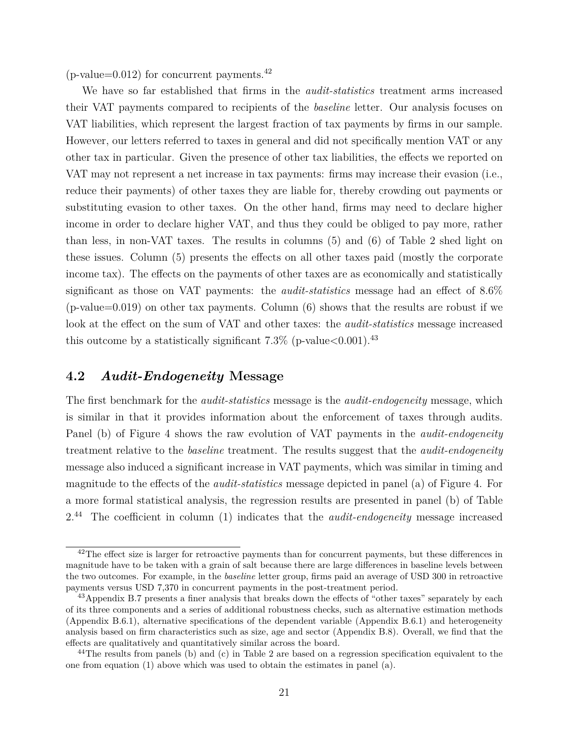(p-value= $0.012$ ) for concurrent payments.<sup>[42](#page--1-0)</sup>

We have so far established that firms in the *audit-statistics* treatment arms increased their VAT payments compared to recipients of the *baseline* letter. Our analysis focuses on VAT liabilities, which represent the largest fraction of tax payments by firms in our sample. However, our letters referred to taxes in general and did not specifically mention VAT or any other tax in particular. Given the presence of other tax liabilities, the effects we reported on VAT may not represent a net increase in tax payments: firms may increase their evasion (i.e., reduce their payments) of other taxes they are liable for, thereby crowding out payments or substituting evasion to other taxes. On the other hand, firms may need to declare higher income in order to declare higher VAT, and thus they could be obliged to pay more, rather than less, in non-VAT taxes. The results in columns (5) and (6) of Table [2](#page-51-0) shed light on these issues. Column (5) presents the effects on all other taxes paid (mostly the corporate income tax). The effects on the payments of other taxes are as economically and statistically significant as those on VAT payments: the *audit-statistics* message had an effect of 8.6%  $(p-value=0.019)$  on other tax payments. Column  $(6)$  shows that the results are robust if we look at the effect on the sum of VAT and other taxes: the *audit-statistics* message increased this outcome by a statistically significant  $7.3\%$  (p-value  $< 0.001$ ).<sup>[43](#page--1-0)</sup>

#### **4.2** *Audit-Endogeneity* **Message**

The first benchmark for the *audit-statistics* message is the *audit-endogeneity* message, which is similar in that it provides information about the enforcement of taxes through audits. Panel (b) of Figure [4](#page-47-0) shows the raw evolution of VAT payments in the *audit-endogeneity* treatment relative to the *baseline* treatment. The results suggest that the *audit-endogeneity* message also induced a significant increase in VAT payments, which was similar in timing and magnitude to the effects of the *audit-statistics* message depicted in panel (a) of Figure [4.](#page-47-0) For a more formal statistical analysis, the regression results are presented in panel (b) of Table [2.](#page-51-0)[44](#page--1-0) The coefficient in column (1) indicates that the *audit-endogeneity* message increased

 $42$ The effect size is larger for retroactive payments than for concurrent payments, but these differences in magnitude have to be taken with a grain of salt because there are large differences in baseline levels between the two outcomes. For example, in the *baseline* letter group, firms paid an average of USD 300 in retroactive payments versus USD 7,370 in concurrent payments in the post-treatment period.

<sup>&</sup>lt;sup>43</sup>Appendix B.7 presents a finer analysis that breaks down the effects of "other taxes" separately by each of its three components and a series of additional robustness checks, such as alternative estimation methods (Appendix B.6.1), alternative specifications of the dependent variable (Appendix B.6.1) and heterogeneity analysis based on firm characteristics such as size, age and sector (Appendix B.8). Overall, we find that the effects are qualitatively and quantitatively similar across the board.

 $^{44}$ The results from panels (b) and (c) in Table [2](#page-51-0) are based on a regression specification equivalent to the one from equation [\(1\)](#page-19-0) above which was used to obtain the estimates in panel (a).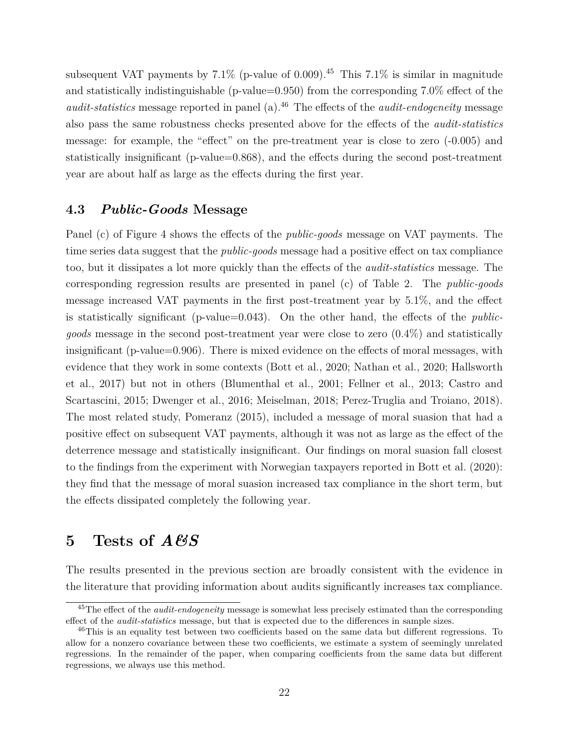subsequent VAT payments by  $7.1\%$  (p-value of 0.009).<sup>[45](#page--1-0)</sup> This  $7.1\%$  is similar in magnitude and statistically indistinguishable (p-value=0.950) from the corresponding 7.0% effect of the *audit-statistics* message reported in panel (a).<sup>[46](#page--1-0)</sup> The effects of the *audit-endogeneity* message also pass the same robustness checks presented above for the effects of the *audit-statistics* message: for example, the "effect" on the pre-treatment year is close to zero (-0.005) and statistically insignificant (p-value=0.868), and the effects during the second post-treatment year are about half as large as the effects during the first year.

### **4.3** *Public-Goods* **Message**

Panel (c) of Figure [4](#page-47-0) shows the effects of the *public-goods* message on VAT payments. The time series data suggest that the *public-goods* message had a positive effect on tax compliance too, but it dissipates a lot more quickly than the effects of the *audit-statistics* message. The corresponding regression results are presented in panel (c) of Table [2.](#page-51-0) The *public-goods* message increased VAT payments in the first post-treatment year by 5.1%, and the effect is statistically significant (p-value=0.043). On the other hand, the effects of the *publicgoods* message in the second post-treatment year were close to zero (0.4%) and statistically insignificant (p-value=0.906). There is mixed evidence on the effects of moral messages, with evidence that they work in some contexts [\(Bott et al., 2020;](#page-40-6) [Nathan et al., 2020;](#page-42-14) [Hallsworth](#page-41-7) [et al., 2017\)](#page-41-7) but not in others [\(Blumenthal et al., 2001;](#page-40-7) [Fellner et al., 2013;](#page-41-2) [Castro and](#page-41-3) [Scartascini, 2015;](#page-41-3) [Dwenger et al., 2016;](#page-41-4) [Meiselman, 2018;](#page-42-15) [Perez-Truglia and Troiano, 2018\)](#page-42-8). The most related study, [Pomeranz](#page-42-3) [\(2015\)](#page-42-3), included a message of moral suasion that had a positive effect on subsequent VAT payments, although it was not as large as the effect of the deterrence message and statistically insignificant. Our findings on moral suasion fall closest to the findings from the experiment with Norwegian taxpayers reported in [Bott et al.](#page-40-6) [\(2020\)](#page-40-6): they find that the message of moral suasion increased tax compliance in the short term, but the effects dissipated completely the following year.

# <span id="page-23-0"></span>**5 Tests of** *A&S*

The results presented in the previous section are broadly consistent with the evidence in the literature that providing information about audits significantly increases tax compliance.

<sup>45</sup>The effect of the *audit-endogeneity* message is somewhat less precisely estimated than the corresponding effect of the *audit-statistics* message, but that is expected due to the differences in sample sizes.

<sup>&</sup>lt;sup>46</sup>This is an equality test between two coefficients based on the same data but different regressions. To allow for a nonzero covariance between these two coefficients, we estimate a system of seemingly unrelated regressions. In the remainder of the paper, when comparing coefficients from the same data but different regressions, we always use this method.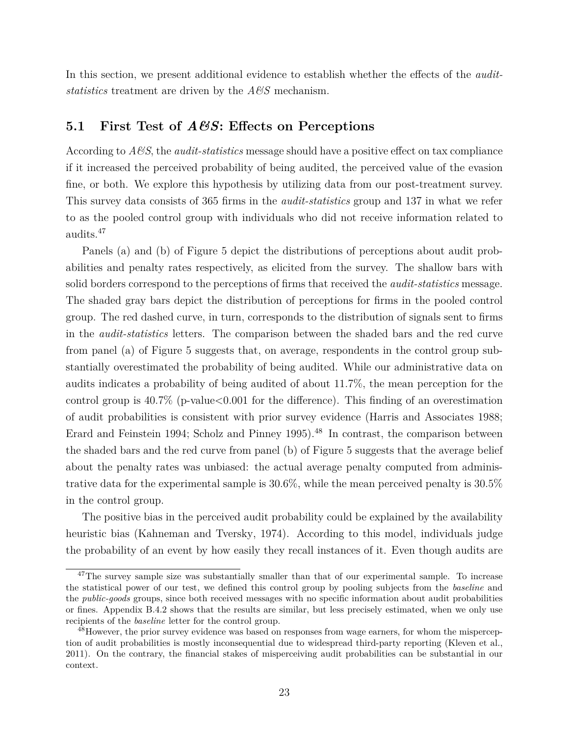In this section, we present additional evidence to establish whether the effects of the *auditstatistics* treatment are driven by the *A&S* mechanism.

### <span id="page-24-0"></span>**5.1 First Test of** *A&S***: Effects on Perceptions**

According to *A&S*, the *audit-statistics* message should have a positive effect on tax compliance if it increased the perceived probability of being audited, the perceived value of the evasion fine, or both. We explore this hypothesis by utilizing data from our post-treatment survey. This survey data consists of 365 firms in the *audit-statistics* group and 137 in what we refer to as the pooled control group with individuals who did not receive information related to audits.[47](#page--1-0)

Panels (a) and (b) of Figure [5](#page-48-0) depict the distributions of perceptions about audit probabilities and penalty rates respectively, as elicited from the survey. The shallow bars with solid borders correspond to the perceptions of firms that received the *audit-statistics* message. The shaded gray bars depict the distribution of perceptions for firms in the pooled control group. The red dashed curve, in turn, corresponds to the distribution of signals sent to firms in the *audit-statistics* letters. The comparison between the shaded bars and the red curve from panel (a) of Figure [5](#page-48-0) suggests that, on average, respondents in the control group substantially overestimated the probability of being audited. While our administrative data on audits indicates a probability of being audited of about 11.7%, the mean perception for the control group is  $40.7\%$  (p-value < 0.001 for the difference). This finding of an overestimation of audit probabilities is consistent with prior survey evidence [\(Harris and Associates 1988;](#page-41-8) [Erard and Feinstein 1994;](#page-41-9) [Scholz and Pinney 1995\)](#page-42-16).<sup>[48](#page--1-0)</sup> In contrast, the comparison between the shaded bars and the red curve from panel (b) of Figure [5](#page-48-0) suggests that the average belief about the penalty rates was unbiased: the actual average penalty computed from administrative data for the experimental sample is 30.6%, while the mean perceived penalty is 30.5% in the control group.

The positive bias in the perceived audit probability could be explained by the availability heuristic bias [\(Kahneman and Tversky, 1974\)](#page-42-17). According to this model, individuals judge the probability of an event by how easily they recall instances of it. Even though audits are

<sup>&</sup>lt;sup>47</sup>The survey sample size was substantially smaller than that of our experimental sample. To increase the statistical power of our test, we defined this control group by pooling subjects from the *baseline* and the *public-goods* groups, since both received messages with no specific information about audit probabilities or fines. Appendix B.4.2 shows that the results are similar, but less precisely estimated, when we only use recipients of the *baseline* letter for the control group.

<sup>48</sup>However, the prior survey evidence was based on responses from wage earners, for whom the misperception of audit probabilities is mostly inconsequential due to widespread third-party reporting [\(Kleven et al.,](#page-42-1) [2011\)](#page-42-1). On the contrary, the financial stakes of misperceiving audit probabilities can be substantial in our context.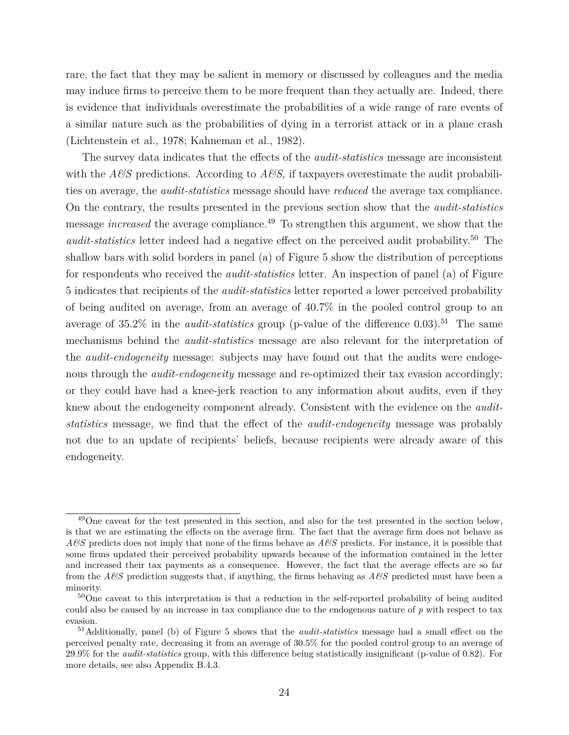rare, the fact that they may be salient in memory or discussed by colleagues and the media may induce firms to perceive them to be more frequent than they actually are. Indeed, there is evidence that individuals overestimate the probabilities of a wide range of rare events of a similar nature such as the probabilities of dying in a terrorist attack or in a plane crash [\(Lichtenstein et al., 1978;](#page-42-18) [Kahneman et al., 1982\)](#page-41-10).

The survey data indicates that the effects of the *audit-statistics* message are inconsistent with the  $A\mathcal{B}S$  predictions. According to  $A\mathcal{B}S$ , if taxpayers overestimate the audit probabilities on average, the *audit-statistics* message should have *reduced* the average tax compliance. On the contrary, the results presented in the previous section show that the *audit-statistics* message *increased* the average compliance.<sup>[49](#page--1-0)</sup> To strengthen this argument, we show that the audit-statistics letter indeed had a negative effect on the perceived audit probability.<sup>[50](#page--1-0)</sup> The shallow bars with solid borders in panel (a) of Figure [5](#page-48-0) show the distribution of perceptions for respondents who received the *audit-statistics* letter. An inspection of panel (a) of Figure [5](#page-48-0) indicates that recipients of the *audit-statistics* letter reported a lower perceived probability of being audited on average, from an average of 40.7% in the pooled control group to an average of  $35.2\%$  in the *audit-statistics* group (p-value of the difference 0.03).<sup>[51](#page--1-0)</sup> The same mechanisms behind the *audit-statistics* message are also relevant for the interpretation of the *audit-endogeneity* message: subjects may have found out that the audits were endogenous through the *audit-endogeneity* message and re-optimized their tax evasion accordingly; or they could have had a knee-jerk reaction to any information about audits, even if they knew about the endogeneity component already. Consistent with the evidence on the *auditstatistics* message, we find that the effect of the *audit-endogeneity* message was probably not due to an update of recipients' beliefs, because recipients were already aware of this endogeneity.

<sup>&</sup>lt;sup>49</sup>One caveat for the test presented in this section, and also for the test presented in the section below, is that we are estimating the effects on the average firm. The fact that the average firm does not behave as *A&S* predicts does not imply that none of the firms behave as *A&S* predicts. For instance, it is possible that some firms updated their perceived probability upwards because of the information contained in the letter and increased their tax payments as a consequence. However, the fact that the average effects are so far from the *A&S* prediction suggests that, if anything, the firms behaving as *A&S* predicted must have been a minority.

<sup>&</sup>lt;sup>50</sup>One caveat to this interpretation is that a reduction in the self-reported probability of being audited could also be caused by an increase in tax compliance due to the endogenous nature of *p* with respect to tax evasion.

<sup>51</sup>Additionally, panel (b) of Figure [5](#page-48-0) shows that the *audit-statistics* message had a small effect on the perceived penalty rate, decreasing it from an average of 30.5% for the pooled control group to an average of 29.9% for the *audit-statistics* group, with this difference being statistically insignificant (p-value of 0.82). For more details, see also Appendix B.4.3.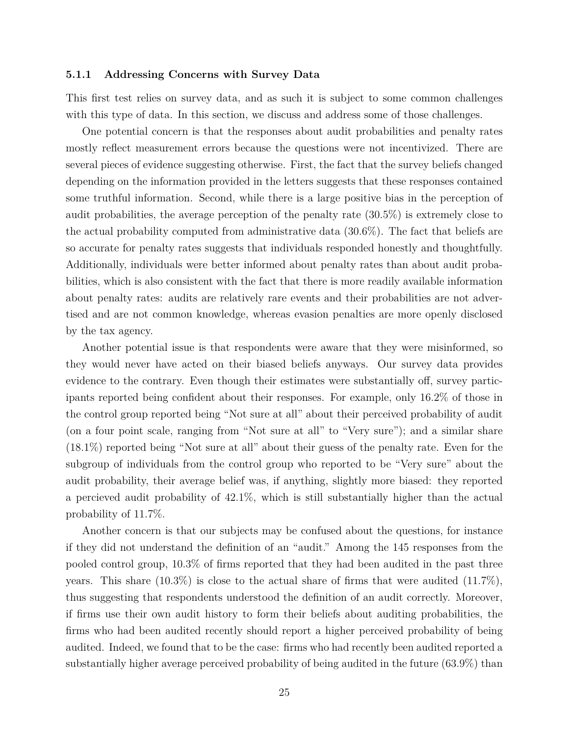#### <span id="page-26-0"></span>**5.1.1 Addressing Concerns with Survey Data**

This first test relies on survey data, and as such it is subject to some common challenges with this type of data. In this section, we discuss and address some of those challenges.

One potential concern is that the responses about audit probabilities and penalty rates mostly reflect measurement errors because the questions were not incentivized. There are several pieces of evidence suggesting otherwise. First, the fact that the survey beliefs changed depending on the information provided in the letters suggests that these responses contained some truthful information. Second, while there is a large positive bias in the perception of audit probabilities, the average perception of the penalty rate (30.5%) is extremely close to the actual probability computed from administrative data (30.6%). The fact that beliefs are so accurate for penalty rates suggests that individuals responded honestly and thoughtfully. Additionally, individuals were better informed about penalty rates than about audit probabilities, which is also consistent with the fact that there is more readily available information about penalty rates: audits are relatively rare events and their probabilities are not advertised and are not common knowledge, whereas evasion penalties are more openly disclosed by the tax agency.

Another potential issue is that respondents were aware that they were misinformed, so they would never have acted on their biased beliefs anyways. Our survey data provides evidence to the contrary. Even though their estimates were substantially off, survey participants reported being confident about their responses. For example, only 16.2% of those in the control group reported being "Not sure at all" about their perceived probability of audit (on a four point scale, ranging from "Not sure at all" to "Very sure"); and a similar share (18.1%) reported being "Not sure at all" about their guess of the penalty rate. Even for the subgroup of individuals from the control group who reported to be "Very sure" about the audit probability, their average belief was, if anything, slightly more biased: they reported a percieved audit probability of 42.1%, which is still substantially higher than the actual probability of 11.7%.

Another concern is that our subjects may be confused about the questions, for instance if they did not understand the definition of an "audit." Among the 145 responses from the pooled control group, 10.3% of firms reported that they had been audited in the past three years. This share  $(10.3\%)$  is close to the actual share of firms that were audited  $(11.7\%)$ , thus suggesting that respondents understood the definition of an audit correctly. Moreover, if firms use their own audit history to form their beliefs about auditing probabilities, the firms who had been audited recently should report a higher perceived probability of being audited. Indeed, we found that to be the case: firms who had recently been audited reported a substantially higher average perceived probability of being audited in the future (63.9%) than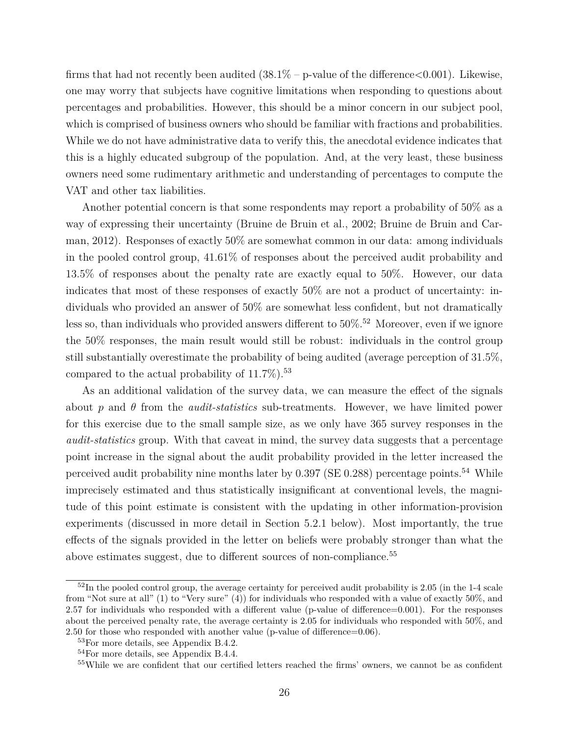firms that had not recently been audited  $(38.1\% - p$ -value of the difference  $< 0.001$ ). Likewise, one may worry that subjects have cognitive limitations when responding to questions about percentages and probabilities. However, this should be a minor concern in our subject pool, which is comprised of business owners who should be familiar with fractions and probabilities. While we do not have administrative data to verify this, the anecdotal evidence indicates that this is a highly educated subgroup of the population. And, at the very least, these business owners need some rudimentary arithmetic and understanding of percentages to compute the VAT and other tax liabilities.

Another potential concern is that some respondents may report a probability of 50% as a way of expressing their uncertainty [\(Bruine de Bruin et al., 2002;](#page-41-11) [Bruine de Bruin and Car](#page-40-8)[man, 2012\)](#page-40-8). Responses of exactly 50% are somewhat common in our data: among individuals in the pooled control group, 41.61% of responses about the perceived audit probability and 13.5% of responses about the penalty rate are exactly equal to 50%. However, our data indicates that most of these responses of exactly 50% are not a product of uncertainty: individuals who provided an answer of 50% are somewhat less confident, but not dramatically less so, than individuals who provided answers different to  $50\%$ .<sup>[52](#page--1-0)</sup> Moreover, even if we ignore the 50% responses, the main result would still be robust: individuals in the control group still substantially overestimate the probability of being audited (average perception of 31.5%, compared to the actual probability of  $11.7\%$ ).<sup>[53](#page--1-0)</sup>

As an additional validation of the survey data, we can measure the effect of the signals about *p* and *θ* from the *audit-statistics* sub-treatments. However, we have limited power for this exercise due to the small sample size, as we only have 365 survey responses in the *audit-statistics* group. With that caveat in mind, the survey data suggests that a percentage point increase in the signal about the audit probability provided in the letter increased the perceived audit probability nine months later by  $0.397$  (SE  $0.288$ ) percentage points.<sup>[54](#page--1-0)</sup> While imprecisely estimated and thus statistically insignificant at conventional levels, the magnitude of this point estimate is consistent with the updating in other information-provision experiments (discussed in more detail in Section [5.2.1](#page-28-0) below). Most importantly, the true effects of the signals provided in the letter on beliefs were probably stronger than what the above estimates suggest, due to different sources of non-compliance.<sup>[55](#page--1-0)</sup>

 $52$ In the pooled control group, the average certainty for perceived audit probability is 2.05 (in the 1-4 scale from "Not sure at all" (1) to "Very sure" (4)) for individuals who responded with a value of exactly 50%, and 2.57 for individuals who responded with a different value (p-value of difference=0.001). For the responses about the perceived penalty rate, the average certainty is 2.05 for individuals who responded with 50%, and 2.50 for those who responded with another value (p-value of difference=0.06).

<sup>53</sup>For more details, see Appendix B.4.2.

<sup>54</sup>For more details, see Appendix B.4.4.

<sup>55</sup>While we are confident that our certified letters reached the firms' owners, we cannot be as confident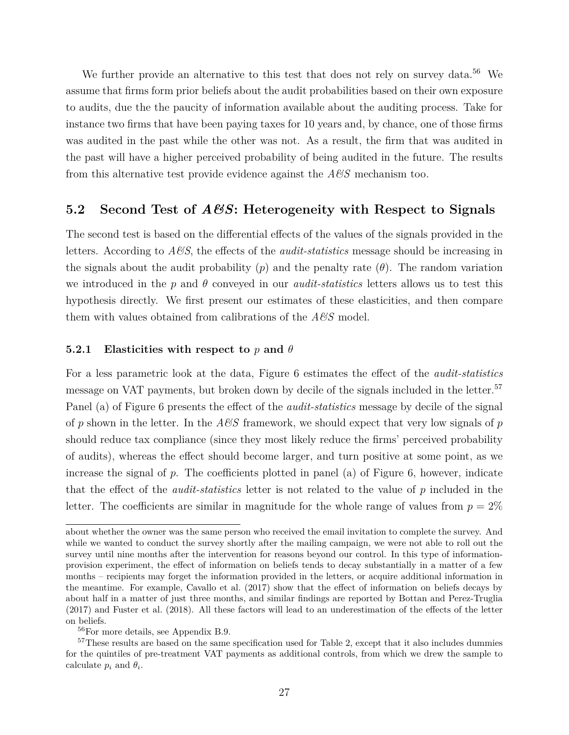We further provide an alternative to this test that does not rely on survey data.<sup>[56](#page--1-0)</sup> We assume that firms form prior beliefs about the audit probabilities based on their own exposure to audits, due the the paucity of information available about the auditing process. Take for instance two firms that have been paying taxes for 10 years and, by chance, one of those firms was audited in the past while the other was not. As a result, the firm that was audited in the past will have a higher perceived probability of being audited in the future. The results from this alternative test provide evidence against the *A&S* mechanism too*.*

#### **5.2 Second Test of** *A&S***: Heterogeneity with Respect to Signals**

The second test is based on the differential effects of the values of the signals provided in the letters. According to *A&S*, the effects of the *audit-statistics* message should be increasing in the signals about the audit probability  $(p)$  and the penalty rate  $(\theta)$ . The random variation we introduced in the *p* and *θ* conveyed in our *audit-statistics* letters allows us to test this hypothesis directly. We first present our estimates of these elasticities, and then compare them with values obtained from calibrations of the *A&S* model.

#### <span id="page-28-0"></span>**5.2.1** Elasticities with respect to *p* and  $\theta$

For a less parametric look at the data, Figure [6](#page-49-0) estimates the effect of the *audit-statistics* message on VAT payments, but broken down by decile of the signals included in the letter.<sup>[57](#page--1-0)</sup> Panel (a) of Figure [6](#page-49-0) presents the effect of the *audit-statistics* message by decile of the signal of *p* shown in the letter. In the *A&S* framework, we should expect that very low signals of *p* should reduce tax compliance (since they most likely reduce the firms' perceived probability of audits), whereas the effect should become larger, and turn positive at some point, as we increase the signal of  $p$ . The coefficients plotted in panel (a) of Figure  $6$ , however, indicate that the effect of the *audit-statistics* letter is not related to the value of *p* included in the letter. The coefficients are similar in magnitude for the whole range of values from  $p = 2\%$ 

about whether the owner was the same person who received the email invitation to complete the survey. And while we wanted to conduct the survey shortly after the mailing campaign, we were not able to roll out the survey until nine months after the intervention for reasons beyond our control. In this type of informationprovision experiment, the effect of information on beliefs tends to decay substantially in a matter of a few months – recipients may forget the information provided in the letters, or acquire additional information in the meantime. For example, [Cavallo et al.](#page-41-12) [\(2017\)](#page-41-12) show that the effect of information on beliefs decays by about half in a matter of just three months, and similar findings are reported by [Bottan and Perez-Truglia](#page-40-9) [\(2017\)](#page-40-9) and [Fuster et al.](#page-41-13) [\(2018\)](#page-41-13). All these factors will lead to an underestimation of the effects of the letter on beliefs.

<sup>56</sup>For more details, see Appendix B.9.

<sup>57</sup>These results are based on the same specification used for Table [2,](#page-51-0) except that it also includes dummies for the quintiles of pre-treatment VAT payments as additional controls, from which we drew the sample to calculate  $p_i$  and  $\theta_i$ .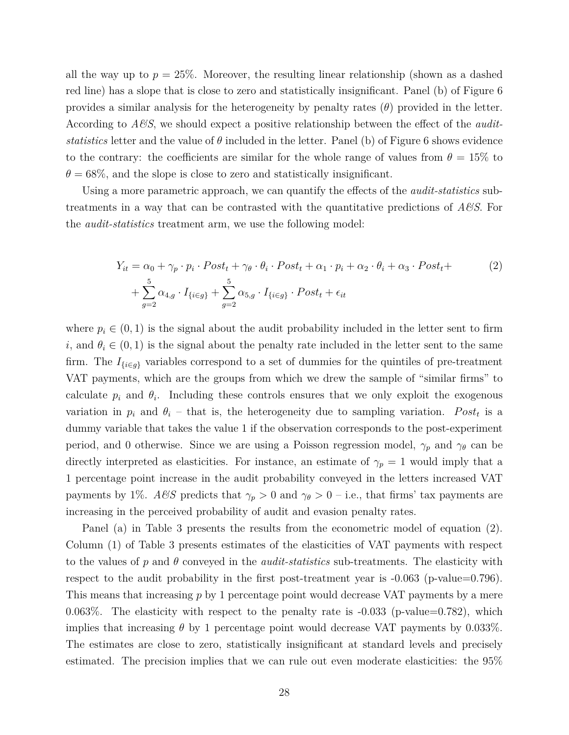all the way up to  $p = 25\%$ . Moreover, the resulting linear relationship (shown as a dashed red line) has a slope that is close to zero and statistically insignificant. Panel (b) of Figure [6](#page-49-0) provides a similar analysis for the heterogeneity by penalty rates (*θ*) provided in the letter. According to *A&S*, we should expect a positive relationship between the effect of the *auditstatistics* letter and the value of *θ* included in the letter. Panel (b) of Figure [6](#page-49-0) shows evidence to the contrary: the coefficients are similar for the whole range of values from  $\theta = 15\%$  to  $\theta = 68\%$ , and the slope is close to zero and statistically insignificant.

Using a more parametric approach, we can quantify the effects of the *audit-statistics* subtreatments in a way that can be contrasted with the quantitative predictions of *A&S*. For the *audit-statistics* treatment arm, we use the following model:

<span id="page-29-0"></span>
$$
Y_{it} = \alpha_0 + \gamma_p \cdot p_i \cdot Post_t + \gamma_\theta \cdot \theta_i \cdot Post_t + \alpha_1 \cdot p_i + \alpha_2 \cdot \theta_i + \alpha_3 \cdot Post_t + \sum_{g=2}^5 \alpha_{4,g} \cdot I_{\{i \in g\}} + \sum_{g=2}^5 \alpha_{5,g} \cdot I_{\{i \in g\}} \cdot Post_t + \epsilon_{it}
$$
\n
$$
(2)
$$

where  $p_i \in (0,1)$  is the signal about the audit probability included in the letter sent to firm *i*, and  $\theta_i \in (0,1)$  is the signal about the penalty rate included in the letter sent to the same firm. The  $I_{\{i\in q\}}$  variables correspond to a set of dummies for the quintiles of pre-treatment VAT payments, which are the groups from which we drew the sample of "similar firms" to calculate  $p_i$  and  $\theta_i$ . Including these controls ensures that we only exploit the exogenous variation in  $p_i$  and  $\theta_i$  – that is, the heterogeneity due to sampling variation. Post<sub>t</sub> is a dummy variable that takes the value 1 if the observation corresponds to the post-experiment period, and 0 otherwise. Since we are using a Poisson regression model,  $\gamma_p$  and  $\gamma_\theta$  can be directly interpreted as elasticities. For instance, an estimate of  $\gamma_p = 1$  would imply that a 1 percentage point increase in the audit probability conveyed in the letters increased VAT payments by 1%. *A*&S predicts that  $\gamma_p > 0$  and  $\gamma_{\theta} > 0$  – i.e., that firms' tax payments are increasing in the perceived probability of audit and evasion penalty rates.

Panel (a) in Table [3](#page-52-0) presents the results from the econometric model of equation [\(2\)](#page-29-0). Column (1) of Table [3](#page-52-0) presents estimates of the elasticities of VAT payments with respect to the values of *p* and *θ* conveyed in the *audit-statistics* sub-treatments. The elasticity with respect to the audit probability in the first post-treatment year is  $-0.063$  (p-value=0.796). This means that increasing *p* by 1 percentage point would decrease VAT payments by a mere 0.063%. The elasticity with respect to the penalty rate is  $-0.033$  (p-value=0.782), which implies that increasing  $\theta$  by 1 percentage point would decrease VAT payments by 0.033%. The estimates are close to zero, statistically insignificant at standard levels and precisely estimated. The precision implies that we can rule out even moderate elasticities: the 95%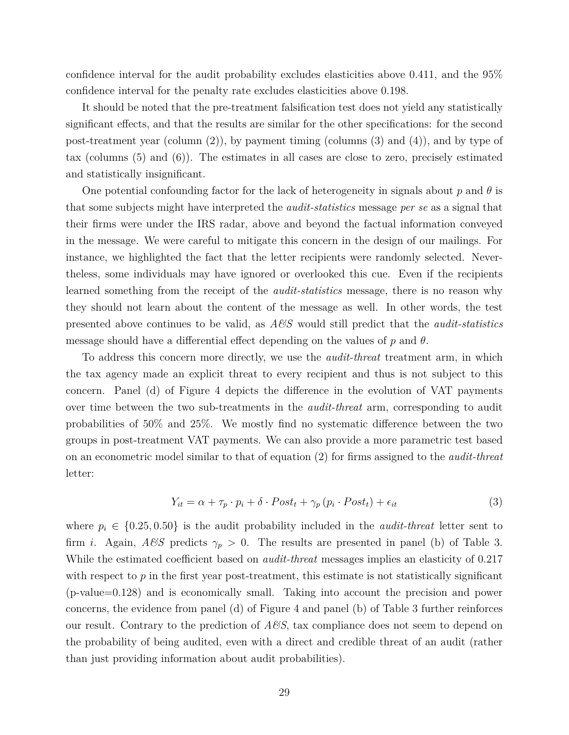confidence interval for the audit probability excludes elasticities above 0.411, and the 95% confidence interval for the penalty rate excludes elasticities above 0.198.

It should be noted that the pre-treatment falsification test does not yield any statistically significant effects, and that the results are similar for the other specifications: for the second post-treatment year (column (2)), by payment timing (columns (3) and (4)), and by type of tax (columns (5) and (6)). The estimates in all cases are close to zero, precisely estimated and statistically insignificant.

One potential confounding factor for the lack of heterogeneity in signals about *p* and *θ* is that some subjects might have interpreted the *audit-statistics* message *per se* as a signal that their firms were under the IRS radar, above and beyond the factual information conveyed in the message. We were careful to mitigate this concern in the design of our mailings. For instance, we highlighted the fact that the letter recipients were randomly selected. Nevertheless, some individuals may have ignored or overlooked this cue. Even if the recipients learned something from the receipt of the *audit-statistics* message, there is no reason why they should not learn about the content of the message as well. In other words, the test presented above continues to be valid, as *A&S* would still predict that the *audit-statistics* message should have a differential effect depending on the values of *p* and *θ*.

To address this concern more directly, we use the *audit-threat* treatment arm, in which the tax agency made an explicit threat to every recipient and thus is not subject to this concern. Panel (d) of Figure [4](#page-47-0) depicts the difference in the evolution of VAT payments over time between the two sub-treatments in the *audit-threat* arm, corresponding to audit probabilities of 50% and 25%. We mostly find no systematic difference between the two groups in post-treatment VAT payments. We can also provide a more parametric test based on an econometric model similar to that of equation [\(2\)](#page-29-0) for firms assigned to the *audit-threat* letter:

<span id="page-30-0"></span>
$$
Y_{it} = \alpha + \tau_p \cdot p_i + \delta \cdot Post_t + \gamma_p (p_i \cdot Post_t) + \epsilon_{it}
$$
\n
$$
\tag{3}
$$

where  $p_i \in \{0.25, 0.50\}$  is the audit probability included in the *audit-threat* letter sent to firm *i*. Again,  $A\mathscr{B}S$  predicts  $\gamma_p > 0$ . The results are presented in panel (b) of Table [3.](#page-52-0) While the estimated coefficient based on *audit-threat* messages implies an elasticity of 0.217 with respect to  $p$  in the first year post-treatment, this estimate is not statistically significant (p-value=0.128) and is economically small. Taking into account the precision and power concerns, the evidence from panel (d) of Figure [4](#page-47-0) and panel (b) of Table [3](#page-52-0) further reinforces our result. Contrary to the prediction of *A&S*, tax compliance does not seem to depend on the probability of being audited, even with a direct and credible threat of an audit (rather than just providing information about audit probabilities).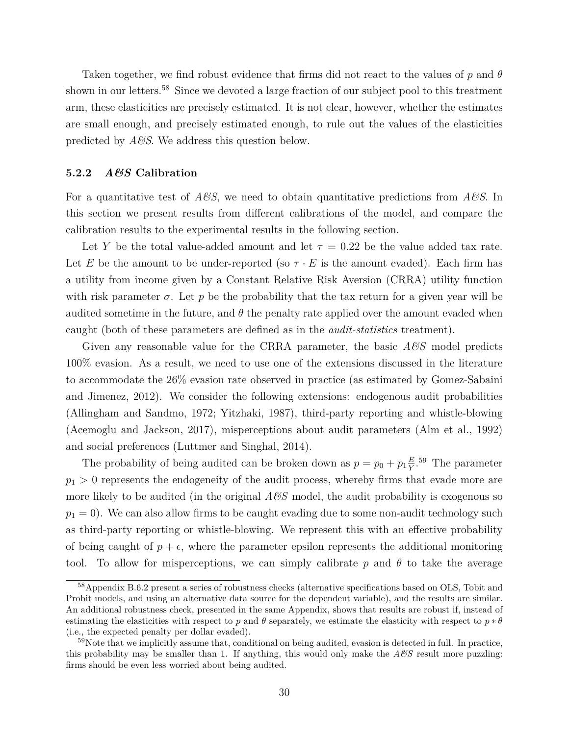Taken together, we find robust evidence that firms did not react to the values of *p* and *θ* shown in our letters.<sup>[58](#page--1-0)</sup> Since we devoted a large fraction of our subject pool to this treatment arm, these elasticities are precisely estimated. It is not clear, however, whether the estimates are small enough, and precisely estimated enough, to rule out the values of the elasticities predicted by *A&S*. We address this question below.

#### <span id="page-31-0"></span>**5.2.2** *A&S* **Calibration**

For a quantitative test of *A&S*, we need to obtain quantitative predictions from *A&S*. In this section we present results from different calibrations of the model, and compare the calibration results to the experimental results in the following section.

Let *Y* be the total value-added amount and let  $\tau = 0.22$  be the value added tax rate. Let *E* be the amount to be under-reported (so  $\tau \cdot E$  is the amount evaded). Each firm has a utility from income given by a Constant Relative Risk Aversion (CRRA) utility function with risk parameter  $\sigma$ . Let p be the probability that the tax return for a given year will be audited sometime in the future, and  $\theta$  the penalty rate applied over the amount evaded when caught (both of these parameters are defined as in the *audit-statistics* treatment).

Given any reasonable value for the CRRA parameter, the basic *A&S* model predicts 100% evasion. As a result, we need to use one of the extensions discussed in the literature to accommodate the 26% evasion rate observed in practice (as estimated by [Gomez-Sabaini](#page-41-0) [and Jimenez, 2012\)](#page-41-0). We consider the following extensions: endogenous audit probabilities [\(Allingham and Sandmo, 1972;](#page-40-0) [Yitzhaki, 1987\)](#page-43-7), third-party reporting and whistle-blowing [\(Acemoglu and Jackson, 2017\)](#page-40-10), misperceptions about audit parameters [\(Alm et al., 1992\)](#page-40-5) and social preferences [\(Luttmer and Singhal, 2014\)](#page-42-0).

The probability of being audited can be broken down as  $p = p_0 + p_1 \frac{E}{Y}$  $\frac{E}{Y}$ <sup>[59](#page--1-0)</sup> The parameter  $p_1 > 0$  represents the endogeneity of the audit process, whereby firms that evade more are more likely to be audited (in the original *A&S* model, the audit probability is exogenous so  $p_1 = 0$ ). We can also allow firms to be caught evading due to some non-audit technology such as third-party reporting or whistle-blowing. We represent this with an effective probability of being caught of  $p + \epsilon$ , where the parameter epsilon represents the additional monitoring tool. To allow for misperceptions, we can simply calibrate p and  $\theta$  to take the average

<sup>58</sup>Appendix B.6.2 present a series of robustness checks (alternative specifications based on OLS, Tobit and Probit models, and using an alternative data source for the dependent variable), and the results are similar. An additional robustness check, presented in the same Appendix, shows that results are robust if, instead of estimating the elasticities with respect to *p* and  $\theta$  separately, we estimate the elasticity with respect to  $p * \theta$ (i.e., the expected penalty per dollar evaded).

<sup>59</sup>Note that we implicitly assume that, conditional on being audited, evasion is detected in full. In practice, this probability may be smaller than 1. If anything, this would only make the  $A\&S$  result more puzzling: firms should be even less worried about being audited.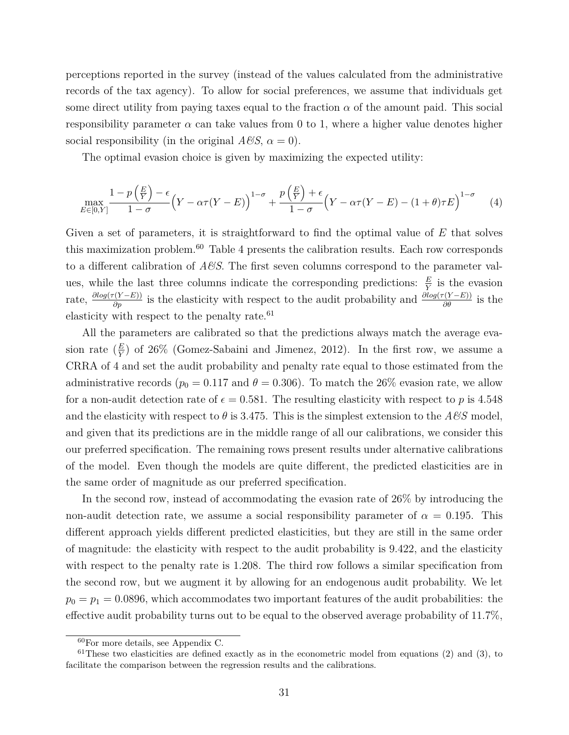perceptions reported in the survey (instead of the values calculated from the administrative records of the tax agency). To allow for social preferences, we assume that individuals get some direct utility from paying taxes equal to the fraction  $\alpha$  of the amount paid. This social responsibility parameter  $\alpha$  can take values from 0 to 1, where a higher value denotes higher social responsibility (in the original  $A\mathscr{C}S$ ,  $\alpha = 0$ ).

The optimal evasion choice is given by maximizing the expected utility:

$$
\max_{E \in [0,Y]} \frac{1 - p\left(\frac{E}{Y}\right) - \epsilon}{1 - \sigma} \left(Y - \alpha \tau (Y - E)\right)^{1 - \sigma} + \frac{p\left(\frac{E}{Y}\right) + \epsilon}{1 - \sigma} \left(Y - \alpha \tau (Y - E) - (1 + \theta)\tau E\right)^{1 - \sigma} \tag{4}
$$

Given a set of parameters, it is straightforward to find the optimal value of *E* that solves this maximization problem. $60$  Table [4](#page-53-0) presents the calibration results. Each row corresponds to a different calibration of *A&S*. The first seven columns correspond to the parameter values, while the last three columns indicate the corresponding predictions:  $\frac{E}{Y}$  is the evasion rate,  $\frac{\partial log(\tau(Y-E))}{\partial p}$  is the elasticity with respect to the audit probability and  $\frac{\partial log(\tau(Y-E))}{\partial \theta}$  is the elasticity with respect to the penalty rate.<sup>[61](#page--1-0)</sup>

All the parameters are calibrated so that the predictions always match the average evasion rate  $(\frac{E}{Y})$  of 26% [\(Gomez-Sabaini and Jimenez, 2012\)](#page-41-0). In the first row, we assume a CRRA of 4 and set the audit probability and penalty rate equal to those estimated from the administrative records ( $p_0 = 0.117$  and  $\theta = 0.306$ ). To match the 26% evasion rate, we allow for a non-audit detection rate of  $\epsilon = 0.581$ . The resulting elasticity with respect to p is 4.548 and the elasticity with respect to  $\theta$  is 3.475. This is the simplest extension to the  $A\mathscr{C}S$  model, and given that its predictions are in the middle range of all our calibrations, we consider this our preferred specification. The remaining rows present results under alternative calibrations of the model. Even though the models are quite different, the predicted elasticities are in the same order of magnitude as our preferred specification.

In the second row, instead of accommodating the evasion rate of 26% by introducing the non-audit detection rate, we assume a social responsibility parameter of  $\alpha = 0.195$ . This different approach yields different predicted elasticities, but they are still in the same order of magnitude: the elasticity with respect to the audit probability is 9.422, and the elasticity with respect to the penalty rate is 1.208. The third row follows a similar specification from the second row, but we augment it by allowing for an endogenous audit probability. We let  $p_0 = p_1 = 0.0896$ , which accommodates two important features of the audit probabilities: the effective audit probability turns out to be equal to the observed average probability of 11.7%,

<sup>60</sup>For more details, see Appendix C.

 $61$ These two elasticities are defined exactly as in the econometric model from equations [\(2\)](#page-29-0) and [\(3\)](#page-30-0), to facilitate the comparison between the regression results and the calibrations.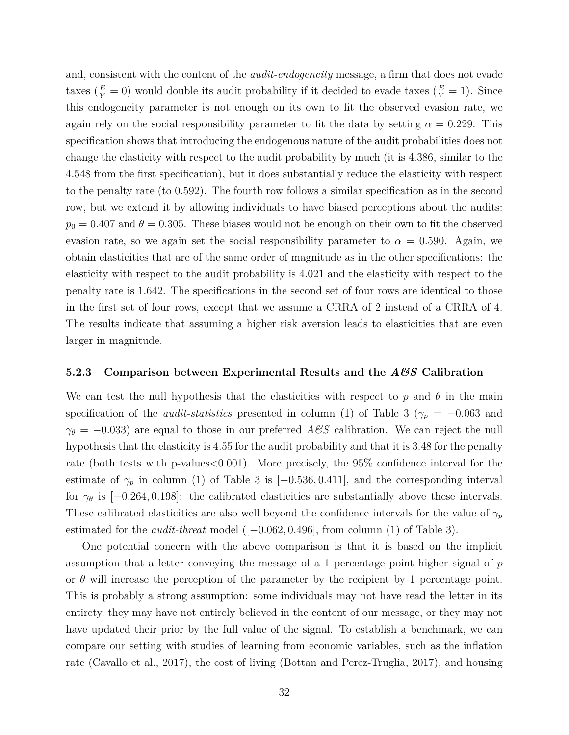and, consistent with the content of the *audit-endogeneity* message, a firm that does not evade taxes  $(\frac{E}{Y} = 0)$  would double its audit probability if it decided to evade taxes  $(\frac{E}{Y} = 1)$ . Since this endogeneity parameter is not enough on its own to fit the observed evasion rate, we again rely on the social responsibility parameter to fit the data by setting  $\alpha = 0.229$ . This specification shows that introducing the endogenous nature of the audit probabilities does not change the elasticity with respect to the audit probability by much (it is 4.386, similar to the 4.548 from the first specification), but it does substantially reduce the elasticity with respect to the penalty rate (to 0.592). The fourth row follows a similar specification as in the second row, but we extend it by allowing individuals to have biased perceptions about the audits:  $p_0 = 0.407$  and  $\theta = 0.305$ . These biases would not be enough on their own to fit the observed evasion rate, so we again set the social responsibility parameter to  $\alpha = 0.590$ . Again, we obtain elasticities that are of the same order of magnitude as in the other specifications: the elasticity with respect to the audit probability is 4.021 and the elasticity with respect to the penalty rate is 1.642. The specifications in the second set of four rows are identical to those in the first set of four rows, except that we assume a CRRA of 2 instead of a CRRA of 4. The results indicate that assuming a higher risk aversion leads to elasticities that are even larger in magnitude.

#### **5.2.3 Comparison between Experimental Results and the** *A&S* **Calibration**

We can test the null hypothesis that the elasticities with respect to  $p$  and  $\theta$  in the main specification of the *audit-statistics* presented in column (1) of Table [3](#page-52-0) ( $\gamma_p = -0.063$  and  $\gamma_{\theta}$  = −0.033) are equal to those in our preferred *A&S* calibration. We can reject the null hypothesis that the elasticity is 4.55 for the audit probability and that it is 3.48 for the penalty rate (both tests with p-values  $0.001$ ). More precisely, the 95% confidence interval for the estimate of  $\gamma_p$  in column (1) of Table [3](#page-52-0) is  $[-0.536, 0.411]$ , and the corresponding interval for  $\gamma_{\theta}$  is [−0*.*264*,* 0*.*198]: the calibrated elasticities are substantially above these intervals. These calibrated elasticities are also well beyond the confidence intervals for the value of  $\gamma_p$ estimated for the *audit-threat* model ([−0*.*062*,* 0*.*496], from column (1) of Table [3\)](#page-52-0).

One potential concern with the above comparison is that it is based on the implicit assumption that a letter conveying the message of a 1 percentage point higher signal of *p* or  $\theta$  will increase the perception of the parameter by the recipient by 1 percentage point. This is probably a strong assumption: some individuals may not have read the letter in its entirety, they may have not entirely believed in the content of our message, or they may not have updated their prior by the full value of the signal. To establish a benchmark, we can compare our setting with studies of learning from economic variables, such as the inflation rate [\(Cavallo et al., 2017\)](#page-41-12), the cost of living [\(Bottan and Perez-Truglia, 2017\)](#page-40-9), and housing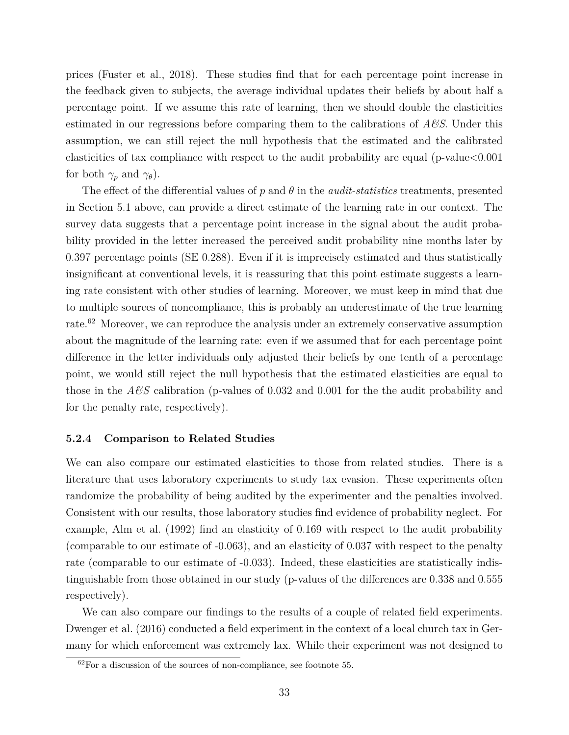prices [\(Fuster et al., 2018\)](#page-41-13). These studies find that for each percentage point increase in the feedback given to subjects, the average individual updates their beliefs by about half a percentage point. If we assume this rate of learning, then we should double the elasticities estimated in our regressions before comparing them to the calibrations of *A&S*. Under this assumption, we can still reject the null hypothesis that the estimated and the calibrated elasticities of tax compliance with respect to the audit probability are equal (p-value < 0.001 for both  $\gamma_p$  and  $\gamma_\theta$ ).

The effect of the differential values of *p* and *θ* in the *audit-statistics* treatments, presented in Section [5.1](#page-24-0) above, can provide a direct estimate of the learning rate in our context. The survey data suggests that a percentage point increase in the signal about the audit probability provided in the letter increased the perceived audit probability nine months later by 0.397 percentage points (SE 0.288). Even if it is imprecisely estimated and thus statistically insignificant at conventional levels, it is reassuring that this point estimate suggests a learning rate consistent with other studies of learning. Moreover, we must keep in mind that due to multiple sources of noncompliance, this is probably an underestimate of the true learning rate.<sup>[62](#page--1-0)</sup> Moreover, we can reproduce the analysis under an extremely conservative assumption about the magnitude of the learning rate: even if we assumed that for each percentage point difference in the letter individuals only adjusted their beliefs by one tenth of a percentage point, we would still reject the null hypothesis that the estimated elasticities are equal to those in the *A&S* calibration (p-values of 0.032 and 0.001 for the the audit probability and for the penalty rate, respectively).

#### **5.2.4 Comparison to Related Studies**

We can also compare our estimated elasticities to those from related studies. There is a literature that uses laboratory experiments to study tax evasion. These experiments often randomize the probability of being audited by the experimenter and the penalties involved. Consistent with our results, those laboratory studies find evidence of probability neglect. For example, [Alm et al.](#page-40-5) [\(1992\)](#page-40-5) find an elasticity of 0.169 with respect to the audit probability (comparable to our estimate of -0.063), and an elasticity of 0.037 with respect to the penalty rate (comparable to our estimate of  $-0.033$ ). Indeed, these elasticities are statistically indistinguishable from those obtained in our study (p-values of the differences are 0.338 and 0.555 respectively).

We can also compare our findings to the results of a couple of related field experiments. [Dwenger et al.](#page-41-4) [\(2016\)](#page-41-4) conducted a field experiment in the context of a local church tax in Germany for which enforcement was extremely lax. While their experiment was not designed to

 ${}^{62}$ For a discussion of the sources of non-compliance, see footnote [55.](#page-26-0)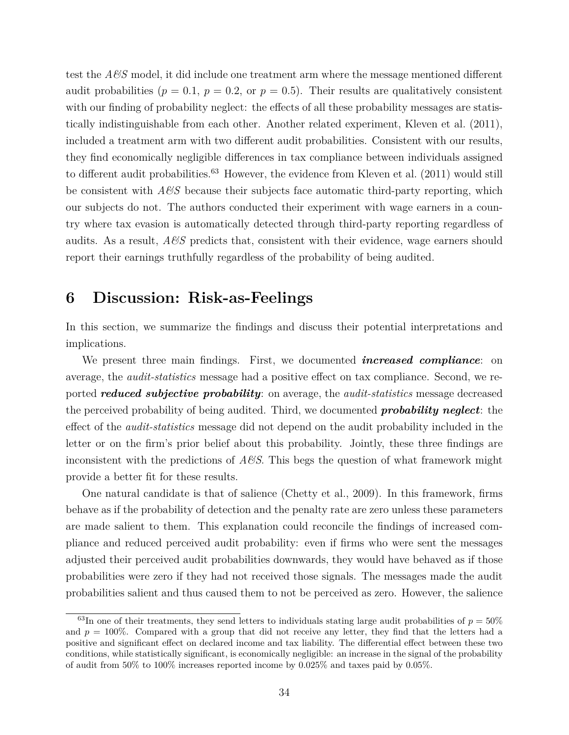test the *A&S* model, it did include one treatment arm where the message mentioned different audit probabilities ( $p = 0.1$ ,  $p = 0.2$ , or  $p = 0.5$ ). Their results are qualitatively consistent with our finding of probability neglect: the effects of all these probability messages are statistically indistinguishable from each other. Another related experiment, [Kleven et al.](#page-42-1) [\(2011\)](#page-42-1), included a treatment arm with two different audit probabilities. Consistent with our results, they find economically negligible differences in tax compliance between individuals assigned to different audit probabilities.<sup>[63](#page--1-0)</sup> However, the evidence from [Kleven et al.](#page-42-1)  $(2011)$  would still be consistent with  $A\mathcal{B}S$  because their subjects face automatic third-party reporting, which our subjects do not. The authors conducted their experiment with wage earners in a country where tax evasion is automatically detected through third-party reporting regardless of audits. As a result, *A&S* predicts that, consistent with their evidence, wage earners should report their earnings truthfully regardless of the probability of being audited.

# <span id="page-35-0"></span>**6 Discussion: Risk-as-Feelings**

In this section, we summarize the findings and discuss their potential interpretations and implications.

We present three main findings. First, we documented *increased compliance*: on average, the *audit-statistics* message had a positive effect on tax compliance. Second, we reported *reduced subjective probability*: on average, the *audit-statistics* message decreased the perceived probability of being audited. Third, we documented *probability neglect*: the effect of the *audit-statistics* message did not depend on the audit probability included in the letter or on the firm's prior belief about this probability. Jointly, these three findings are inconsistent with the predictions of *A&S*. This begs the question of what framework might provide a better fit for these results.

One natural candidate is that of salience [\(Chetty et al., 2009\)](#page-41-1). In this framework, firms behave as if the probability of detection and the penalty rate are zero unless these parameters are made salient to them. This explanation could reconcile the findings of increased compliance and reduced perceived audit probability: even if firms who were sent the messages adjusted their perceived audit probabilities downwards, they would have behaved as if those probabilities were zero if they had not received those signals. The messages made the audit probabilities salient and thus caused them to not be perceived as zero. However, the salience

<sup>&</sup>lt;sup>63</sup>In one of their treatments, they send letters to individuals stating large audit probabilities of  $p = 50\%$ and  $p = 100\%$ . Compared with a group that did not receive any letter, they find that the letters had a positive and significant effect on declared income and tax liability. The differential effect between these two conditions, while statistically significant, is economically negligible: an increase in the signal of the probability of audit from 50% to 100% increases reported income by 0.025% and taxes paid by 0.05%.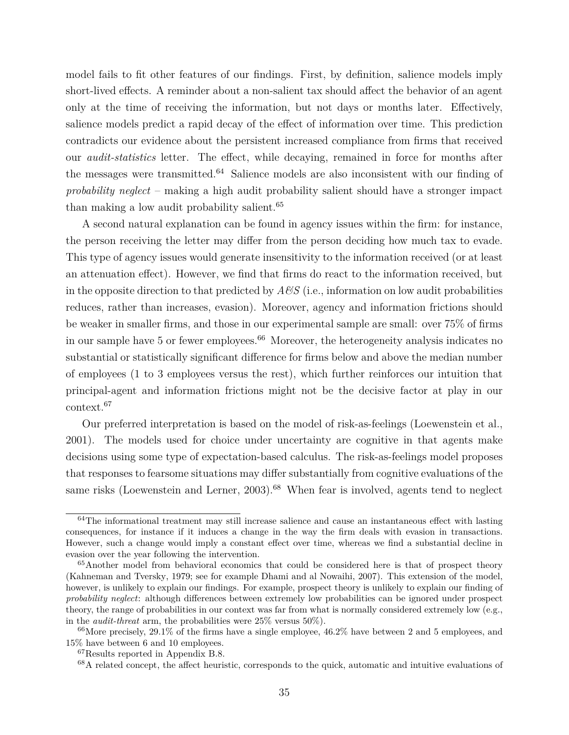model fails to fit other features of our findings. First, by definition, salience models imply short-lived effects. A reminder about a non-salient tax should affect the behavior of an agent only at the time of receiving the information, but not days or months later. Effectively, salience models predict a rapid decay of the effect of information over time. This prediction contradicts our evidence about the persistent increased compliance from firms that received our *audit-statistics* letter. The effect, while decaying, remained in force for months after the messages were transmitted.<sup>[64](#page--1-0)</sup> Salience models are also inconsistent with our finding of *probability neglect* – making a high audit probability salient should have a stronger impact than making a low audit probability salient.<sup>[65](#page--1-0)</sup>

A second natural explanation can be found in agency issues within the firm: for instance, the person receiving the letter may differ from the person deciding how much tax to evade. This type of agency issues would generate insensitivity to the information received (or at least an attenuation effect). However, we find that firms do react to the information received, but in the opposite direction to that predicted by  $A\mathscr{CS}$  (i.e., information on low audit probabilities reduces, rather than increases, evasion). Moreover, agency and information frictions should be weaker in smaller firms, and those in our experimental sample are small: over 75% of firms in our sample have 5 or fewer employees.<sup>[66](#page--1-0)</sup> Moreover, the heterogeneity analysis indicates no substantial or statistically significant difference for firms below and above the median number of employees (1 to 3 employees versus the rest), which further reinforces our intuition that principal-agent and information frictions might not be the decisive factor at play in our context.[67](#page--1-0)

Our preferred interpretation is based on the model of risk-as-feelings [\(Loewenstein et al.,](#page-42-6) [2001\)](#page-42-6). The models used for choice under uncertainty are cognitive in that agents make decisions using some type of expectation-based calculus. The risk-as-feelings model proposes that responses to fearsome situations may differ substantially from cognitive evaluations of the same risks [\(Loewenstein and Lerner, 2003\)](#page-42-19).<sup>[68](#page--1-0)</sup> When fear is involved, agents tend to neglect

 $64$ The informational treatment may still increase salience and cause an instantaneous effect with lasting consequences, for instance if it induces a change in the way the firm deals with evasion in transactions. However, such a change would imply a constant effect over time, whereas we find a substantial decline in evasion over the year following the intervention.

<sup>&</sup>lt;sup>65</sup>Another model from behavioral economics that could be considered here is that of prospect theory [\(Kahneman and Tversky, 1979;](#page-42-4) see for example [Dhami and al Nowaihi, 2007\)](#page-41-14). This extension of the model, however, is unlikely to explain our findings. For example, prospect theory is unlikely to explain our finding of *probability neglect*: although differences between extremely low probabilities can be ignored under prospect theory, the range of probabilities in our context was far from what is normally considered extremely low (e.g., in the *audit-threat* arm, the probabilities were 25% versus 50%).

 $66$ More precisely,  $29.1\%$  of the firms have a single employee,  $46.2\%$  have between 2 and 5 employees, and 15% have between 6 and 10 employees.

<sup>67</sup>Results reported in Appendix B.8.

<sup>68</sup>A related concept, the affect heuristic, corresponds to the quick, automatic and intuitive evaluations of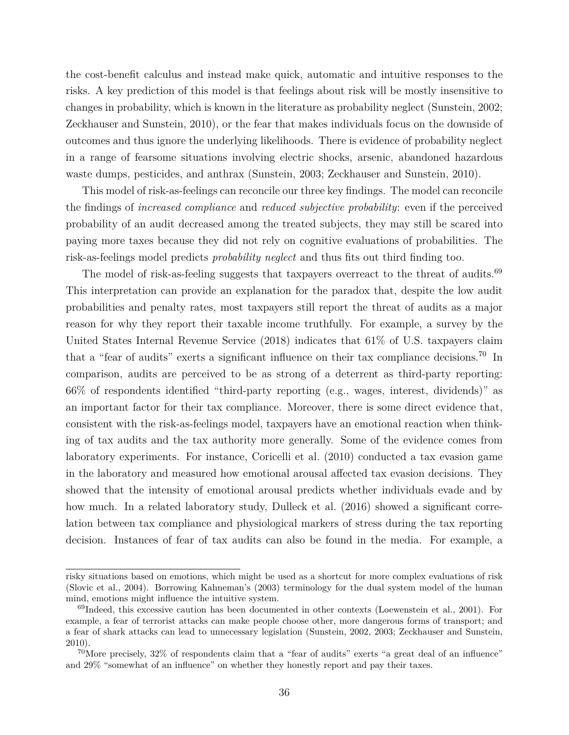the cost-benefit calculus and instead make quick, automatic and intuitive responses to the risks. A key prediction of this model is that feelings about risk will be mostly insensitive to changes in probability, which is known in the literature as probability neglect [\(Sunstein, 2002;](#page-43-8) [Zeckhauser and Sunstein, 2010\)](#page-43-3), or the fear that makes individuals focus on the downside of outcomes and thus ignore the underlying likelihoods. There is evidence of probability neglect in a range of fearsome situations involving electric shocks, arsenic, abandoned hazardous waste dumps, pesticides, and anthrax [\(Sunstein, 2003;](#page-43-2) [Zeckhauser and Sunstein, 2010\)](#page-43-3).

This model of risk-as-feelings can reconcile our three key findings. The model can reconcile the findings of *increased compliance* and *reduced subjective probability*: even if the perceived probability of an audit decreased among the treated subjects, they may still be scared into paying more taxes because they did not rely on cognitive evaluations of probabilities. The risk-as-feelings model predicts *probability neglect* and thus fits out third finding too.

The model of risk-as-feeling suggests that taxpayers overreact to the threat of audits.<sup>[69](#page--1-0)</sup> This interpretation can provide an explanation for the paradox that, despite the low audit probabilities and penalty rates, most taxpayers still report the threat of audits as a major reason for why they report their taxable income truthfully. For example, a survey by the [United States Internal Revenue Service](#page-43-4) [\(2018\)](#page-43-4) indicates that 61% of U.S. taxpayers claim that a "fear of audits" exerts a significant influence on their tax compliance decisions.<sup>[70](#page--1-0)</sup> In comparison, audits are perceived to be as strong of a deterrent as third-party reporting: 66% of respondents identified "third-party reporting (e.g., wages, interest, dividends)" as an important factor for their tax compliance. Moreover, there is some direct evidence that, consistent with the risk-as-feelings model, taxpayers have an emotional reaction when thinking of tax audits and the tax authority more generally. Some of the evidence comes from laboratory experiments. For instance, [Coricelli et al.](#page-41-15) [\(2010\)](#page-41-15) conducted a tax evasion game in the laboratory and measured how emotional arousal affected tax evasion decisions. They showed that the intensity of emotional arousal predicts whether individuals evade and by how much. In a related laboratory study, [Dulleck et al.](#page-41-16) [\(2016\)](#page-41-16) showed a significant correlation between tax compliance and physiological markers of stress during the tax reporting decision. Instances of fear of tax audits can also be found in the media. For example, a

risky situations based on emotions, which might be used as a shortcut for more complex evaluations of risk [\(Slovic et al., 2004\)](#page-43-9). Borrowing [Kahneman'](#page-41-17)s (2003) terminology for the dual system model of the human mind, emotions might influence the intuitive system.

 $^{69}$ Indeed, this excessive caution has been documented in other contexts [\(Loewenstein et al., 2001\)](#page-42-6). For example, a fear of terrorist attacks can make people choose other, more dangerous forms of transport; and a fear of shark attacks can lead to unnecessary legislation [\(Sunstein, 2002,](#page-43-8) [2003;](#page-43-2) [Zeckhauser and Sunstein,](#page-43-3) [2010\)](#page-43-3).

<sup>&</sup>lt;sup>70</sup>More precisely,  $32\%$  of respondents claim that a "fear of audits" exerts "a great deal of an influence" and 29% "somewhat of an influence" on whether they honestly report and pay their taxes.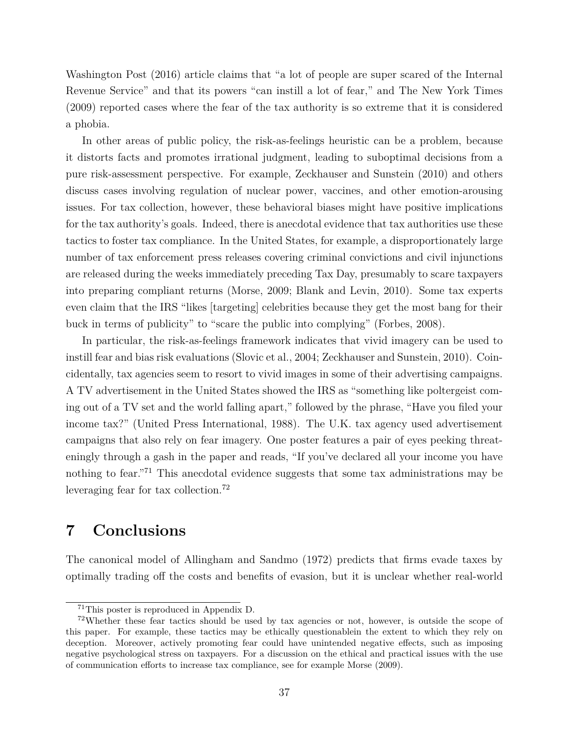[Washington Post](#page-43-10) [\(2016\)](#page-43-10) article claims that "a lot of people are super scared of the Internal Revenue Service" and that its powers "can instill a lot of fear," and The [New York Times](#page-42-20) [\(2009\)](#page-42-20) reported cases where the fear of the tax authority is so extreme that it is considered a phobia.

In other areas of public policy, the risk-as-feelings heuristic can be a problem, because it distorts facts and promotes irrational judgment, leading to suboptimal decisions from a pure risk-assessment perspective. For example, [Zeckhauser and Sunstein](#page-43-3) [\(2010\)](#page-43-3) and others discuss cases involving regulation of nuclear power, vaccines, and other emotion-arousing issues. For tax collection, however, these behavioral biases might have positive implications for the tax authority's goals. Indeed, there is anecdotal evidence that tax authorities use these tactics to foster tax compliance. In the United States, for example, a disproportionately large number of tax enforcement press releases covering criminal convictions and civil injunctions are released during the weeks immediately preceding Tax Day, presumably to scare taxpayers into preparing compliant returns [\(Morse, 2009;](#page-42-21) [Blank and Levin, 2010\)](#page-40-11). Some tax experts even claim that the IRS "likes [targeting] celebrities because they get the most bang for their buck in terms of publicity" to "scare the public into complying" [\(Forbes, 2008\)](#page-41-18).

In particular, the risk-as-feelings framework indicates that vivid imagery can be used to instill fear and bias risk evaluations [\(Slovic et al., 2004;](#page-43-9) [Zeckhauser and Sunstein, 2010\)](#page-43-3). Coincidentally, tax agencies seem to resort to vivid images in some of their advertising campaigns. A TV advertisement in the United States showed the IRS as "something like poltergeist coming out of a TV set and the world falling apart," followed by the phrase, "Have you filed your income tax?" [\(United Press International, 1988\)](#page-43-11). The U.K. tax agency used advertisement campaigns that also rely on fear imagery. One poster features a pair of eyes peeking threateningly through a gash in the paper and reads, "If you've declared all your income you have nothing to fear."[71](#page--1-0) This anecdotal evidence suggests that some tax administrations may be leveraging fear for tax collection.[72](#page--1-0)

# **7 Conclusions**

The canonical model of [Allingham and Sandmo](#page-40-0) [\(1972\)](#page-40-0) predicts that firms evade taxes by optimally trading off the costs and benefits of evasion, but it is unclear whether real-world

<sup>71</sup>This poster is reproduced in Appendix D.

<sup>72</sup>Whether these fear tactics should be used by tax agencies or not, however, is outside the scope of this paper. For example, these tactics may be ethically questionablein the extent to which they rely on deception. Moreover, actively promoting fear could have unintended negative effects, such as imposing negative psychological stress on taxpayers. For a discussion on the ethical and practical issues with the use of communication efforts to increase tax compliance, see for example [Morse](#page-42-21) [\(2009\)](#page-42-21).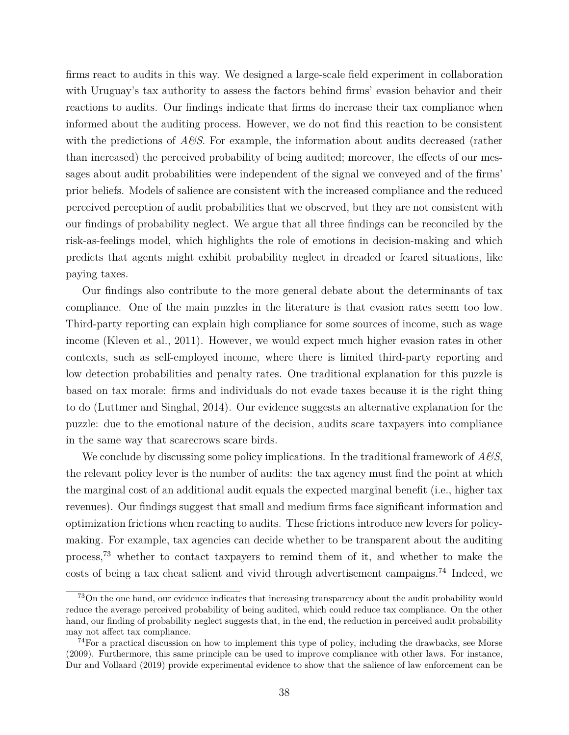firms react to audits in this way. We designed a large-scale field experiment in collaboration with Uruguay's tax authority to assess the factors behind firms' evasion behavior and their reactions to audits. Our findings indicate that firms do increase their tax compliance when informed about the auditing process. However, we do not find this reaction to be consistent with the predictions of *A&S*. For example, the information about audits decreased (rather than increased) the perceived probability of being audited; moreover, the effects of our messages about audit probabilities were independent of the signal we conveyed and of the firms' prior beliefs. Models of salience are consistent with the increased compliance and the reduced perceived perception of audit probabilities that we observed, but they are not consistent with our findings of probability neglect. We argue that all three findings can be reconciled by the risk-as-feelings model, which highlights the role of emotions in decision-making and which predicts that agents might exhibit probability neglect in dreaded or feared situations, like paying taxes.

Our findings also contribute to the more general debate about the determinants of tax compliance. One of the main puzzles in the literature is that evasion rates seem too low. Third-party reporting can explain high compliance for some sources of income, such as wage income [\(Kleven et al., 2011\)](#page-42-1). However, we would expect much higher evasion rates in other contexts, such as self-employed income, where there is limited third-party reporting and low detection probabilities and penalty rates. One traditional explanation for this puzzle is based on tax morale: firms and individuals do not evade taxes because it is the right thing to do [\(Luttmer and Singhal, 2014\)](#page-42-0). Our evidence suggests an alternative explanation for the puzzle: due to the emotional nature of the decision, audits scare taxpayers into compliance in the same way that scarecrows scare birds.

We conclude by discussing some policy implications. In the traditional framework of *A&S*, the relevant policy lever is the number of audits: the tax agency must find the point at which the marginal cost of an additional audit equals the expected marginal benefit (i.e., higher tax revenues). Our findings suggest that small and medium firms face significant information and optimization frictions when reacting to audits. These frictions introduce new levers for policymaking. For example, tax agencies can decide whether to be transparent about the auditing process,[73](#page--1-0) whether to contact taxpayers to remind them of it, and whether to make the costs of being a tax cheat salient and vivid through advertisement campaigns.[74](#page--1-0) Indeed, we

<sup>&</sup>lt;sup>73</sup>On the one hand, our evidence indicates that increasing transparency about the audit probability would reduce the average perceived probability of being audited, which could reduce tax compliance. On the other hand, our finding of probability neglect suggests that, in the end, the reduction in perceived audit probability may not affect tax compliance.

<sup>74</sup>For a practical discussion on how to implement this type of policy, including the drawbacks, see [Morse](#page-42-21) [\(2009\)](#page-42-21). Furthermore, this same principle can be used to improve compliance with other laws. For instance, [Dur and Vollaard](#page-41-19) [\(2019\)](#page-41-19) provide experimental evidence to show that the salience of law enforcement can be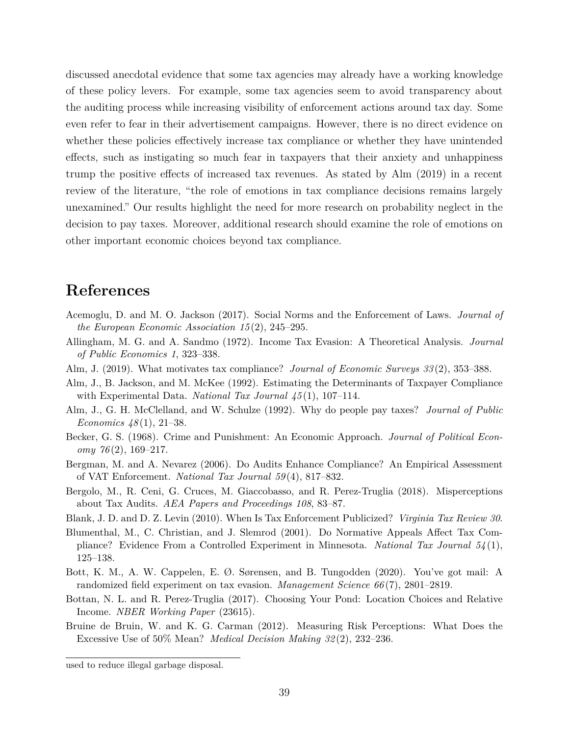discussed anecdotal evidence that some tax agencies may already have a working knowledge of these policy levers. For example, some tax agencies seem to avoid transparency about the auditing process while increasing visibility of enforcement actions around tax day. Some even refer to fear in their advertisement campaigns. However, there is no direct evidence on whether these policies effectively increase tax compliance or whether they have unintended effects, such as instigating so much fear in taxpayers that their anxiety and unhappiness trump the positive effects of increased tax revenues. As stated by [Alm](#page-40-4) [\(2019\)](#page-40-4) in a recent review of the literature, "the role of emotions in tax compliance decisions remains largely unexamined." Our results highlight the need for more research on probability neglect in the decision to pay taxes. Moreover, additional research should examine the role of emotions on other important economic choices beyond tax compliance.

# **References**

- <span id="page-40-10"></span>Acemoglu, D. and M. O. Jackson (2017). Social Norms and the Enforcement of Laws. *Journal of the European Economic Association 15* (2), 245–295.
- <span id="page-40-0"></span>Allingham, M. G. and A. Sandmo (1972). Income Tax Evasion: A Theoretical Analysis. *Journal of Public Economics 1*, 323–338.
- <span id="page-40-4"></span>Alm, J. (2019). What motivates tax compliance? *Journal of Economic Surveys 33* (2), 353–388.
- <span id="page-40-5"></span>Alm, J., B. Jackson, and M. McKee (1992). Estimating the Determinants of Taxpayer Compliance with Experimental Data. *National Tax Journal 45* (1), 107–114.
- <span id="page-40-2"></span>Alm, J., G. H. McClelland, and W. Schulze (1992). Why do people pay taxes? *Journal of Public Economics 48* (1), 21–38.
- <span id="page-40-1"></span>Becker, G. S. (1968). Crime and Punishment: An Economic Approach. *Journal of Political Economy 76* (2), 169–217.
- <span id="page-40-3"></span>Bergman, M. and A. Nevarez (2006). Do Audits Enhance Compliance? An Empirical Assessment of VAT Enforcement. *National Tax Journal 59* (4), 817–832.
- Bergolo, M., R. Ceni, G. Cruces, M. Giaccobasso, and R. Perez-Truglia (2018). Misperceptions about Tax Audits. *AEA Papers and Proceedings 108*, 83–87.
- <span id="page-40-11"></span>Blank, J. D. and D. Z. Levin (2010). When Is Tax Enforcement Publicized? *Virginia Tax Review 30*.
- <span id="page-40-7"></span>Blumenthal, M., C. Christian, and J. Slemrod (2001). Do Normative Appeals Affect Tax Compliance? Evidence From a Controlled Experiment in Minnesota. *National Tax Journal 54* (1), 125–138.
- <span id="page-40-6"></span>Bott, K. M., A. W. Cappelen, E. Ø. Sørensen, and B. Tungodden (2020). You've got mail: A randomized field experiment on tax evasion. *Management Science 66* (7), 2801–2819.
- <span id="page-40-9"></span>Bottan, N. L. and R. Perez-Truglia (2017). Choosing Your Pond: Location Choices and Relative Income. *NBER Working Paper* (23615).
- <span id="page-40-8"></span>Bruine de Bruin, W. and K. G. Carman (2012). Measuring Risk Perceptions: What Does the Excessive Use of 50% Mean? *Medical Decision Making 32* (2), 232–236.

used to reduce illegal garbage disposal.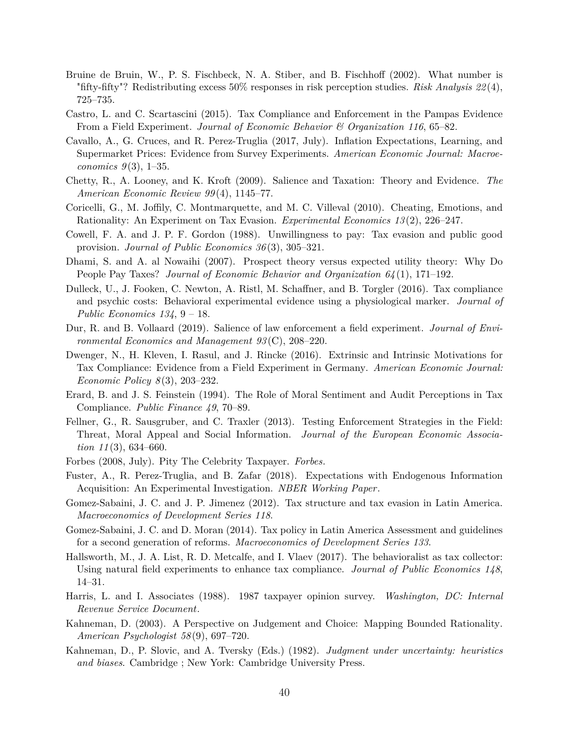- <span id="page-41-11"></span>Bruine de Bruin, W., P. S. Fischbeck, N. A. Stiber, and B. Fischhoff (2002). What number is "fifty-fifty"? Redistributing excess 50% responses in risk perception studies. *Risk Analysis 22* (4), 725–735.
- <span id="page-41-3"></span>Castro, L. and C. Scartascini (2015). Tax Compliance and Enforcement in the Pampas Evidence From a Field Experiment. *Journal of Economic Behavior & Organization 116*, 65–82.
- <span id="page-41-12"></span>Cavallo, A., G. Cruces, and R. Perez-Truglia (2017, July). Inflation Expectations, Learning, and Supermarket Prices: Evidence from Survey Experiments. *American Economic Journal: Macroeconomics 9* (3), 1–35.
- <span id="page-41-1"></span>Chetty, R., A. Looney, and K. Kroft (2009). Salience and Taxation: Theory and Evidence. *The American Economic Review 99* (4), 1145–77.
- <span id="page-41-15"></span>Coricelli, G., M. Joffily, C. Montmarquette, and M. C. Villeval (2010). Cheating, Emotions, and Rationality: An Experiment on Tax Evasion. *Experimental Economics 13* (2), 226–247.
- <span id="page-41-5"></span>Cowell, F. A. and J. P. F. Gordon (1988). Unwillingness to pay: Tax evasion and public good provision. *Journal of Public Economics 36* (3), 305–321.
- <span id="page-41-14"></span>Dhami, S. and A. al Nowaihi (2007). Prospect theory versus expected utility theory: Why Do People Pay Taxes? *Journal of Economic Behavior and Organization 64* (1), 171–192.
- <span id="page-41-16"></span>Dulleck, U., J. Fooken, C. Newton, A. Ristl, M. Schaffner, and B. Torgler (2016). Tax compliance and psychic costs: Behavioral experimental evidence using a physiological marker. *Journal of Public Economics 134*, 9 – 18.
- <span id="page-41-19"></span>Dur, R. and B. Vollaard (2019). Salience of law enforcement a field experiment. *Journal of Environmental Economics and Management 93* (C), 208–220.
- <span id="page-41-4"></span>Dwenger, N., H. Kleven, I. Rasul, and J. Rincke (2016). Extrinsic and Intrinsic Motivations for Tax Compliance: Evidence from a Field Experiment in Germany. *American Economic Journal: Economic Policy 8* (3), 203–232.
- <span id="page-41-9"></span>Erard, B. and J. S. Feinstein (1994). The Role of Moral Sentiment and Audit Perceptions in Tax Compliance. *Public Finance 49*, 70–89.
- <span id="page-41-2"></span>Fellner, G., R. Sausgruber, and C. Traxler (2013). Testing Enforcement Strategies in the Field: Threat, Moral Appeal and Social Information. *Journal of the European Economic Association 11* (3), 634–660.
- <span id="page-41-18"></span>Forbes (2008, July). Pity The Celebrity Taxpayer. *Forbes*.
- <span id="page-41-13"></span>Fuster, A., R. Perez-Truglia, and B. Zafar (2018). Expectations with Endogenous Information Acquisition: An Experimental Investigation. *NBER Working Paper*.
- <span id="page-41-0"></span>Gomez-Sabaini, J. C. and J. P. Jimenez (2012). Tax structure and tax evasion in Latin America. *Macroeconomics of Development Series 118*.
- <span id="page-41-6"></span>Gomez-Sabaini, J. C. and D. Moran (2014). Tax policy in Latin America Assessment and guidelines for a second generation of reforms. *Macroeconomics of Development Series 133*.
- <span id="page-41-7"></span>Hallsworth, M., J. A. List, R. D. Metcalfe, and I. Vlaev (2017). The behavioralist as tax collector: Using natural field experiments to enhance tax compliance. *Journal of Public Economics 148*, 14–31.
- <span id="page-41-8"></span>Harris, L. and I. Associates (1988). 1987 taxpayer opinion survey. *Washington, DC: Internal Revenue Service Document*.
- <span id="page-41-17"></span>Kahneman, D. (2003). A Perspective on Judgement and Choice: Mapping Bounded Rationality. *American Psychologist 58* (9), 697–720.
- <span id="page-41-10"></span>Kahneman, D., P. Slovic, and A. Tversky (Eds.) (1982). *Judgment under uncertainty: heuristics and biases*. Cambridge ; New York: Cambridge University Press.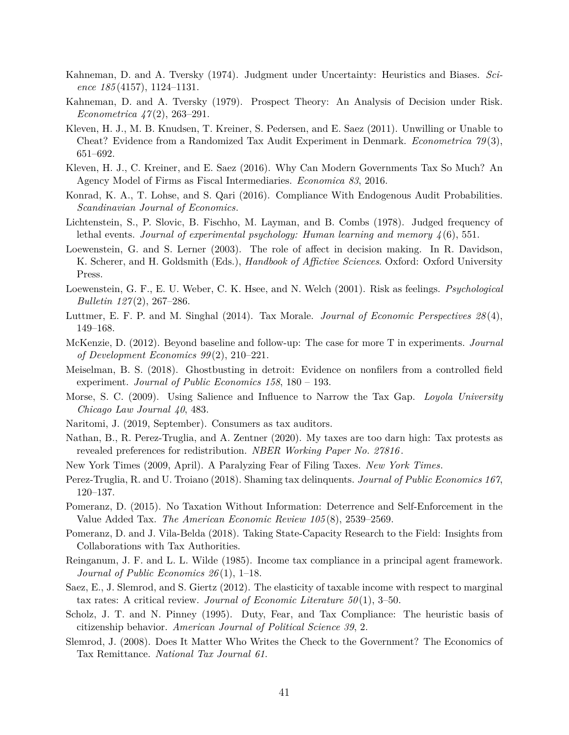- <span id="page-42-17"></span>Kahneman, D. and A. Tversky (1974). Judgment under Uncertainty: Heuristics and Biases. *Science 185* (4157), 1124–1131.
- <span id="page-42-4"></span>Kahneman, D. and A. Tversky (1979). Prospect Theory: An Analysis of Decision under Risk. *Econometrica 47* (2), 263–291.
- <span id="page-42-1"></span>Kleven, H. J., M. B. Knudsen, T. Kreiner, S. Pedersen, and E. Saez (2011). Unwilling or Unable to Cheat? Evidence from a Randomized Tax Audit Experiment in Denmark. *Econometrica 79* (3), 651–692.
- <span id="page-42-5"></span>Kleven, H. J., C. Kreiner, and E. Saez (2016). Why Can Modern Governments Tax So Much? An Agency Model of Firms as Fiscal Intermediaries. *Economica 83*, 2016.
- <span id="page-42-10"></span>Konrad, K. A., T. Lohse, and S. Qari (2016). Compliance With Endogenous Audit Probabilities. *Scandinavian Journal of Economics*.
- <span id="page-42-18"></span>Lichtenstein, S., P. Slovic, B. Fischho, M. Layman, and B. Combs (1978). Judged frequency of lethal events. *Journal of experimental psychology: Human learning and memory 4* (6), 551.
- <span id="page-42-19"></span>Loewenstein, G. and S. Lerner (2003). The role of affect in decision making. In R. Davidson, K. Scherer, and H. Goldsmith (Eds.), *Handbook of Affictive Sciences*. Oxford: Oxford University Press.
- <span id="page-42-6"></span>Loewenstein, G. F., E. U. Weber, C. K. Hsee, and N. Welch (2001). Risk as feelings. *Psychological Bulletin 127* (2), 267–286.
- <span id="page-42-0"></span>Luttmer, E. F. P. and M. Singhal (2014). Tax Morale. *Journal of Economic Perspectives 28* (4), 149–168.
- <span id="page-42-13"></span>McKenzie, D. (2012). Beyond baseline and follow-up: The case for more T in experiments. *Journal of Development Economics 99* (2), 210–221.
- <span id="page-42-15"></span>Meiselman, B. S. (2018). Ghostbusting in detroit: Evidence on nonfilers from a controlled field experiment. *Journal of Public Economics 158*, 180 – 193.
- <span id="page-42-21"></span>Morse, S. C. (2009). Using Salience and Influence to Narrow the Tax Gap. *Loyola University Chicago Law Journal 40*, 483.
- <span id="page-42-2"></span>Naritomi, J. (2019, September). Consumers as tax auditors.
- <span id="page-42-14"></span>Nathan, B., R. Perez-Truglia, and A. Zentner (2020). My taxes are too darn high: Tax protests as revealed preferences for redistribution. *NBER Working Paper No. 27816* .
- <span id="page-42-20"></span>New York Times (2009, April). A Paralyzing Fear of Filing Taxes. *New York Times*.
- <span id="page-42-8"></span>Perez-Truglia, R. and U. Troiano (2018). Shaming tax delinquents. *Journal of Public Economics 167*, 120–137.
- <span id="page-42-3"></span>Pomeranz, D. (2015). No Taxation Without Information: Deterrence and Self-Enforcement in the Value Added Tax. *The American Economic Review 105* (8), 2539–2569.
- <span id="page-42-7"></span>Pomeranz, D. and J. Vila-Belda (2018). Taking State-Capacity Research to the Field: Insights from Collaborations with Tax Authorities.
- <span id="page-42-9"></span>Reinganum, J. F. and L. L. Wilde (1985). Income tax compliance in a principal agent framework. *Journal of Public Economics 26* (1), 1–18.
- <span id="page-42-12"></span>Saez, E., J. Slemrod, and S. Giertz (2012). The elasticity of taxable income with respect to marginal tax rates: A critical review. *Journal of Economic Literature 50* (1), 3–50.
- <span id="page-42-16"></span>Scholz, J. T. and N. Pinney (1995). Duty, Fear, and Tax Compliance: The heuristic basis of citizenship behavior. *American Journal of Political Science 39*, 2.
- <span id="page-42-11"></span>Slemrod, J. (2008). Does It Matter Who Writes the Check to the Government? The Economics of Tax Remittance. *National Tax Journal 61*.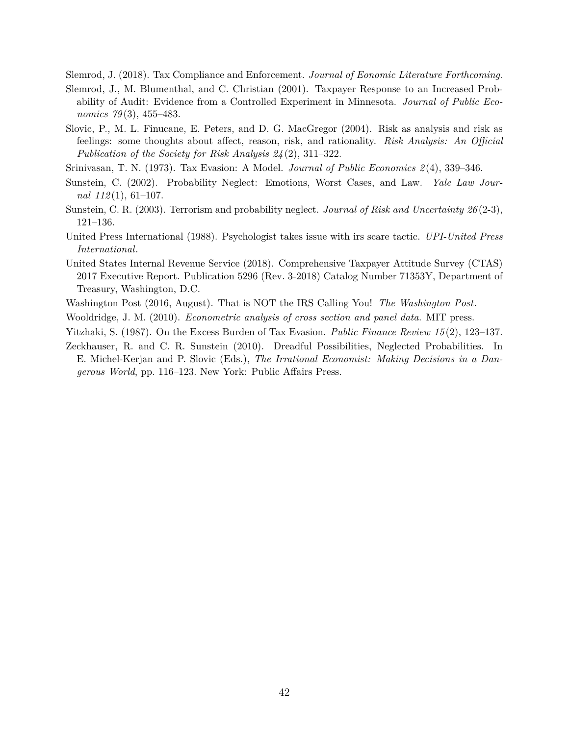<span id="page-43-0"></span>Slemrod, J. (2018). Tax Compliance and Enforcement. *Journal of Eonomic Literature Forthcoming*.

- <span id="page-43-1"></span>Slemrod, J., M. Blumenthal, and C. Christian (2001). Taxpayer Response to an Increased Probability of Audit: Evidence from a Controlled Experiment in Minnesota. *Journal of Public Economics 79* (3), 455–483.
- <span id="page-43-9"></span>Slovic, P., M. L. Finucane, E. Peters, and D. G. MacGregor (2004). Risk as analysis and risk as feelings: some thoughts about affect, reason, risk, and rationality. *Risk Analysis: An Official Publication of the Society for Risk Analysis 24* (2), 311–322.
- <span id="page-43-5"></span>Srinivasan, T. N. (1973). Tax Evasion: A Model. *Journal of Public Economics 2* (4), 339–346.
- <span id="page-43-8"></span>Sunstein, C. (2002). Probability Neglect: Emotions, Worst Cases, and Law. *Yale Law Journal 112* (1), 61–107.
- <span id="page-43-2"></span>Sunstein, C. R. (2003). Terrorism and probability neglect. *Journal of Risk and Uncertainty 26* (2-3), 121–136.
- <span id="page-43-11"></span>United Press International (1988). Psychologist takes issue with irs scare tactic. *UPI-United Press International*.
- <span id="page-43-4"></span>United States Internal Revenue Service (2018). Comprehensive Taxpayer Attitude Survey (CTAS) 2017 Executive Report. Publication 5296 (Rev. 3-2018) Catalog Number 71353Y, Department of Treasury, Washington, D.C.
- <span id="page-43-10"></span>Washington Post (2016, August). That is NOT the IRS Calling You! *The Washington Post*.
- <span id="page-43-6"></span>Wooldridge, J. M. (2010). *Econometric analysis of cross section and panel data*. MIT press.
- <span id="page-43-7"></span>Yitzhaki, S. (1987). On the Excess Burden of Tax Evasion. *Public Finance Review 15* (2), 123–137.
- <span id="page-43-3"></span>Zeckhauser, R. and C. R. Sunstein (2010). Dreadful Possibilities, Neglected Probabilities. In E. Michel-Kerjan and P. Slovic (Eds.), *The Irrational Economist: Making Decisions in a Dangerous World*, pp. 116–123. New York: Public Affairs Press.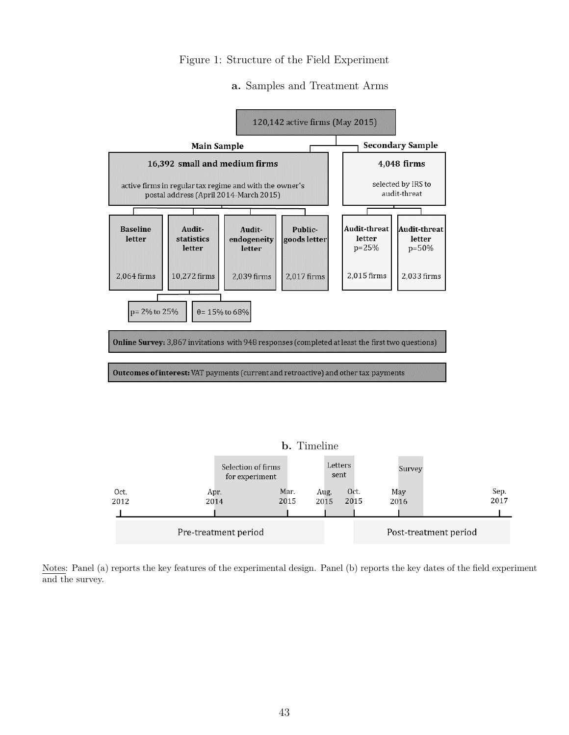#### Figure 1: Structure of the Field Experiment

#### <span id="page-44-0"></span>**a.** Samples and Treatment Arms





Notes: Panel (a) reports the key features of the experimental design. Panel (b) reports the key dates of the field experiment and the survey.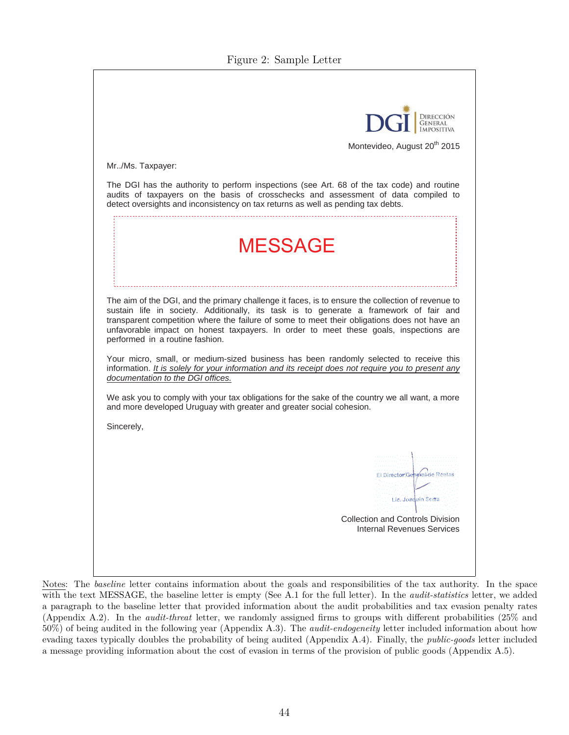<span id="page-45-0"></span>**DIRECCIÓN** Montevideo, August 20<sup>th</sup> 2015 Mr../Ms. Taxpayer: The DGI has the authority to perform inspections (see Art. 68 of the tax code) and routine audits of taxpayers on the basis of crosschecks and assessment of data compiled to detect oversights and inconsistency on tax returns as well as pending tax debts. **MESSAGE** The aim of the DGI, and the primary challenge it faces, is to ensure the collection of revenue to sustain life in society. Additionally, its task is to generate a framework of fair and transparent competition where the failure of some to meet their obligations does not have an unfavorable impact on honest taxpayers. In order to meet these goals, inspections are performed in a routine fashion. Your micro, small, or medium-sized business has been randomly selected to receive this information. *It is solely for your information and its receipt does not require you to present any documentation to the DGI offices.*  We ask you to comply with your tax obligations for the sake of the country we all want, a more and more developed Uruguay with greater and greater social cohesion. Sincerely, wal de Réntas El Director:Ge Lic. Joaquín Serra Collection and Controls Division Internal Revenues Services

Notes: The *baseline* letter contains information about the goals and responsibilities of the tax authority. In the space with the text MESSAGE, the baseline letter is empty (See A.1 for the full letter). In the *audit-statistics* letter, we added a paragraph to the baseline letter that provided information about the audit probabilities and tax evasion penalty rates (Appendix A.2). In the *audit-threat* letter, we randomly assigned firms to groups with different probabilities (25% and 50%) of being audited in the following year (Appendix A.3). The *audit-endogeneity* letter included information about how evading taxes typically doubles the probability of being audited (Appendix A.4). Finally, the *public-goods* letter included a message providing information about the cost of evasion in terms of the provision of public goods (Appendix A.5).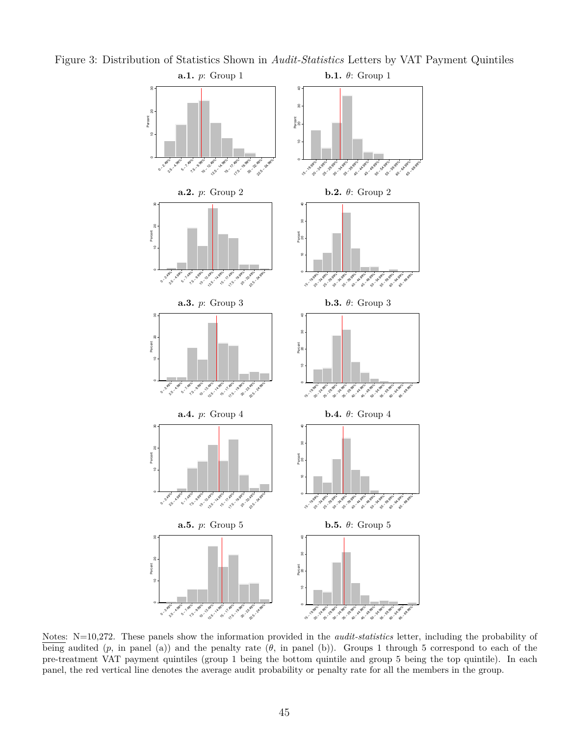<span id="page-46-0"></span>

Figure 3: Distribution of Statistics Shown in *Audit-Statistics* Letters by VAT Payment Quintiles

Notes: N=10,272. These panels show the information provided in the *audit-statistics* letter, including the probability of being audited  $(p, \text{ in panel } (a))$  and the penalty rate  $(\theta, \text{ in panel } (b))$ . Groups 1 through 5 correspond to each of the pre-treatment VAT payment quintiles (group 1 being the bottom quintile and group 5 being the top quintile). In each panel, the red vertical line denotes the average audit probability or penalty rate for all the members in the group.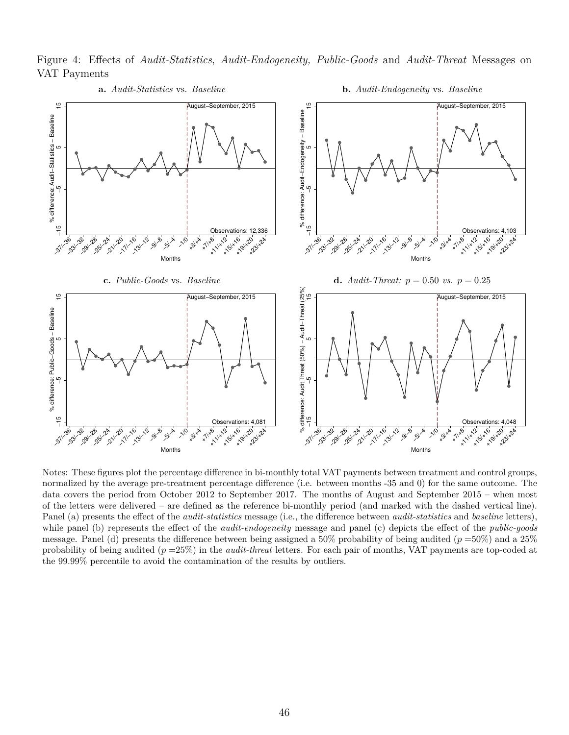<span id="page-47-0"></span>Figure 4: Effects of *Audit-Statistics*, *Audit-Endogeneity, Public-Goods* and *Audit-Threat* Messages on VAT Payments



Notes: These figures plot the percentage difference in bi-monthly total VAT payments between treatment and control groups, normalized by the average pre-treatment percentage difference (i.e. between months -35 and 0) for the same outcome. The data covers the period from October 2012 to September 2017. The months of August and September 2015 – when most of the letters were delivered – are defined as the reference bi-monthly period (and marked with the dashed vertical line). Panel (a) presents the effect of the *audit-statistics* message (i.e., the difference between *audit-statistics* and *baseline* letters), while panel (b) represents the effect of the *audit-endogeneity* message and panel (c) depicts the effect of the *public-goods* message. Panel (d) presents the difference between being assigned a 50% probability of being audited (*p* =50%) and a 25% probability of being audited (*p* =25%) in the *audit-threat* letters. For each pair of months, VAT payments are top-coded at the 99.99% percentile to avoid the contamination of the results by outliers..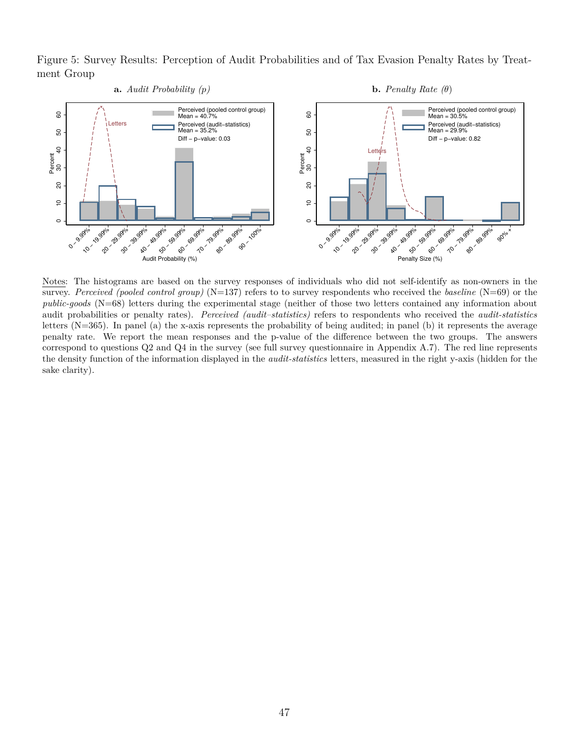<span id="page-48-0"></span>Figure 5: Survey Results: Perception of Audit Probabilities and of Tax Evasion Penalty Rates by Treatment Group



Notes: The histograms are based on the survey responses of individuals who did not self-identify as non-owners in the survey. *Perceived (pooled control group)* (N=137) refers to to survey respondents who received the *baseline* (N=69) or the *public-goods* (N=68) letters during the experimental stage (neither of those two letters contained any information about audit probabilities or penalty rates). *Perceived (audit–statistics)* refers to respondents who received the *audit-statistics* letters (N=365). In panel (a) the x-axis represents the probability of being audited; in panel (b) it represents the average penalty rate. We report the mean responses and the p-value of the difference between the two groups. The answers correspond to questions Q2 and Q4 in the survey (see full survey questionnaire in Appendix A.7). The red line represents the density function of the information displayed in the *audit-statistics* letters, measured in the right y-axis (hidden for the sake clarity).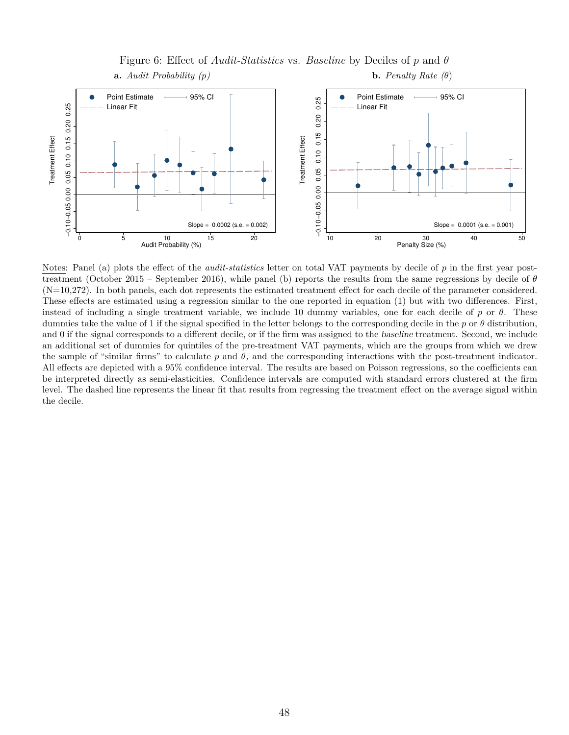

<span id="page-49-0"></span>Figure 6: Effect of *Audit-Statistics* vs. *Baseline* by Deciles of *p* and *θ* **a.** *Audit Probability (p)* **b.** *Penalty Rate (θ*)

Notes: Panel (a) plots the effect of the *audit-statistics* letter on total VAT payments by decile of *p* in the first year posttreatment (October 2015 – September 2016), while panel (b) reports the results from the same regressions by decile of *θ* (N=10,272). In both panels, each dot represents the estimated treatment effect for each decile of the parameter considered. These effects are estimated using a regression similar to the one reported in equation [\(1\)](#page-19-0) but with two differences. First, instead of including a single treatment variable, we include 10 dummy variables, one for each decile of *p* or *θ*. These dummies take the value of 1 if the signal specified in the letter belongs to the corresponding decile in the *p* or *θ* distribution, and 0 if the signal corresponds to a different decile, or if the firm was assigned to the baseline treatment. Second, we include an additional set of dummies for quintiles of the pre-treatment VAT payments, which are the groups from which we drew the sample of "similar firms" to calculate *p* and *θ,* and the corresponding interactions with the post-treatment indicator. All effects are depicted with a 95% confidence interval. The results are based on Poisson regressions, so the coefficients can be interpreted directly as semi-elasticities. Confidence intervals are computed with standard errors clustered at the firm level. The dashed line represents the linear fit that results from regressing the treatment effect on the average signal within the decile.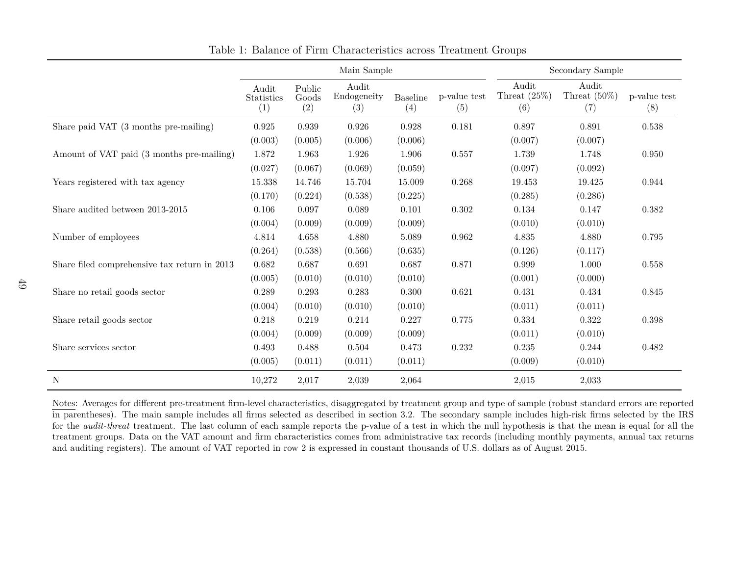|                                              | Main Sample                |                        |                             |                        | Secondary Sample    |                                 |                                 |                     |
|----------------------------------------------|----------------------------|------------------------|-----------------------------|------------------------|---------------------|---------------------------------|---------------------------------|---------------------|
|                                              | Audit<br>Statistics<br>(1) | Public<br>Goods<br>(2) | Audit<br>Endogeneity<br>(3) | <b>Baseline</b><br>(4) | p-value test<br>(5) | Audit<br>Threat $(25\%)$<br>(6) | Audit<br>Threat $(50\%)$<br>(7) | p-value test<br>(8) |
| Share paid VAT (3 months pre-mailing)        | 0.925                      | 0.939                  | 0.926                       | 0.928                  | 0.181               | 0.897                           | 0.891                           | 0.538               |
|                                              | (0.003)                    | (0.005)                | (0.006)                     | (0.006)                |                     | (0.007)                         | (0.007)                         |                     |
| Amount of VAT paid (3 months pre-mailing)    | 1.872                      | 1.963                  | 1.926                       | 1.906                  | 0.557               | 1.739                           | 1.748                           | 0.950               |
|                                              | (0.027)                    | (0.067)                | (0.069)                     | (0.059)                |                     | (0.097)                         | (0.092)                         |                     |
| Years registered with tax agency             | 15.338                     | 14.746                 | 15.704                      | 15.009                 | 0.268               | 19.453                          | 19.425                          | 0.944               |
|                                              | (0.170)                    | (0.224)                | (0.538)                     | (0.225)                |                     | (0.285)                         | (0.286)                         |                     |
| Share audited between 2013-2015              | 0.106                      | 0.097                  | 0.089                       | 0.101                  | 0.302               | 0.134                           | 0.147                           | 0.382               |
|                                              | (0.004)                    | (0.009)                | (0.009)                     | (0.009)                |                     | (0.010)                         | (0.010)                         |                     |
| Number of employees                          | 4.814                      | 4.658                  | 4.880                       | 5.089                  | $\,0.962\,$         | 4.835                           | 4.880                           | 0.795               |
|                                              | (0.264)                    | (0.538)                | (0.566)                     | (0.635)                |                     | (0.126)                         | (0.117)                         |                     |
| Share filed comprehensive tax return in 2013 | 0.682                      | 0.687                  | 0.691                       | 0.687                  | 0.871               | 0.999                           | 1.000                           | 0.558               |
|                                              | (0.005)                    | (0.010)                | (0.010)                     | (0.010)                |                     | (0.001)                         | (0.000)                         |                     |
| Share no retail goods sector                 | 0.289                      | 0.293                  | 0.283                       | 0.300                  | 0.621               | 0.431                           | 0.434                           | 0.845               |
|                                              | (0.004)                    | (0.010)                | (0.010)                     | (0.010)                |                     | (0.011)                         | (0.011)                         |                     |
| Share retail goods sector                    | 0.218                      | 0.219                  | 0.214                       | 0.227                  | 0.775               | 0.334                           | 0.322                           | 0.398               |
|                                              | (0.004)                    | (0.009)                | (0.009)                     | (0.009)                |                     | (0.011)                         | (0.010)                         |                     |
| Share services sector                        | 0.493                      | 0.488                  | 0.504                       | 0.473                  | 0.232               | 0.235                           | 0.244                           | 0.482               |
|                                              | (0.005)                    | (0.011)                | (0.011)                     | (0.011)                |                     | (0.009)                         | (0.010)                         |                     |
| $\mathbf N$                                  | 10,272                     | 2,017                  | 2,039                       | 2,064                  |                     | 2,015                           | 2,033                           |                     |

<span id="page-50-0"></span>Table 1: Balance of Firm Characteristics across Treatment Groups

Notes: Averages for different pre-treatment firm-level characteristics, disaggregated by treatment group and type of sample (robust standard errors are reported in parentheses). The main sample includes all firms selected as described in section [3.2.](#page-14-0) The secondary sample includes high-risk firms selected by the IRS for the *audit-threat* treatment. The last column of each sample reports the p-value of <sup>a</sup> test in which the null hypothesis is that the mean is equa<sup>l</sup> for all the treatment groups. Data on the VAT amount and firm characteristics comes from administrative tax records (including monthly payments, annual tax returnsand auditing registers). The amount of VAT reported in row <sup>2</sup> is expressed in constant thousands of U.S. dollars as of August 2015.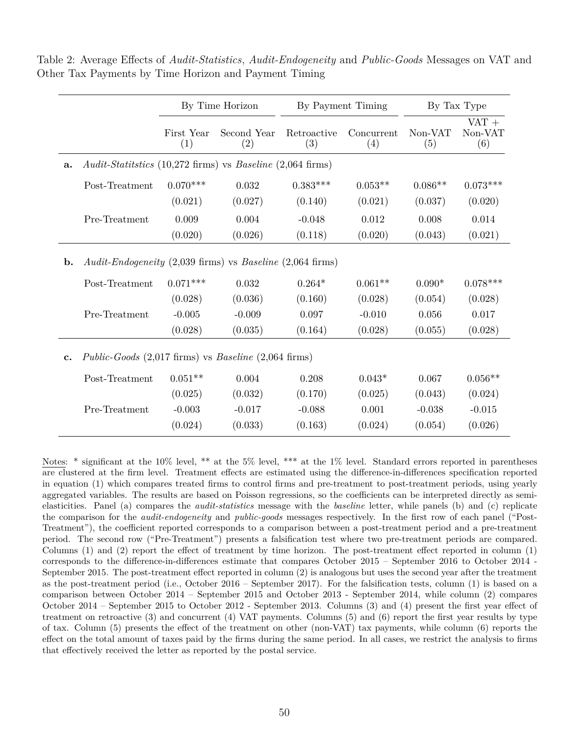|    |                                                                               | By Time Horizon   |                    |                    | By Payment Timing | By Tax Type    |                           |  |
|----|-------------------------------------------------------------------------------|-------------------|--------------------|--------------------|-------------------|----------------|---------------------------|--|
|    |                                                                               | First Year<br>(1) | Second Year<br>(2) | Retroactive<br>(3) | Concurrent<br>(4) | Non-VAT<br>(5) | $VAT +$<br>Non-VAT<br>(6) |  |
| a. | Audit-Statitstics (10,272 firms) vs Baseline (2,064 firms)                    |                   |                    |                    |                   |                |                           |  |
|    | Post-Treatment                                                                | $0.070***$        | 0.032              | $0.383***$         | $0.053**$         | $0.086**$      | $0.073***$                |  |
|    |                                                                               | (0.021)           | (0.027)            | (0.140)            | (0.021)           | (0.037)        | (0.020)                   |  |
|    | Pre-Treatment                                                                 | 0.009             | 0.004<br>$-0.048$  |                    | 0.012             | 0.008          | 0.014                     |  |
|    |                                                                               | (0.020)           | (0.026)            | (0.118)            | (0.020)           | (0.043)        | (0.021)                   |  |
| b. | Audit-Endogeneity $(2,039 \text{ firms})$ vs Baseline $(2,064 \text{ firms})$ |                   |                    |                    |                   |                |                           |  |
|    | Post-Treatment                                                                | $0.071***$        | $\,0.032\,$        | $0.264*$           | $0.061**$         | $0.090*$       | $0.078***$                |  |
|    |                                                                               | (0.028)           | (0.036)            | (0.160)            | (0.028)           | (0.054)        | (0.028)                   |  |
|    | Pre-Treatment                                                                 | $-0.005$          | $-0.009$           | 0.097              | $-0.010$          | 0.056          | 0.017                     |  |
|    |                                                                               | (0.028)           | (0.035)            | (0.164)            | (0.028)           | (0.055)        | (0.028)                   |  |
| c. | <i>Public-Goods</i> $(2,017$ firms) vs <i>Baseline</i> $(2,064$ firms)        |                   |                    |                    |                   |                |                           |  |
|    | Post-Treatment                                                                | $0.051**$         | 0.004              | 0.208              | $0.043*$          | 0.067          | $0.056**$                 |  |
|    |                                                                               | (0.025)           | (0.032)            | (0.170)            | (0.025)           | (0.043)        | (0.024)                   |  |
|    | Pre-Treatment                                                                 | $-0.003$          | $-0.017$           | $-0.088$           | 0.001             | $-0.038$       | $-0.015$                  |  |
|    |                                                                               | (0.024)           | (0.033)            | (0.163)            | (0.024)           | (0.054)        | (0.026)                   |  |

<span id="page-51-0"></span>Table 2: Average Effects of *Audit-Statistics*, *Audit-Endogeneity* and *Public-Goods* Messages on VAT and Other Tax Payments by Time Horizon and Payment Timing

Notes: \* significant at the 10% level, \*\* at the 5% level, \*\*\* at the 1% level. Standard errors reported in parentheses are clustered at the firm level. Treatment effects are estimated using the difference-in-differences specification reported in equation [\(1\)](#page-19-0) which compares treated firms to control firms and pre-treatment to post-treatment periods, using yearly aggregated variables. The results are based on Poisson regressions, so the coefficients can be interpreted directly as semielasticities. Panel (a) compares the *audit-statistics* message with the *baseline* letter, while panels (b) and (c) replicate the comparison for the *audit-endogeneity* and *public-goods* messages respectively. In the first row of each panel ("Post-Treatment"), the coefficient reported corresponds to a comparison between a post-treatment period and a pre-treatment period. The second row ("Pre-Treatment") presents a falsification test where two pre-treatment periods are compared. Columns (1) and (2) report the effect of treatment by time horizon. The post-treatment effect reported in column (1) corresponds to the difference-in-differences estimate that compares October 2015 – September 2016 to October 2014 - September 2015. The post-treatment effect reported in column (2) is analogous but uses the second year after the treatment as the post-treatment period (i.e., October 2016 – September 2017). For the falsification tests, column (1) is based on a comparison between October 2014 – September 2015 and October 2013 - September 2014, while column (2) compares October 2014 – September 2015 to October 2012 - September 2013. Columns (3) and (4) present the first year effect of treatment on retroactive (3) and concurrent (4) VAT payments. Columns (5) and (6) report the first year results by type of tax. Column (5) presents the effect of the treatment on other (non-VAT) tax payments, while column (6) reports the effect on the total amount of taxes paid by the firms during the same period. In all cases, we restrict the analysis to firms that effectively received the letter as reported by the postal service.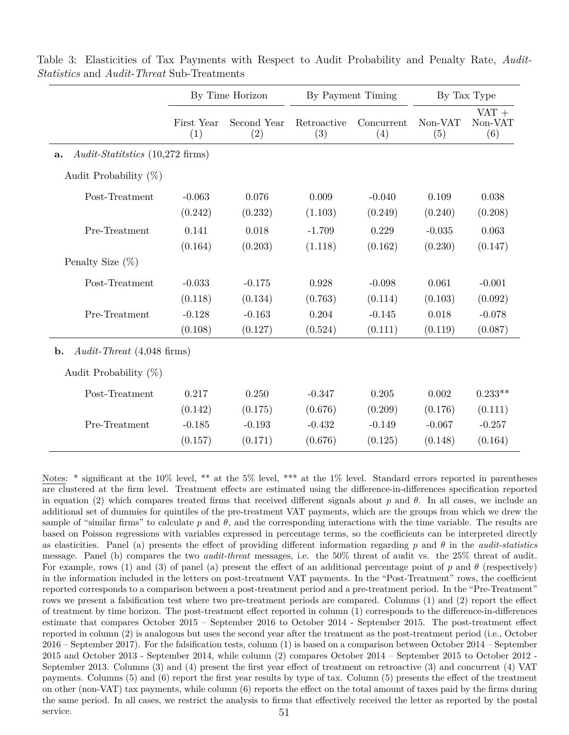|                                               | By Time Horizon   |                    | By Payment Timing  |                   | By Tax Type    |                           |
|-----------------------------------------------|-------------------|--------------------|--------------------|-------------------|----------------|---------------------------|
|                                               | First Year<br>(1) | Second Year<br>(2) | Retroactive<br>(3) | Concurrent<br>(4) | Non-VAT<br>(5) | $VAT +$<br>Non-VAT<br>(6) |
| <i>Audit-Statitstics</i> (10,272 firms)<br>a. |                   |                    |                    |                   |                |                           |
| Audit Probability $(\%)$                      |                   |                    |                    |                   |                |                           |
| Post-Treatment                                | $-0.063$          | 0.076              | 0.009              | $-0.040$          | 0.109          | 0.038                     |
|                                               | (0.242)           | (0.232)            | (1.103)            | (0.249)           | (0.240)        | (0.208)                   |
| Pre-Treatment                                 | 0.141             | 0.018              | $-1.709$           | 0.229             | $-0.035$       | 0.063                     |
|                                               | (0.164)           | (0.203)            | (1.118)            | (0.162)           | (0.230)        | (0.147)                   |
| Penalty Size $(\%)$                           |                   |                    |                    |                   |                |                           |
| Post-Treatment                                | $-0.033$          | $-0.175$           | 0.928              | $-0.098$          | 0.061          | $-0.001$                  |
|                                               | (0.118)           | (0.134)            | (0.763)            | (0.114)           | (0.103)        | (0.092)                   |
| Pre-Treatment                                 | $-0.128$          | $-0.163$           | 0.204              | $-0.145$          | 0.018          | $-0.078$                  |
|                                               | (0.108)           | (0.127)            | (0.524)            | (0.111)           | (0.119)        | (0.087)                   |
| b.<br>Audit-Threat $(4,048$ firms)            |                   |                    |                    |                   |                |                           |
| Audit Probability $(\%)$                      |                   |                    |                    |                   |                |                           |
| Post-Treatment                                | 0.217             | 0.250              | $-0.347$           | 0.205             | 0.002          | $0.233**$                 |
|                                               | (0.142)           | (0.175)            | (0.676)            | (0.209)           | (0.176)        | (0.111)                   |
| Pre-Treatment                                 | $-0.185$          | $-0.193$           | $-0.432$           | $-0.149$          | $-0.067$       | $-0.257$                  |
|                                               | (0.157)           | (0.171)            | (0.676)            | (0.125)           | (0.148)        | (0.164)                   |

<span id="page-52-0"></span>Table 3: Elasticities of Tax Payments with Respect to Audit Probability and Penalty Rate, *Audit-Statistics* and *Audit-Threat* Sub-Treatments

Notes: \* significant at the 10% level, \*\* at the 5% level, \*\*\* at the 1% level. Standard errors reported in parentheses are clustered at the firm level. Treatment effects are estimated using the difference-in-differences specification reported in equation [\(2\)](#page-29-0) which compares treated firms that received different signals about  $p$  and  $\theta$ . In all cases, we include an additional set of dummies for quintiles of the pre-treatment VAT payments, which are the groups from which we drew the sample of "similar firms" to calculate *p* and *θ,* and the corresponding interactions with the time variable. The results are based on Poisson regressions with variables expressed in percentage terms, so the coefficients can be interpreted directly as elasticities. Panel (a) presents the effect of providing different information regarding *p* and *θ* in the *audit-statistics* message. Panel (b) compares the two *audit-threat* messages, i.e. the 50% threat of audit vs. the 25% threat of audit. For example, rows (1) and (3) of panel (a) present the effect of an additional percentage point of  $p$  and  $\theta$  (respectively) in the information included in the letters on post-treatment VAT payments. In the "Post-Treatment" rows, the coefficient reported corresponds to a comparison between a post-treatment period and a pre-treatment period. In the "Pre-Treatment" rows we present a falsification test where two pre-treatment periods are compared. Columns (1) and (2) report the effect of treatment by time horizon. The post-treatment effect reported in column (1) corresponds to the difference-in-differences estimate that compares October 2015 – September 2016 to October 2014 - September 2015. The post-treatment effect reported in column (2) is analogous but uses the second year after the treatment as the post-treatment period (i.e., October 2016 – September 2017). For the falsification tests, column (1) is based on a comparison between October 2014 – September 2015 and October 2013 - September 2014, while column (2) compares October 2014 – September 2015 to October 2012 - September 2013. Columns (3) and (4) present the first year effect of treatment on retroactive (3) and concurrent (4) VAT payments. Columns (5) and (6) report the first year results by type of tax. Column (5) presents the effect of the treatment on other (non-VAT) tax payments, while column (6) reports the effect on the total amount of taxes paid by the firms during the same period. In all cases, we restrict the analysis to firms that effectively received the letter as reported by the postal service.